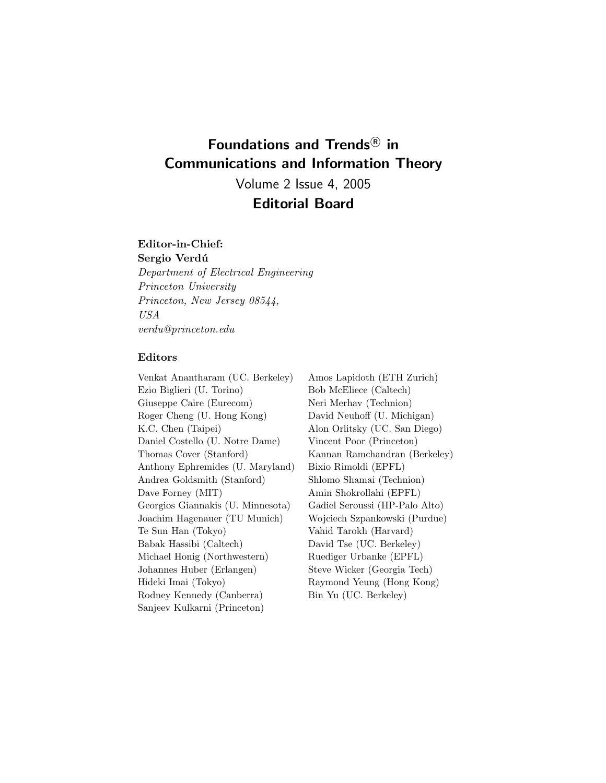## **Foundations and Trends<sup>R</sup> in Communications and Information Theory**

Volume 2 Issue 4, 2005 **Editorial Board**

#### **Editor-in-Chief:**

Sergio Verdú *Department of Electrical Engineering Princeton University Princeton, New Jersey 08544, USA verdu@princeton.edu*

#### **Editors**

Venkat Anantharam (UC. Berkeley) Ezio Biglieri (U. Torino) Giuseppe Caire (Eurecom) Roger Cheng (U. Hong Kong) K.C. Chen (Taipei) Daniel Costello (U. Notre Dame) Thomas Cover (Stanford) Anthony Ephremides (U. Maryland) Andrea Goldsmith (Stanford) Dave Forney (MIT) Georgios Giannakis (U. Minnesota) Joachim Hagenauer (TU Munich) Te Sun Han (Tokyo) Babak Hassibi (Caltech) Michael Honig (Northwestern) Johannes Huber (Erlangen) Hideki Imai (Tokyo) Rodney Kennedy (Canberra) Sanjeev Kulkarni (Princeton)

Amos Lapidoth (ETH Zurich) Bob McEliece (Caltech) Neri Merhav (Technion) David Neuhoff (U. Michigan) Alon Orlitsky (UC. San Diego) Vincent Poor (Princeton) Kannan Ramchandran (Berkeley) Bixio Rimoldi (EPFL) Shlomo Shamai (Technion) Amin Shokrollahi (EPFL) Gadiel Seroussi (HP-Palo Alto) Wojciech Szpankowski (Purdue) Vahid Tarokh (Harvard) David Tse (UC. Berkeley) Ruediger Urbanke (EPFL) Steve Wicker (Georgia Tech) Raymond Yeung (Hong Kong) Bin Yu (UC. Berkeley)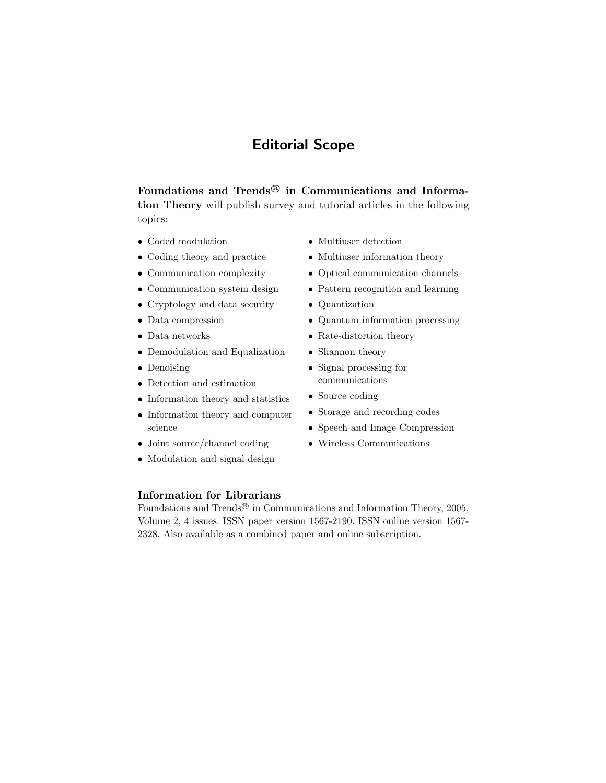## **Editorial Scope**

Foundations and Trends<sup>®</sup> in Communications and Informa**tion Theory** will publish survey and tutorial articles in the following topics:

- Coded modulation
- Coding theory and practice
- Communication complexity
- Communication system design
- Cryptology and data security
- Data compression
- Data networks
- Demodulation and Equalization
- Denoising
- Detection and estimation
- Information theory and statistics
- Information theory and computer science
- Joint source/channel coding
- Modulation and signal design

### • Multiuser detection

- Multiuser information theory
- Optical communication channels
- Pattern recognition and learning
- Quantization
- Quantum information processing
- Rate-distortion theory
- Shannon theory
- Signal processing for communications
- Source coding
- Storage and recording codes
- Speech and Image Compression
- Wireless Communications

#### **Information for Librarians**

Foundations and Trends<sup>®</sup> in Communications and Information Theory, 2005, Volume 2, 4 issues. ISSN paper version 1567-2190. ISSN online version 1567- 2328. Also available as a combined paper and online subscription.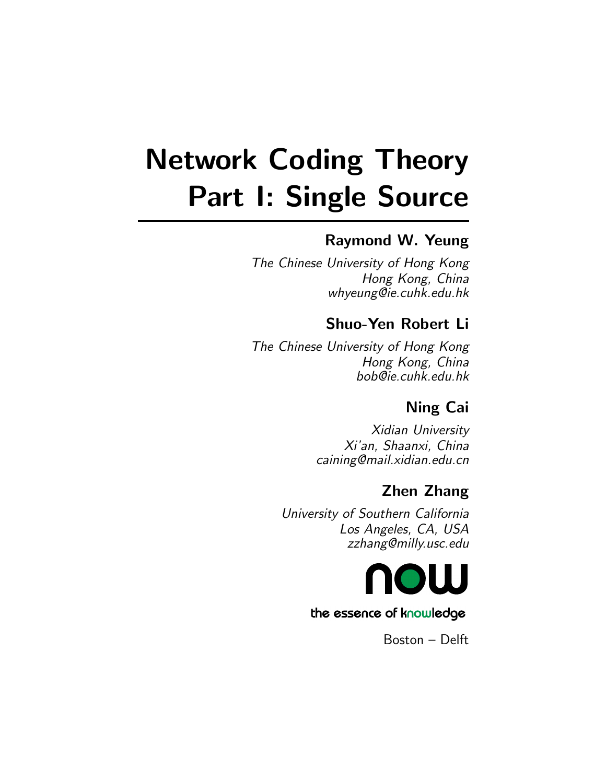# **Network Coding Theory Part I: Single Source**

## **Raymond W. Yeung**

The Chinese University of Hong Kong Hong Kong, China whyeung@ie.cuhk.edu.hk

## **Shuo-Yen Robert Li**

The Chinese University of Hong Kong Hong Kong, China bob@ie.cuhk.edu.hk

## **Ning Cai**

Xidian University Xi'an, Shaanxi, China caining@mail.xidian.edu.cn

## **Zhen Zhang**

University of Southern California Los Angeles, CA, USA zzhang@milly.usc.edu



## the essence of knowledge

Boston – Delft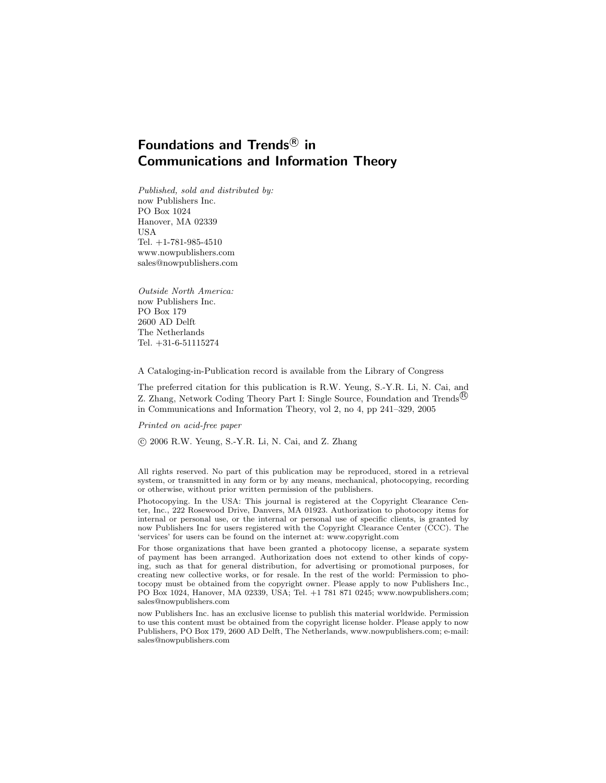## **Foundations and Trends<sup>R</sup> in Communications and Information Theory**

Published, sold and distributed by: now Publishers Inc. PO Box 1024 Hanover, MA 02339 USA Tel. +1-781-985-4510 www.nowpublishers.com sales@nowpublishers.com

Outside North America: now Publishers Inc. PO Box 179 2600 AD Delft The Netherlands Tel. +31-6-51115274

A Cataloging-in-Publication record is available from the Library of Congress

The preferred citation for this publication is R.W. Yeung, S.-Y.R. Li, N. Cai, and Z. Zhang, Network Coding Theory Part I: Single Source, Foundation and Trends<sup>(B)</sup> in Communications and Information Theory, vol 2, no 4, pp 241–329, 2005

Printed on acid-free paper

c 2006 R.W. Yeung, S.-Y.R. Li, N. Cai, and Z. Zhang

All rights reserved. No part of this publication may be reproduced, stored in a retrieval system, or transmitted in any form or by any means, mechanical, photocopying, recording or otherwise, without prior written permission of the publishers.

Photocopying. In the USA: This journal is registered at the Copyright Clearance Center, Inc., 222 Rosewood Drive, Danvers, MA 01923. Authorization to photocopy items for internal or personal use, or the internal or personal use of specific clients, is granted by now Publishers Inc for users registered with the Copyright Clearance Center (CCC). The 'services' for users can be found on the internet at: www.copyright.com

For those organizations that have been granted a photocopy license, a separate system of payment has been arranged. Authorization does not extend to other kinds of copying, such as that for general distribution, for advertising or promotional purposes, for creating new collective works, or for resale. In the rest of the world: Permission to photocopy must be obtained from the copyright owner. Please apply to now Publishers Inc., PO Box 1024, Hanover, MA 02339, USA; Tel. +1 781 871 0245; www.nowpublishers.com; sales@nowpublishers.com

now Publishers Inc. has an exclusive license to publish this material worldwide. Permission to use this content must be obtained from the copyright license holder. Please apply to now Publishers, PO Box 179, 2600 AD Delft, The Netherlands, www.nowpublishers.com; e-mail: sales@nowpublishers.com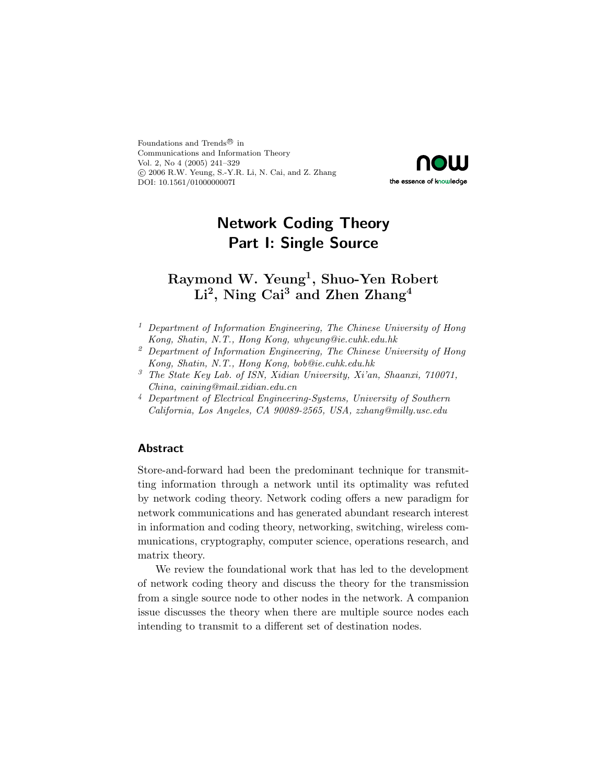Foundations and Trends $^{\textcircled{\tiny{\textregistered}}}$  in Communications and Information Theory Vol. 2, No 4 (2005) 241–329 c 2006 R.W. Yeung, S.-Y.R. Li, N. Cai, and Z. Zhang DOI: 10.1561/0100000007I



## **Network Coding Theory Part I: Single Source**

## **Raymond W. Yeung1, Shuo-Yen Robert Li2, Ning Cai3 and Zhen Zhang4**

- <sup>1</sup> *Department of Information Engineering, The Chinese University of Hong Kong, Shatin, N.T., Hong Kong, whyeung@ie.cuhk.edu.hk*
- <sup>2</sup> *Department of Information Engineering, The Chinese University of Hong Kong, Shatin, N.T., Hong Kong, bob@ie.cuhk.edu.hk*
- <sup>3</sup> *The State Key Lab. of ISN, Xidian University, Xi'an, Shaanxi, 710071, China, caining@mail.xidian.edu.cn*
- <sup>4</sup> *Department of Electrical Engineering-Systems, University of Southern California, Los Angeles, CA 90089-2565, USA, zzhang@milly.usc.edu*

#### **Abstract**

Store-and-forward had been the predominant technique for transmitting information through a network until its optimality was refuted by network coding theory. Network coding offers a new paradigm for network communications and has generated abundant research interest in information and coding theory, networking, switching, wireless communications, cryptography, computer science, operations research, and matrix theory.

We review the foundational work that has led to the development of network coding theory and discuss the theory for the transmission from a single source node to other nodes in the network. A companion issue discusses the theory when there are multiple source nodes each intending to transmit to a different set of destination nodes.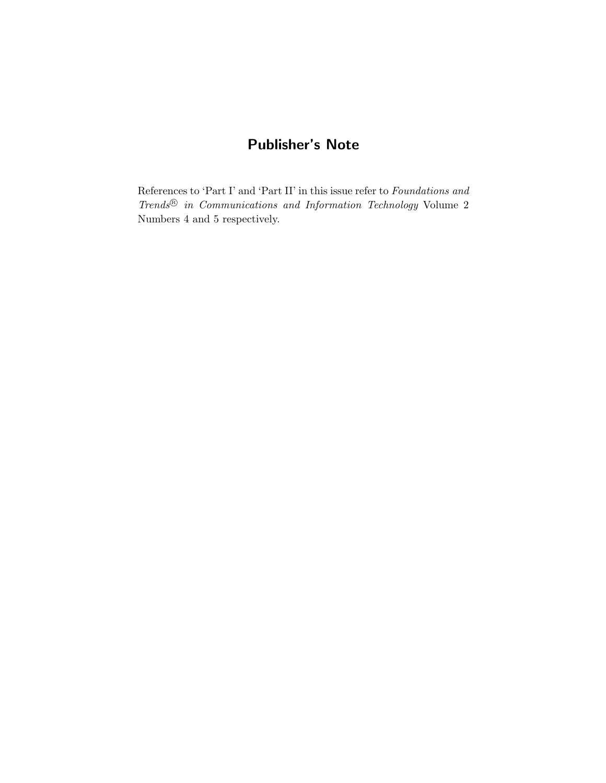## **Publisher's Note**

References to 'Part I' and 'Part II' in this issue refer to *Foundations and Trends*<sup>®</sup> *in Communications and Information Technology* Volume 2 Numbers 4 and 5 respectively.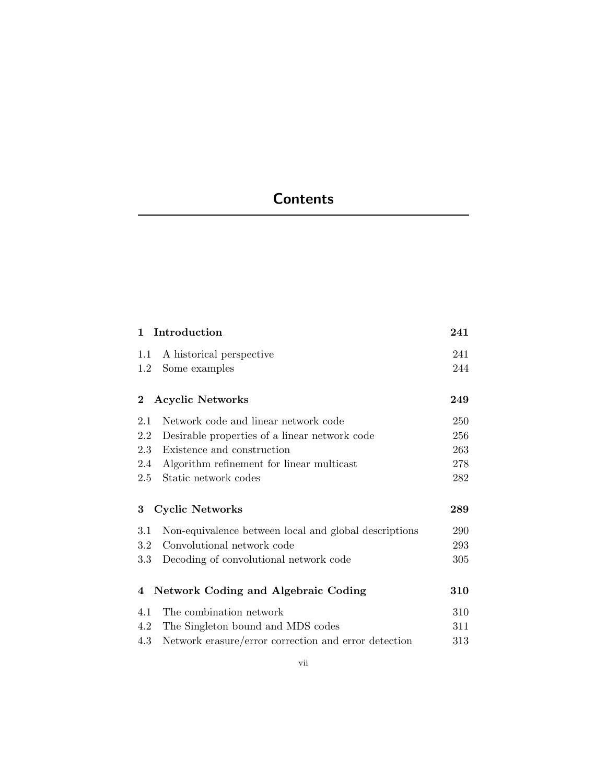## **Contents**

|          | 1 Introduction                                        | 241 |
|----------|-------------------------------------------------------|-----|
| 1.1      | A historical perspective                              | 241 |
| 1.2      | Some examples                                         | 244 |
| $\bf{2}$ | <b>Acyclic Networks</b>                               | 249 |
| 2.1      | Network code and linear network code                  | 250 |
| 2.2      | Desirable properties of a linear network code         | 256 |
| 2.3      | Existence and construction                            | 263 |
| 2.4      | Algorithm refinement for linear multicast             | 278 |
| 2.5      | Static network codes                                  | 282 |
| 3        | <b>Cyclic Networks</b>                                | 289 |
| 3.1      | Non-equivalence between local and global descriptions | 290 |
| 3.2      | Convolutional network code                            | 293 |
| $3.3\,$  | Decoding of convolutional network code                | 305 |
| 4        | <b>Network Coding and Algebraic Coding</b>            | 310 |
| 4.1      | The combination network                               | 310 |
| 4.2      | The Singleton bound and MDS codes                     | 311 |
| 4.3      | Network erasure/error correction and error detection  | 313 |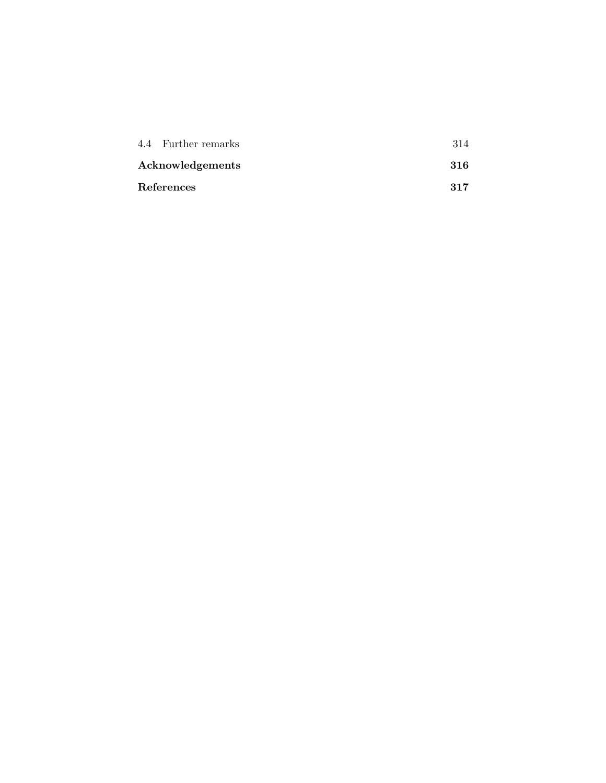| 4.4 Further remarks |      |
|---------------------|------|
| Acknowledgements    | -316 |
| References          | 317  |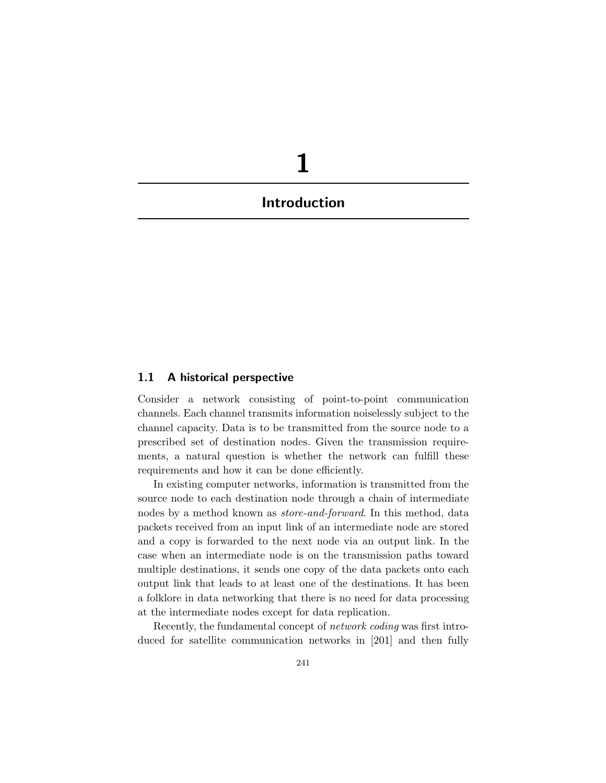## **1 Introduction**

#### **1.1 A historical perspective**

Consider a network consisting of point-to-point communication channels. Each channel transmits information noiselessly subject to the channel capacity. Data is to be transmitted from the source node to a prescribed set of destination nodes. Given the transmission requirements, a natural question is whether the network can fulfill these requirements and how it can be done efficiently.

In existing computer networks, information is transmitted from the source node to each destination node through a chain of intermediate nodes by a method known as *store-and-forward*. In this method, data packets received from an input link of an intermediate node are stored and a copy is forwarded to the next node via an output link. In the case when an intermediate node is on the transmission paths toward multiple destinations, it sends one copy of the data packets onto each output link that leads to at least one of the destinations. It has been a folklore in data networking that there is no need for data processing at the intermediate nodes except for data replication.

Recently, the fundamental concept of *network coding* was first introduced for satellite communication networks in [201] and then fully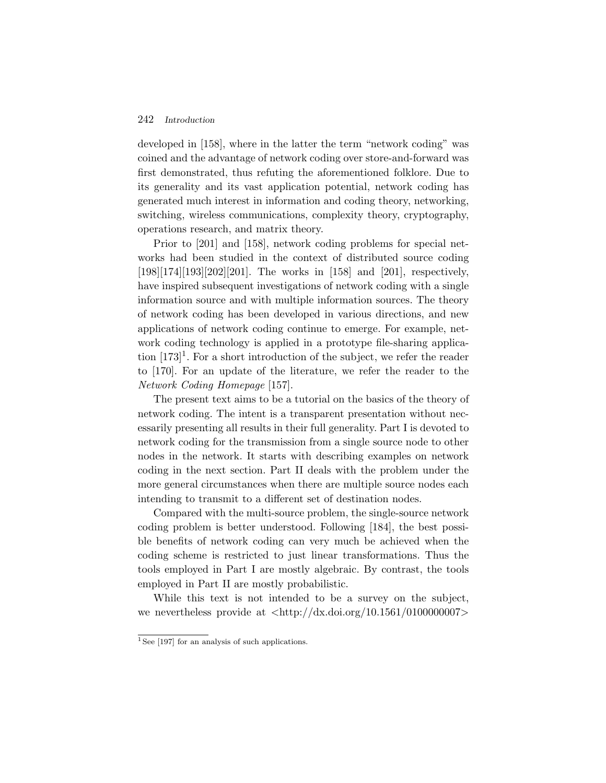#### 242 *Introduction*

developed in [158], where in the latter the term "network coding" was coined and the advantage of network coding over store-and-forward was first demonstrated, thus refuting the aforementioned folklore. Due to its generality and its vast application potential, network coding has generated much interest in information and coding theory, networking, switching, wireless communications, complexity theory, cryptography, operations research, and matrix theory.

Prior to [201] and [158], network coding problems for special networks had been studied in the context of distributed source coding [198][174][193][202][201]. The works in [158] and [201], respectively, have inspired subsequent investigations of network coding with a single information source and with multiple information sources. The theory of network coding has been developed in various directions, and new applications of network coding continue to emerge. For example, network coding technology is applied in a prototype file-sharing application  $[173]$ <sup>1</sup>. For a short introduction of the subject, we refer the reader to [170]. For an update of the literature, we refer the reader to the *Network Coding Homepage* [157].

The present text aims to be a tutorial on the basics of the theory of network coding. The intent is a transparent presentation without necessarily presenting all results in their full generality. Part I is devoted to network coding for the transmission from a single source node to other nodes in the network. It starts with describing examples on network coding in the next section. Part II deals with the problem under the more general circumstances when there are multiple source nodes each intending to transmit to a different set of destination nodes.

Compared with the multi-source problem, the single-source network coding problem is better understood. Following [184], the best possible benefits of network coding can very much be achieved when the coding scheme is restricted to just linear transformations. Thus the tools employed in Part I are mostly algebraic. By contrast, the tools employed in Part II are mostly probabilistic.

While this text is not intended to be a survey on the subject, we nevertheless provide at  $\langle \text{http://dx.doi.org/10.1561/010000007}\rangle$ 

 $1$  See [197] for an analysis of such applications.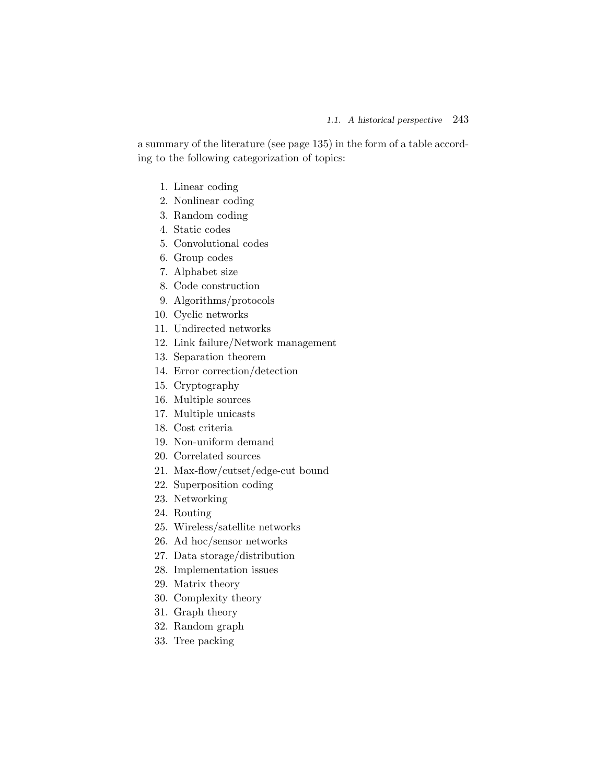a summary of the literature (see page 135) in the form of a table according to the following categorization of topics:

- 1. Linear coding
- 2. Nonlinear coding
- 3. Random coding
- 4. Static codes
- 5. Convolutional codes
- 6. Group codes
- 7. Alphabet size
- 8. Code construction
- 9. Algorithms/protocols
- 10. Cyclic networks
- 11. Undirected networks
- 12. Link failure/Network management
- 13. Separation theorem
- 14. Error correction/detection
- 15. Cryptography
- 16. Multiple sources
- 17. Multiple unicasts
- 18. Cost criteria
- 19. Non-uniform demand
- 20. Correlated sources
- 21. Max-flow/cutset/edge-cut bound
- 22. Superposition coding
- 23. Networking
- 24. Routing
- 25. Wireless/satellite networks
- 26. Ad hoc/sensor networks
- 27. Data storage/distribution
- 28. Implementation issues
- 29. Matrix theory
- 30. Complexity theory
- 31. Graph theory
- 32. Random graph
- 33. Tree packing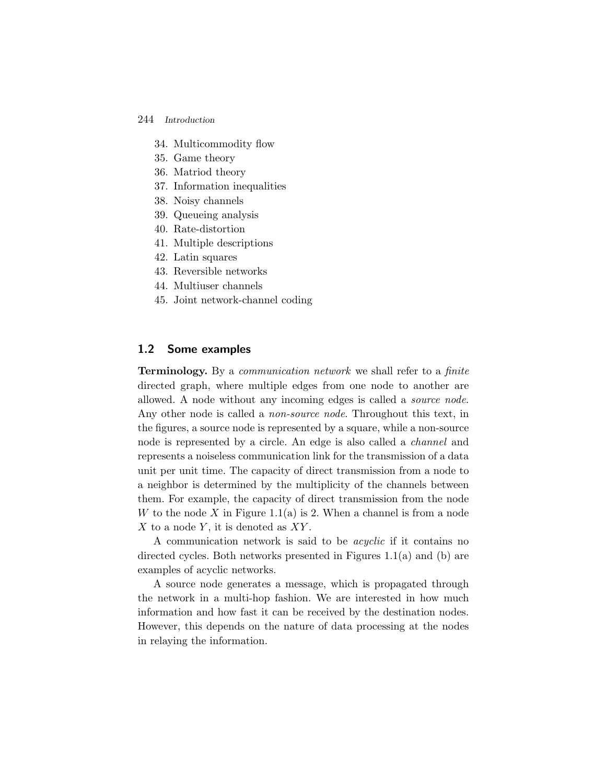#### 244 *Introduction*

- 34. Multicommodity flow
- 35. Game theory
- 36. Matriod theory
- 37. Information inequalities
- 38. Noisy channels
- 39. Queueing analysis
- 40. Rate-distortion
- 41. Multiple descriptions
- 42. Latin squares
- 43. Reversible networks
- 44. Multiuser channels
- 45. Joint network-channel coding

#### **1.2 Some examples**

**Terminology.** By a *communication network* we shall refer to a *finite* directed graph, where multiple edges from one node to another are allowed. A node without any incoming edges is called a *source node*. Any other node is called a *non-source node*. Throughout this text, in the figures, a source node is represented by a square, while a non-source node is represented by a circle. An edge is also called a *channel* and represents a noiseless communication link for the transmission of a data unit per unit time. The capacity of direct transmission from a node to a neighbor is determined by the multiplicity of the channels between them. For example, the capacity of direct transmission from the node W to the node X in Figure 1.1(a) is 2. When a channel is from a node  $X$  to a node  $Y$ , it is denoted as  $XY$ .

A communication network is said to be *acyclic* if it contains no directed cycles. Both networks presented in Figures  $1.1(a)$  and (b) are examples of acyclic networks.

A source node generates a message, which is propagated through the network in a multi-hop fashion. We are interested in how much information and how fast it can be received by the destination nodes. However, this depends on the nature of data processing at the nodes in relaying the information.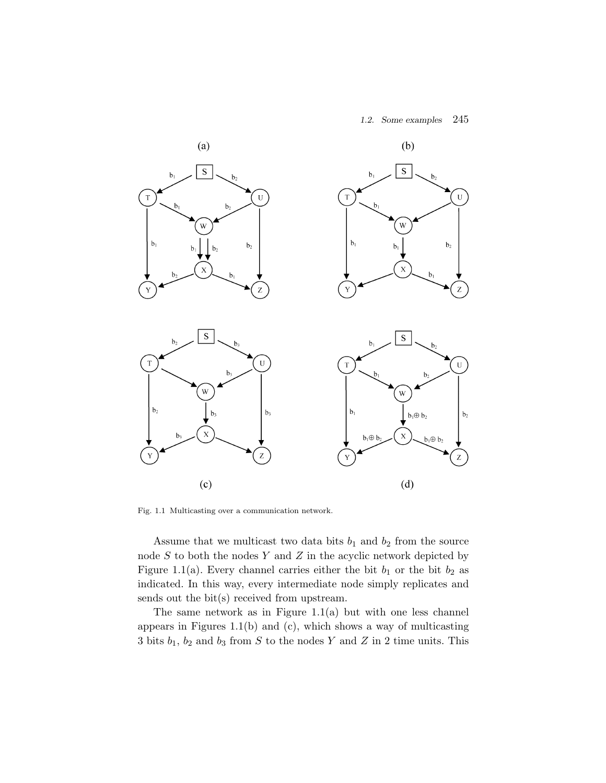#### *1.2. Some examples* 245



Fig. 1.1 Multicasting over a communication network.

Assume that we multicast two data bits  $b_1$  and  $b_2$  from the source node  $S$  to both the nodes  $Y$  and  $Z$  in the acyclic network depicted by Figure 1.1(a). Every channel carries either the bit  $b_1$  or the bit  $b_2$  as indicated. In this way, every intermediate node simply replicates and sends out the bit(s) received from upstream.

The same network as in Figure  $1.1(a)$  but with one less channel appears in Figures 1.1(b) and (c), which shows a way of multicasting 3 bits  $b_1$ ,  $b_2$  and  $b_3$  from S to the nodes Y and Z in 2 time units. This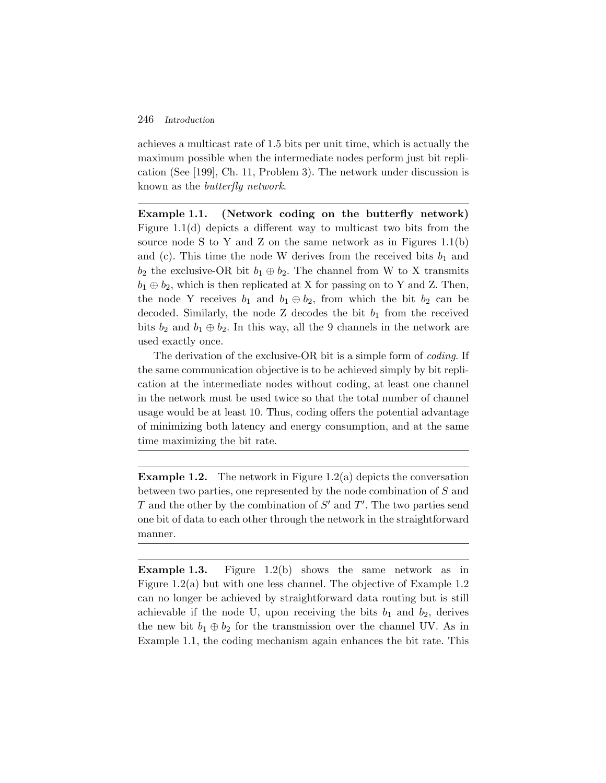#### 246 *Introduction*

achieves a multicast rate of 1.5 bits per unit time, which is actually the maximum possible when the intermediate nodes perform just bit replication (See [199], Ch. 11, Problem 3). The network under discussion is known as the *butterfly network*.

**Example 1.1. (Network coding on the butterfly network)** Figure 1.1(d) depicts a different way to multicast two bits from the source node S to Y and Z on the same network as in Figures  $1.1(b)$ and (c). This time the node W derives from the received bits  $b_1$  and  $b_2$  the exclusive-OR bit  $b_1 \oplus b_2$ . The channel from W to X transmits  $b_1 \oplus b_2$ , which is then replicated at X for passing on to Y and Z. Then, the node Y receives  $b_1$  and  $b_1 \oplus b_2$ , from which the bit  $b_2$  can be decoded. Similarly, the node Z decodes the bit  $b_1$  from the received bits  $b_2$  and  $b_1 \oplus b_2$ . In this way, all the 9 channels in the network are used exactly once.

The derivation of the exclusive-OR bit is a simple form of *coding*. If the same communication objective is to be achieved simply by bit replication at the intermediate nodes without coding, at least one channel in the network must be used twice so that the total number of channel usage would be at least 10. Thus, coding offers the potential advantage of minimizing both latency and energy consumption, and at the same time maximizing the bit rate.

**Example 1.2.** The network in Figure 1.2(a) depicts the conversation between two parties, one represented by the node combination of S and T and the other by the combination of  $S'$  and  $T'$ . The two parties send one bit of data to each other through the network in the straightforward manner.

**Example 1.3.** Figure 1.2(b) shows the same network as in Figure 1.2(a) but with one less channel. The objective of Example 1.2 can no longer be achieved by straightforward data routing but is still achievable if the node U, upon receiving the bits  $b_1$  and  $b_2$ , derives the new bit  $b_1 \oplus b_2$  for the transmission over the channel UV. As in Example 1.1, the coding mechanism again enhances the bit rate. This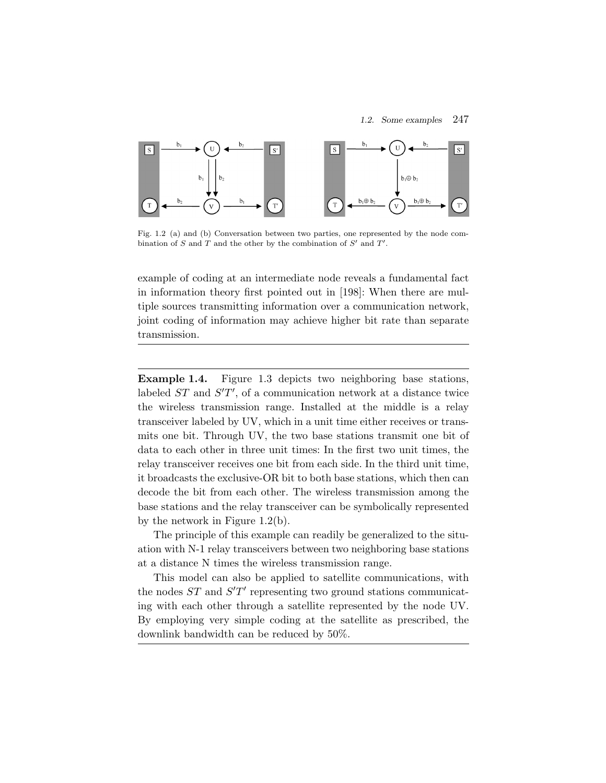

Fig. 1.2 (a) and (b) Conversation between two parties, one represented by the node combination of S and T and the other by the combination of  $S'$  and  $T'$ .

example of coding at an intermediate node reveals a fundamental fact in information theory first pointed out in [198]: When there are multiple sources transmitting information over a communication network, joint coding of information may achieve higher bit rate than separate transmission.

**Example 1.4.** Figure 1.3 depicts two neighboring base stations, labeled  $ST$  and  $S'T'$ , of a communication network at a distance twice the wireless transmission range. Installed at the middle is a relay transceiver labeled by UV, which in a unit time either receives or transmits one bit. Through UV, the two base stations transmit one bit of data to each other in three unit times: In the first two unit times, the relay transceiver receives one bit from each side. In the third unit time, it broadcasts the exclusive-OR bit to both base stations, which then can decode the bit from each other. The wireless transmission among the base stations and the relay transceiver can be symbolically represented by the network in Figure 1.2(b).

The principle of this example can readily be generalized to the situation with N-1 relay transceivers between two neighboring base stations at a distance N times the wireless transmission range.

This model can also be applied to satellite communications, with the nodes  $ST$  and  $S'T'$  representing two ground stations communicating with each other through a satellite represented by the node UV. By employing very simple coding at the satellite as prescribed, the downlink bandwidth can be reduced by 50%.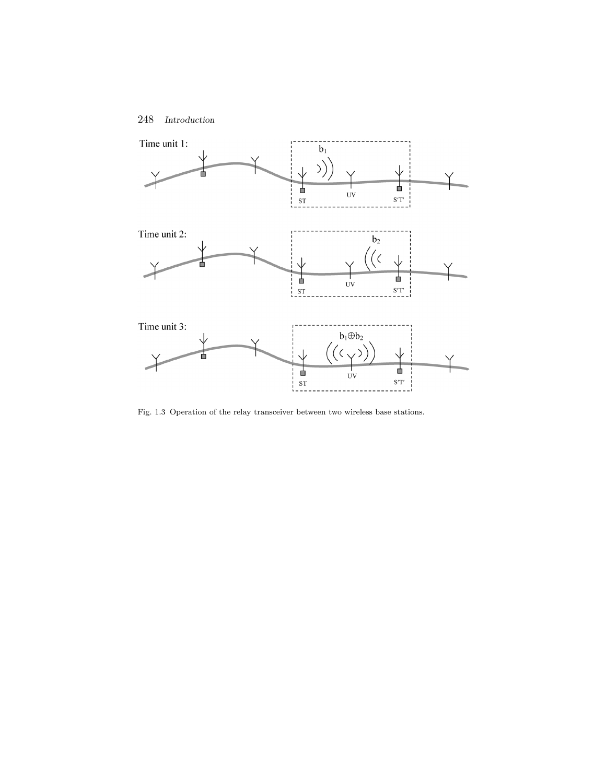



Fig. 1.3 Operation of the relay transceiver between two wireless base stations.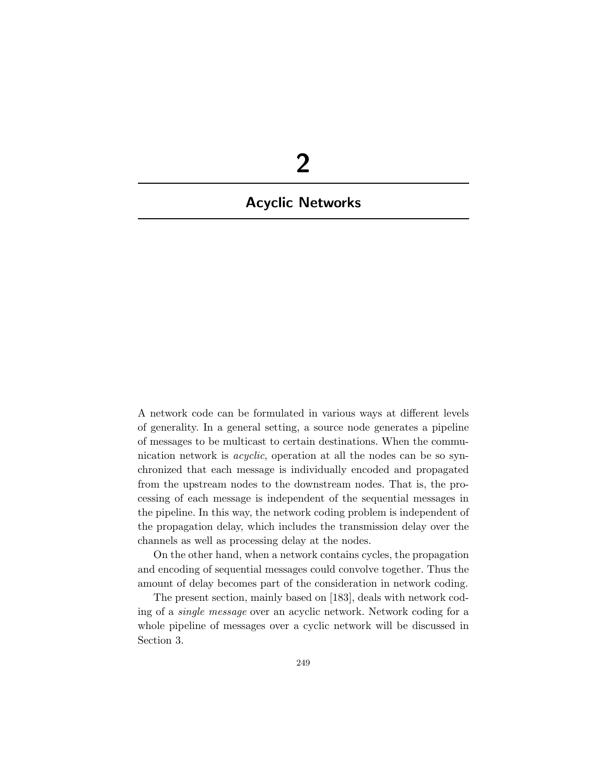## **2**

## **Acyclic Networks**

A network code can be formulated in various ways at different levels of generality. In a general setting, a source node generates a pipeline of messages to be multicast to certain destinations. When the communication network is *acyclic*, operation at all the nodes can be so synchronized that each message is individually encoded and propagated from the upstream nodes to the downstream nodes. That is, the processing of each message is independent of the sequential messages in the pipeline. In this way, the network coding problem is independent of the propagation delay, which includes the transmission delay over the channels as well as processing delay at the nodes.

On the other hand, when a network contains cycles, the propagation and encoding of sequential messages could convolve together. Thus the amount of delay becomes part of the consideration in network coding.

The present section, mainly based on [183], deals with network coding of a *single message* over an acyclic network. Network coding for a whole pipeline of messages over a cyclic network will be discussed in Section 3.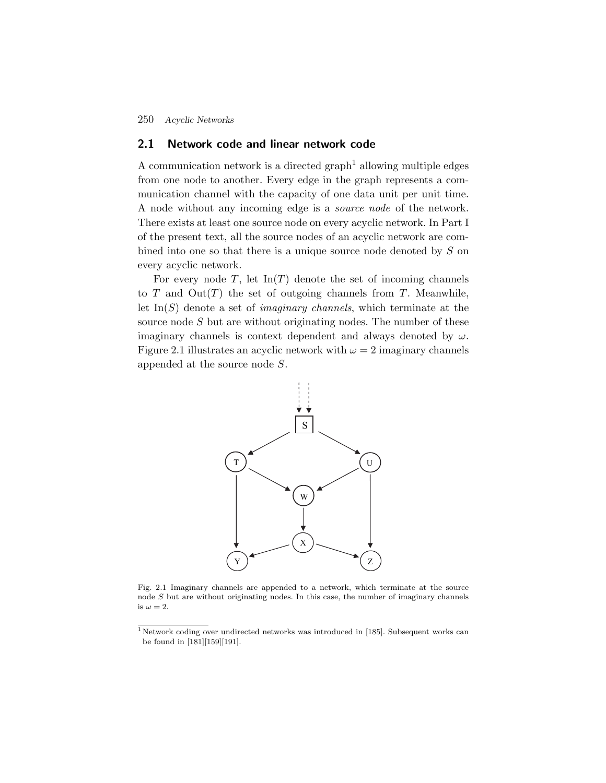#### **2.1 Network code and linear network code**

A communication network is a directed graph<sup>1</sup> allowing multiple edges from one node to another. Every edge in the graph represents a communication channel with the capacity of one data unit per unit time. A node without any incoming edge is a *source node* of the network. There exists at least one source node on every acyclic network. In Part I of the present text, all the source nodes of an acyclic network are combined into one so that there is a unique source node denoted by S on every acyclic network.

For every node  $T$ , let  $\text{In}(T)$  denote the set of incoming channels to  $T$  and  $Out(T)$  the set of outgoing channels from  $T$ . Meanwhile, let In(S) denote a set of *imaginary channels*, which terminate at the source node S but are without originating nodes. The number of these imaginary channels is context dependent and always denoted by  $\omega$ . Figure 2.1 illustrates an acyclic network with  $\omega = 2$  imaginary channels appended at the source node S.



Fig. 2.1 Imaginary channels are appended to a network, which terminate at the source node S but are without originating nodes. In this case, the number of imaginary channels is  $\omega = 2$ .

<sup>1</sup> Network coding over undirected networks was introduced in [185]. Subsequent works can be found in [181][159][191].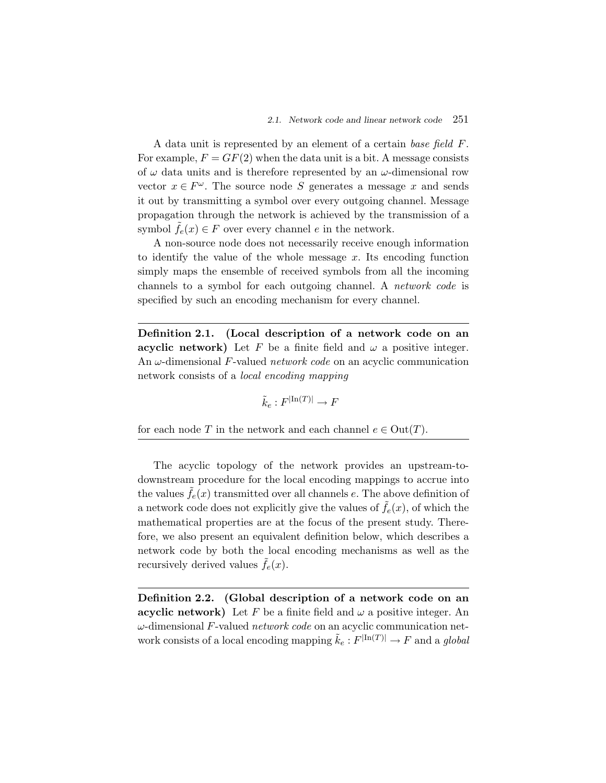A data unit is represented by an element of a certain *base field* F. For example,  $F = GF(2)$  when the data unit is a bit. A message consists of  $\omega$  data units and is therefore represented by an  $\omega$ -dimensional row vector  $x \in F^{\omega}$ . The source node S generates a message x and sends it out by transmitting a symbol over every outgoing channel. Message propagation through the network is achieved by the transmission of a symbol  $f_e(x) \in F$  over every channel e in the network.

A non-source node does not necessarily receive enough information to identify the value of the whole message  $x$ . Its encoding function simply maps the ensemble of received symbols from all the incoming channels to a symbol for each outgoing channel. A *network code* is specified by such an encoding mechanism for every channel.

**Definition 2.1. (Local description of a network code on an acyclic network)** Let F be a finite field and  $\omega$  a positive integer. An ω-dimensional F-valued *network code* on an acyclic communication network consists of a *local encoding mapping*

$$
\tilde{k}_e : F^{|\text{In}(T)|} \to F
$$

for each node T in the network and each channel  $e \in Out(T)$ .

The acyclic topology of the network provides an upstream-todownstream procedure for the local encoding mappings to accrue into the values  $f_e(x)$  transmitted over all channels e. The above definition of a network code does not explicitly give the values of  $\tilde{f}_e(x)$ , of which the mathematical properties are at the focus of the present study. Therefore, we also present an equivalent definition below, which describes a network code by both the local encoding mechanisms as well as the recursively derived values  $f_e(x)$ .

**Definition 2.2. (Global description of a network code on an acyclic network)** Let F be a finite field and  $\omega$  a positive integer. An ω-dimensional F-valued *network code* on an acyclic communication network consists of a local encoding mapping  $\tilde{k}_e : F^{\mid \text{In}(T) \mid} \to F$  and a *global*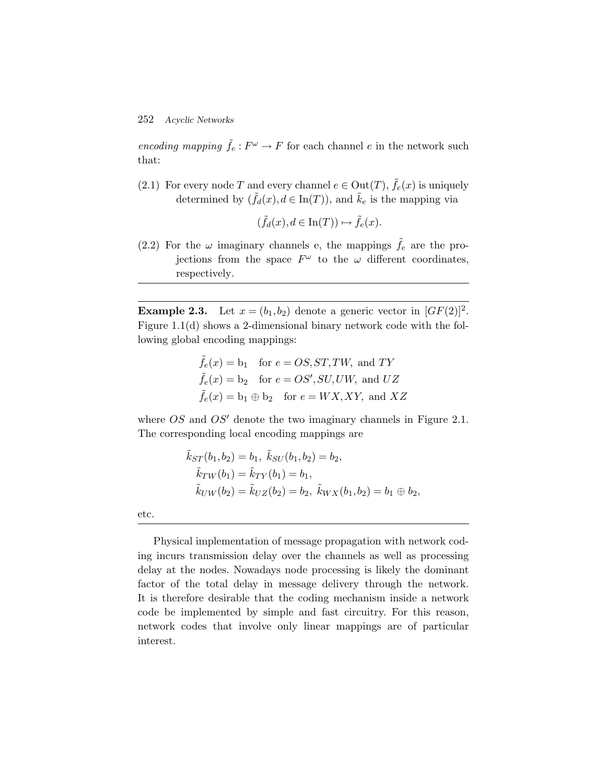*encoding mapping*  $\tilde{f}_e : F^\omega \to F$  for each channel e in the network such that:

(2.1) For every node T and every channel  $e \in Out(T)$ ,  $\tilde{f}_e(x)$  is uniquely determined by  $(\tilde{f}_d(x), d \in \text{In}(T))$ , and  $\tilde{k}_e$  is the mapping via

$$
(\tilde{f}_d(x), d \in \text{In}(T)) \mapsto \tilde{f}_e(x).
$$

(2.2) For the  $\omega$  imaginary channels e, the mappings  $\tilde{f}_e$  are the projections from the space  $F^{\omega}$  to the  $\omega$  different coordinates, respectively.

**Example 2.3.** Let  $x = (b_1, b_2)$  denote a generic vector in  $[GF(2)]^2$ . Figure 1.1(d) shows a 2-dimensional binary network code with the following global encoding mappings:

$$
\tilde{f}_e(x) = b_1
$$
 for  $e = OS, ST, TW$ , and  $TY$   
\n $\tilde{f}_e(x) = b_2$  for  $e = OS', SU, UW$ , and  $UZ$   
\n $\tilde{f}_e(x) = b_1 \oplus b_2$  for  $e = WX, XY$ , and  $XZ$ 

where  $OS$  and  $OS'$  denote the two imaginary channels in Figure 2.1. The corresponding local encoding mappings are

$$
\tilde{k}_{ST}(b_1, b_2) = b_1, \ \tilde{k}_{SU}(b_1, b_2) = b_2,
$$
  
\n
$$
\tilde{k}_{TW}(b_1) = \tilde{k}_{TY}(b_1) = b_1,
$$
  
\n
$$
\tilde{k}_{UW}(b_2) = \tilde{k}_{UZ}(b_2) = b_2, \ \tilde{k}_{WX}(b_1, b_2) = b_1 \oplus b_2,
$$

etc.

Physical implementation of message propagation with network coding incurs transmission delay over the channels as well as processing delay at the nodes. Nowadays node processing is likely the dominant factor of the total delay in message delivery through the network. It is therefore desirable that the coding mechanism inside a network code be implemented by simple and fast circuitry. For this reason, network codes that involve only linear mappings are of particular interest.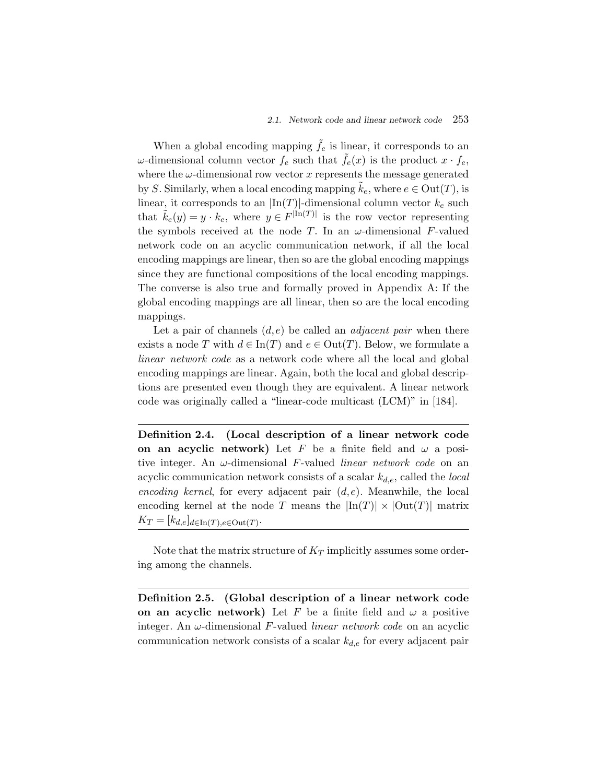When a global encoding mapping  $\tilde{f}_e$  is linear, it corresponds to an ω-dimensional column vector  $f_e$  such that  $\tilde{f}_e(x)$  is the product  $x \cdot f_e$ , where the  $\omega$ -dimensional row vector x represents the message generated by S. Similarly, when a local encoding mapping  $\tilde{k}_e$ , where  $e \in Out(T)$ , is linear, it corresponds to an  $\ln(T)$ -dimensional column vector  $k_e$  such that  $\tilde{k}_e(y) = y \cdot k_e$ , where  $y \in F^{\vert \text{In}(T) \vert}$  is the row vector representing the symbols received at the node T. In an  $\omega$ -dimensional F-valued network code on an acyclic communication network, if all the local encoding mappings are linear, then so are the global encoding mappings since they are functional compositions of the local encoding mappings. The converse is also true and formally proved in Appendix A: If the global encoding mappings are all linear, then so are the local encoding mappings.

Let a pair of channels (d,e) be called an *adjacent pair* when there exists a node T with  $d \in \text{In}(T)$  and  $e \in \text{Out}(T)$ . Below, we formulate a *linear network code* as a network code where all the local and global encoding mappings are linear. Again, both the local and global descriptions are presented even though they are equivalent. A linear network code was originally called a "linear-code multicast (LCM)" in [184].

**Definition 2.4. (Local description of a linear network code on an acyclic network)** Let F be a finite field and  $\omega$  a positive integer. An ω-dimensional F-valued *linear network code* on an acyclic communication network consists of a scalar  $k_{d,e}$ , called the *local encoding kernel*, for every adjacent pair  $(d, e)$ . Meanwhile, the local encoding kernel at the node T means the  $\left|\text{In}(T)\right| \times \left|\text{Out}(T)\right|$  matrix  $K_T = [k_{d,e}]_{d \in \text{In}(T), e \in \text{Out}(T)}.$ 

Note that the matrix structure of  $K_T$  implicitly assumes some ordering among the channels.

**Definition 2.5. (Global description of a linear network code on an acyclic network)** Let F be a finite field and  $\omega$  a positive integer. An ω-dimensional F-valued *linear network code* on an acyclic communication network consists of a scalar  $k_{d,e}$  for every adjacent pair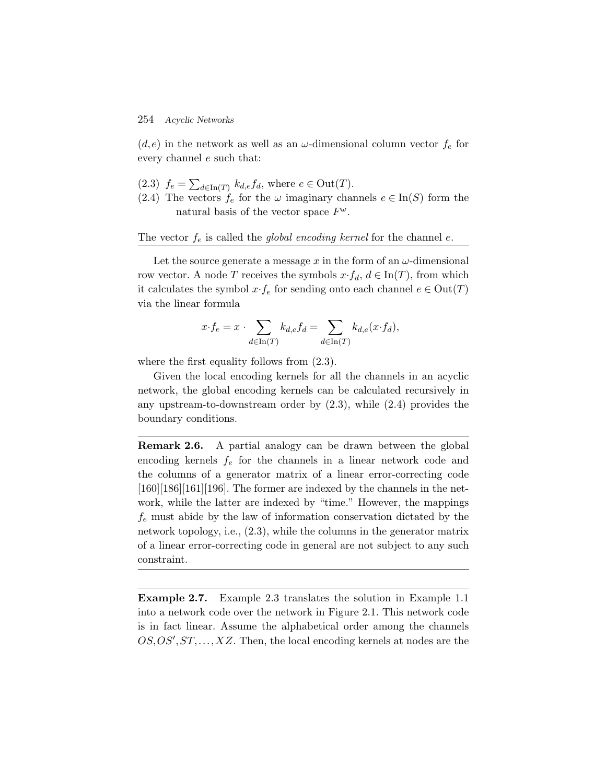$(d,e)$  in the network as well as an  $\omega$ -dimensional column vector  $f_e$  for every channel e such that:

- $(2.3)$   $f_e = \sum_{d \in \text{In}(T)} k_{d,e} f_d$ , where  $e \in \text{Out}(T)$ .
- (2.4) The vectors  $f_e$  for the  $\omega$  imaginary channels  $e \in \text{In}(S)$  form the natural basis of the vector space  $F^{\omega}$ .

The vector  $f_e$  is called the *global encoding kernel* for the channel  $e$ .

Let the source generate a message  $x$  in the form of an  $\omega$ -dimensional row vector. A node T receives the symbols  $x \cdot f_d$ ,  $d \in \text{In}(T)$ , from which it calculates the symbol  $x \cdot f_e$  for sending onto each channel  $e \in Out(T)$ via the linear formula

$$
x \cdot f_e = x \cdot \sum_{d \in \text{In}(T)} k_{d,e} f_d = \sum_{d \in \text{In}(T)} k_{d,e}(x \cdot f_d),
$$

where the first equality follows from  $(2.3)$ .

Given the local encoding kernels for all the channels in an acyclic network, the global encoding kernels can be calculated recursively in any upstream-to-downstream order by (2.3), while (2.4) provides the boundary conditions.

**Remark 2.6.** A partial analogy can be drawn between the global encoding kernels  $f_e$  for the channels in a linear network code and the columns of a generator matrix of a linear error-correcting code  $[160][186][161][196]$ . The former are indexed by the channels in the network, while the latter are indexed by "time." However, the mappings  $f_e$  must abide by the law of information conservation dictated by the network topology, i.e., (2.3), while the columns in the generator matrix of a linear error-correcting code in general are not subject to any such constraint.

**Example 2.7.** Example 2.3 translates the solution in Example 1.1 into a network code over the network in Figure 2.1. This network code is in fact linear. Assume the alphabetical order among the channels  $OS, OS', ST, \ldots, XZ$ . Then, the local encoding kernels at nodes are the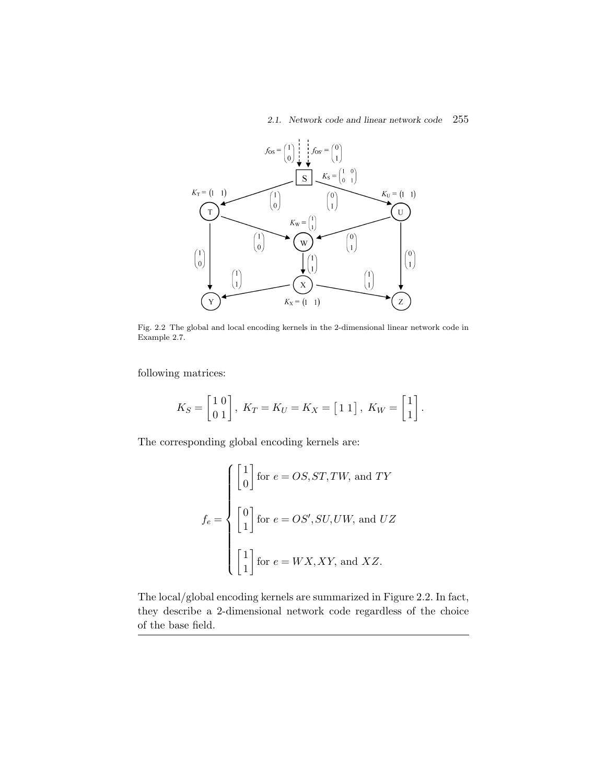*2.1. Network code and linear network code* 255



Fig. 2.2 The global and local encoding kernels in the 2-dimensional linear network code in Example 2.7.

following matrices:

$$
K_S=\begin{bmatrix} 1 \ 0 \\ 0 \ 1 \end{bmatrix}, \ K_T=K_U=K_X=\begin{bmatrix} 1 \ 1 \end{bmatrix}, \ K_W=\begin{bmatrix} 1 \\ 1 \end{bmatrix}.
$$

The corresponding global encoding kernels are:

$$
f_e = \begin{cases} \begin{bmatrix} 1 \\ 0 \end{bmatrix} & \text{for } e = OS, ST, TW, \text{ and } TY \\ \begin{bmatrix} 0 \\ 1 \end{bmatrix} & \text{for } e = OS', SU, UW, \text{ and } UZ \\ \begin{bmatrix} 1 \\ 1 \end{bmatrix} & \text{for } e = WX, XY, \text{ and } XZ. \end{cases}
$$

The local/global encoding kernels are summarized in Figure 2.2. In fact, they describe a 2-dimensional network code regardless of the choice of the base field.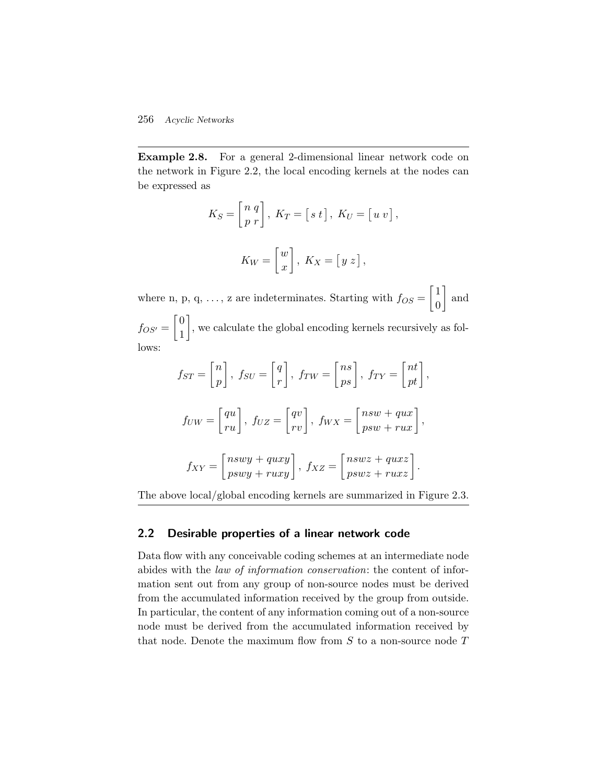**Example 2.8.** For a general 2-dimensional linear network code on the network in Figure 2.2, the local encoding kernels at the nodes can be expressed as

$$
K_S = \begin{bmatrix} n & q \\ p & r \end{bmatrix}, \ K_T = \begin{bmatrix} s & t \end{bmatrix}, \ K_U = \begin{bmatrix} u & v \end{bmatrix},
$$

$$
K_W = \begin{bmatrix} w \\ x \end{bmatrix}, \ K_X = \begin{bmatrix} y & z \end{bmatrix},
$$

where n, p, q, ..., z are indeterminates. Starting with  $f_{OS} = \begin{bmatrix} 1 \\ 0 \end{bmatrix}$ 0 | and  $f_{OS'} = \begin{bmatrix} 0 \\ 1 \end{bmatrix}$ 1 , we calculate the global encoding kernels recursively as follows:

$$
f_{ST} = \begin{bmatrix} n \\ p \end{bmatrix}, f_{SU} = \begin{bmatrix} q \\ r \end{bmatrix}, f_{TW} = \begin{bmatrix} ns \\ ps \end{bmatrix}, f_{TY} = \begin{bmatrix} nt \\ pt \end{bmatrix},
$$

$$
f_{UW} = \begin{bmatrix} qu \\ ru \end{bmatrix}, f_{UZ} = \begin{bmatrix} qv \\ rv \end{bmatrix}, f_{WX} = \begin{bmatrix} nsw + qux \\ psw + rux \end{bmatrix},
$$

$$
f_{XY} = \begin{bmatrix} nswy + quxy \\ pswy + ruxy \end{bmatrix}, f_{XZ} = \begin{bmatrix} nswz + quxz \\ pswz + ruxz \end{bmatrix}.
$$

The above local/global encoding kernels are summarized in Figure 2.3.

#### **2.2 Desirable properties of a linear network code**

Data flow with any conceivable coding schemes at an intermediate node abides with the *law of information conservation*: the content of information sent out from any group of non-source nodes must be derived from the accumulated information received by the group from outside. In particular, the content of any information coming out of a non-source node must be derived from the accumulated information received by that node. Denote the maximum flow from  $S$  to a non-source node  $T$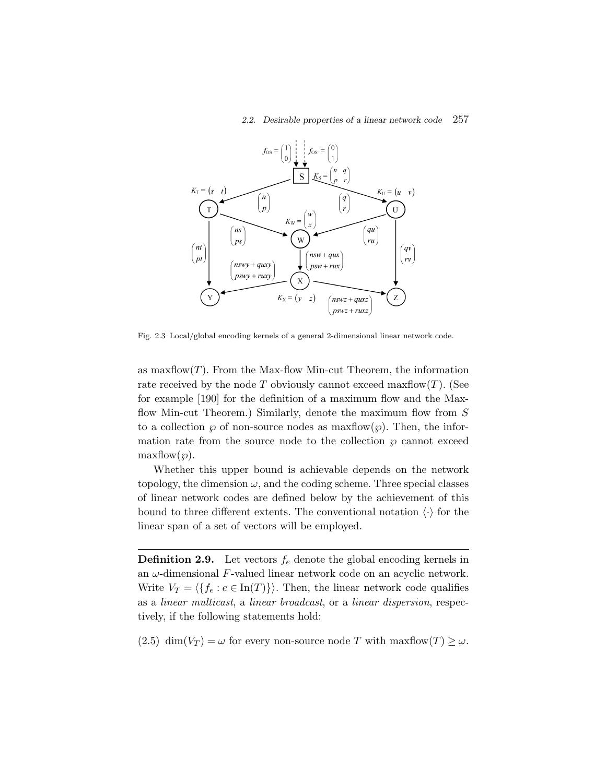#### *2.2. Desirable properties of a linear network code* 257



Fig. 2.3 Local/global encoding kernels of a general 2-dimensional linear network code.

as maxflow $(T)$ . From the Max-flow Min-cut Theorem, the information rate received by the node T obviously cannot exceed maxflow $(T)$ . (See for example [190] for the definition of a maximum flow and the Maxflow Min-cut Theorem.) Similarly, denote the maximum flow from  $S$ to a collection  $\wp$  of non-source nodes as maxflow $(\wp)$ . Then, the information rate from the source node to the collection  $\varphi$  cannot exceed  $\text{maxflow}(\wp)$ .

Whether this upper bound is achievable depends on the network topology, the dimension  $\omega$ , and the coding scheme. Three special classes of linear network codes are defined below by the achievement of this bound to three different extents. The conventional notation  $\langle \cdot \rangle$  for the linear span of a set of vectors will be employed.

**Definition 2.9.** Let vectors  $f_e$  denote the global encoding kernels in an  $\omega$ -dimensional F-valued linear network code on an acyclic network. Write  $V_T = \langle \{f_e : e \in \text{In}(T)\}\rangle$ . Then, the linear network code qualifies as a *linear multicast*, a *linear broadcast*, or a *linear dispersion*, respectively, if the following statements hold:

(2.5) dim( $V_T$ ) =  $\omega$  for every non-source node T with maxflow(T)  $\geq \omega$ .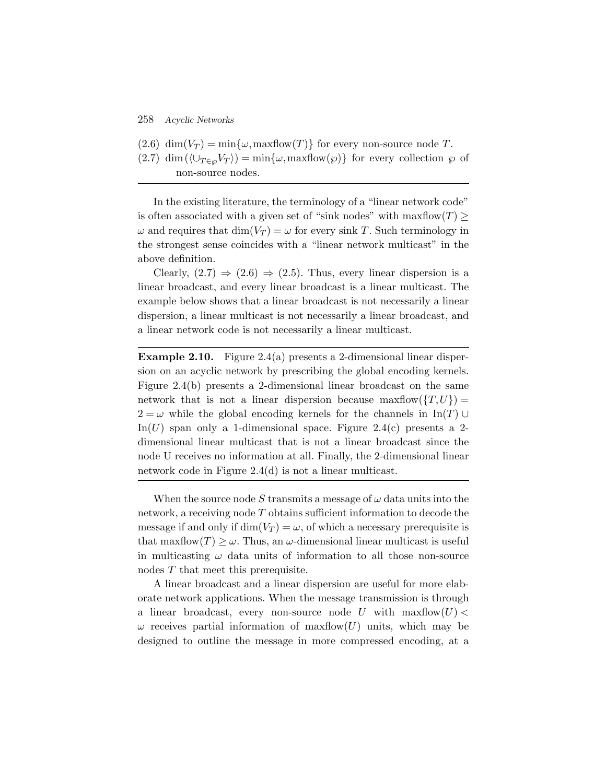- $(2.6)$  dim $(V_T) = \min\{\omega, \text{maxflow}(T)\}\)$  for every non-source node T.
- $(2.7)$  dim  $(\langle \bigcup_{T \in \omega} V_T \rangle) = \min{\{\omega, \maxflow(\varphi)\}}$  for every collection  $\varphi$  of non-source nodes.

In the existing literature, the terminology of a "linear network code" is often associated with a given set of "sink nodes" with maxflow $(T) \geq$  $\omega$  and requires that  $\dim(V_T) = \omega$  for every sink T. Such terminology in the strongest sense coincides with a "linear network multicast" in the above definition.

Clearly,  $(2.7) \Rightarrow (2.6) \Rightarrow (2.5)$ . Thus, every linear dispersion is a linear broadcast, and every linear broadcast is a linear multicast. The example below shows that a linear broadcast is not necessarily a linear dispersion, a linear multicast is not necessarily a linear broadcast, and a linear network code is not necessarily a linear multicast.

**Example 2.10.** Figure 2.4(a) presents a 2-dimensional linear dispersion on an acyclic network by prescribing the global encoding kernels. Figure 2.4(b) presents a 2-dimensional linear broadcast on the same network that is not a linear dispersion because maxiflow  $(T,U)$  =  $2 = \omega$  while the global encoding kernels for the channels in In(T) ∪ In(U) span only a 1-dimensional space. Figure 2.4(c) presents a 2dimensional linear multicast that is not a linear broadcast since the node U receives no information at all. Finally, the 2-dimensional linear network code in Figure 2.4(d) is not a linear multicast.

When the source node S transmits a message of  $\omega$  data units into the network, a receiving node T obtains sufficient information to decode the message if and only if  $\dim(V_T) = \omega$ , of which a necessary prerequisite is that maxflow $(T) \geq \omega$ . Thus, an  $\omega$ -dimensional linear multicast is useful in multicasting  $\omega$  data units of information to all those non-source nodes T that meet this prerequisite.

A linear broadcast and a linear dispersion are useful for more elaborate network applications. When the message transmission is through a linear broadcast, every non-source node U with  $\maxflow(U)$  $\omega$  receives partial information of maxflow(U) units, which may be designed to outline the message in more compressed encoding, at a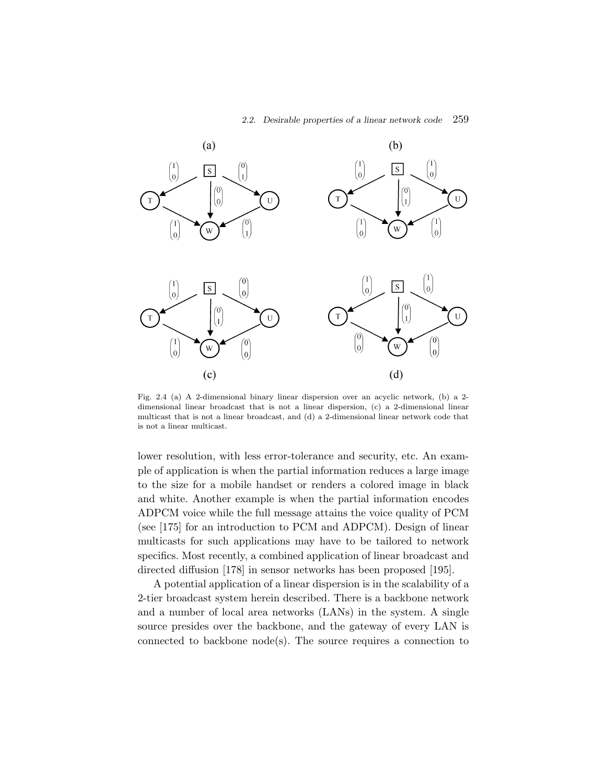

Fig. 2.4 (a) A 2-dimensional binary linear dispersion over an acyclic network, (b) a 2 dimensional linear broadcast that is not a linear dispersion, (c) a 2-dimensional linear multicast that is not a linear broadcast, and (d) a 2-dimensional linear network code that is not a linear multicast.

lower resolution, with less error-tolerance and security, etc. An example of application is when the partial information reduces a large image to the size for a mobile handset or renders a colored image in black and white. Another example is when the partial information encodes ADPCM voice while the full message attains the voice quality of PCM (see [175] for an introduction to PCM and ADPCM). Design of linear multicasts for such applications may have to be tailored to network specifics. Most recently, a combined application of linear broadcast and directed diffusion [178] in sensor networks has been proposed [195].

A potential application of a linear dispersion is in the scalability of a 2-tier broadcast system herein described. There is a backbone network and a number of local area networks (LANs) in the system. A single source presides over the backbone, and the gateway of every LAN is connected to backbone node(s). The source requires a connection to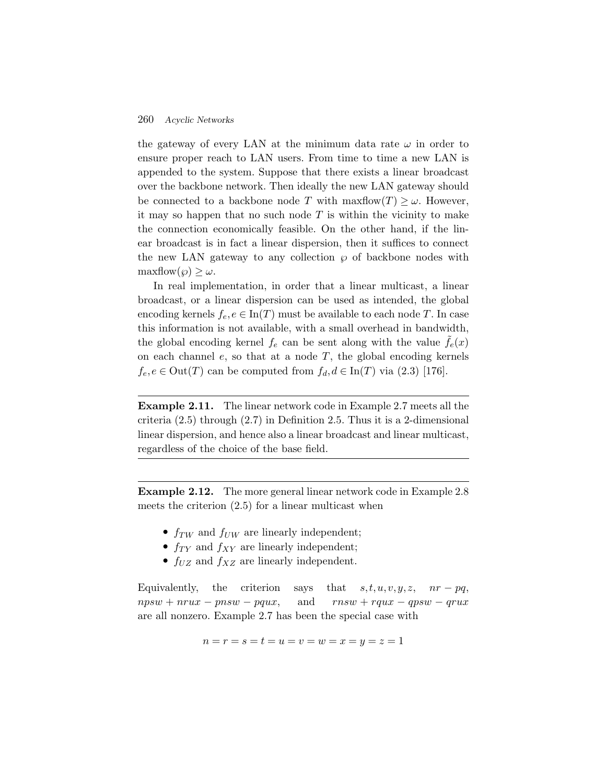the gateway of every LAN at the minimum data rate  $\omega$  in order to ensure proper reach to LAN users. From time to time a new LAN is appended to the system. Suppose that there exists a linear broadcast over the backbone network. Then ideally the new LAN gateway should be connected to a backbone node T with maxflow $(T) \geq \omega$ . However, it may so happen that no such node  $T$  is within the vicinity to make the connection economically feasible. On the other hand, if the linear broadcast is in fact a linear dispersion, then it suffices to connect the new LAN gateway to any collection  $\wp$  of backbone nodes with  $\maxflow(\varphi) \geq \omega$ .

In real implementation, in order that a linear multicast, a linear broadcast, or a linear dispersion can be used as intended, the global encoding kernels  $f_e, e \in \text{In}(T)$  must be available to each node T. In case this information is not available, with a small overhead in bandwidth, the global encoding kernel  $f_e$  can be sent along with the value  $f_e(x)$ on each channel  $e$ , so that at a node  $T$ , the global encoding kernels  $f_e, e \in Out(T)$  can be computed from  $f_d, d \in In(T)$  via  $(2.3)$  [176].

**Example 2.11.** The linear network code in Example 2.7 meets all the criteria (2.5) through (2.7) in Definition 2.5. Thus it is a 2-dimensional linear dispersion, and hence also a linear broadcast and linear multicast, regardless of the choice of the base field.

**Example 2.12.** The more general linear network code in Example 2.8 meets the criterion  $(2.5)$  for a linear multicast when

- $f_{TW}$  and  $f_{UW}$  are linearly independent;
- $f_{TY}$  and  $f_{XY}$  are linearly independent;
- $f_{UZ}$  and  $f_{XZ}$  are linearly independent.

Equivalently, the criterion says that  $s, t, u, v, y, z, nr - pq$ ,  $npsw + nrux - pnsw - pqux$ , and  $rnsw + rqux - qpsw - qrux$ are all nonzero. Example 2.7 has been the special case with

$$
n = r = s = t = u = v = w = x = y = z = 1
$$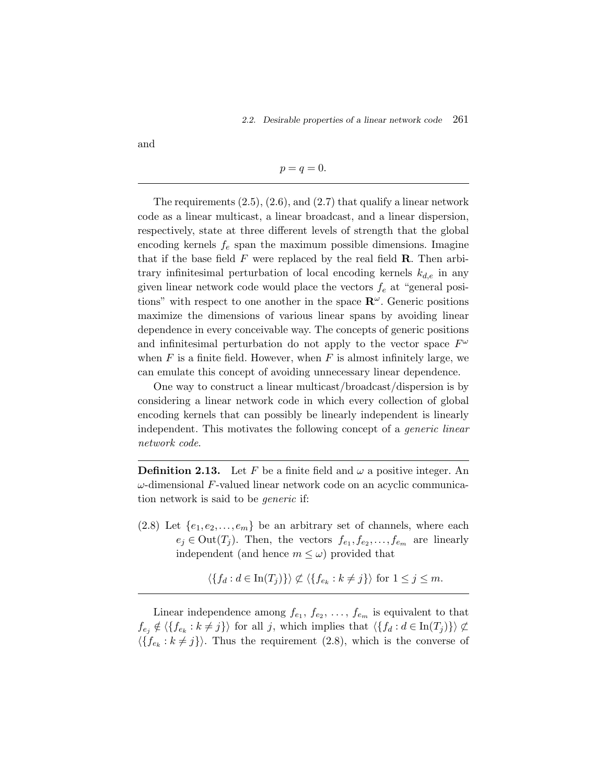and

#### $p = q = 0.$

The requirements  $(2.5)$ ,  $(2.6)$ , and  $(2.7)$  that qualify a linear network code as a linear multicast, a linear broadcast, and a linear dispersion, respectively, state at three different levels of strength that the global encoding kernels  $f_e$  span the maximum possible dimensions. Imagine that if the base field  $F$  were replaced by the real field  $\bf R$ . Then arbitrary infinitesimal perturbation of local encoding kernels  $k_{d,e}$  in any given linear network code would place the vectors  $f_e$  at "general positions" with respect to one another in the space  $\mathbb{R}^{\omega}$ . Generic positions maximize the dimensions of various linear spans by avoiding linear dependence in every conceivable way. The concepts of generic positions and infinitesimal perturbation do not apply to the vector space  $F^{\omega}$ when  $F$  is a finite field. However, when  $F$  is almost infinitely large, we can emulate this concept of avoiding unnecessary linear dependence.

One way to construct a linear multicast/broadcast/dispersion is by considering a linear network code in which every collection of global encoding kernels that can possibly be linearly independent is linearly independent. This motivates the following concept of a *generic linear network code*.

**Definition 2.13.** Let F be a finite field and  $\omega$  a positive integer. An  $\omega$ -dimensional F-valued linear network code on an acyclic communication network is said to be *generic* if:

 $(2.8)$  Let  $\{e_1, e_2, \ldots, e_m\}$  be an arbitrary set of channels, where each  $e_j \in \text{Out}(T_j)$ . Then, the vectors  $f_{e_1}, f_{e_2}, \ldots, f_{e_m}$  are linearly independent (and hence  $m \leq \omega$ ) provided that

$$
\langle \{ f_d : d \in \text{In}(T_j) \} \rangle \not\subset \langle \{ f_{e_k} : k \neq j \} \rangle \text{ for } 1 \leq j \leq m.
$$

Linear independence among  $f_{e_1}, f_{e_2}, \ldots, f_{e_m}$  is equivalent to that  $f_{e_j} \notin \langle \{f_{e_k} : k \neq j\} \rangle$  for all j, which implies that  $\langle \{f_d : d \in \text{In}(T_j)\} \rangle \nsubseteq$  $\langle \{f_{e_k}:k\neq j\}\rangle$ . Thus the requirement (2.8), which is the converse of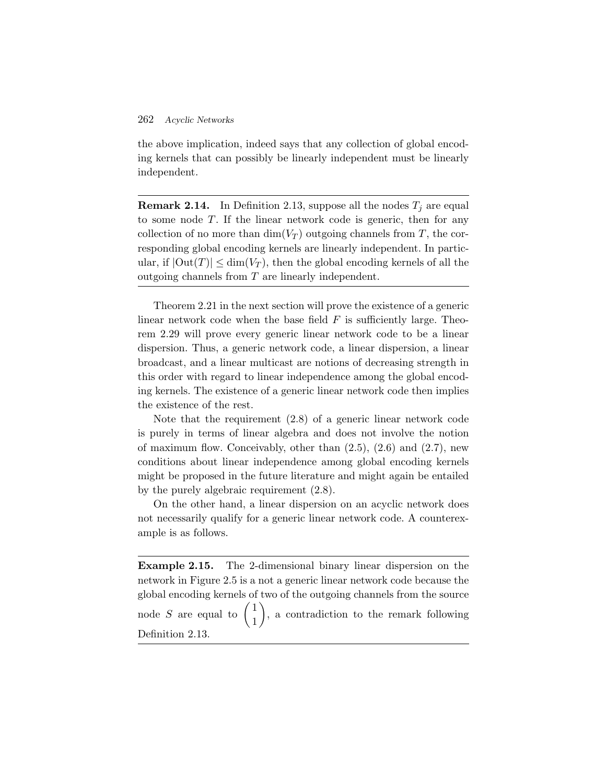the above implication, indeed says that any collection of global encoding kernels that can possibly be linearly independent must be linearly independent.

**Remark 2.14.** In Definition 2.13, suppose all the nodes  $T_j$  are equal to some node T. If the linear network code is generic, then for any collection of no more than  $\dim(V_T)$  outgoing channels from T, the corresponding global encoding kernels are linearly independent. In particular, if  $|\text{Out}(T)| \le \dim(V_T)$ , then the global encoding kernels of all the outgoing channels from T are linearly independent.

Theorem 2.21 in the next section will prove the existence of a generic linear network code when the base field  $F$  is sufficiently large. Theorem 2.29 will prove every generic linear network code to be a linear dispersion. Thus, a generic network code, a linear dispersion, a linear broadcast, and a linear multicast are notions of decreasing strength in this order with regard to linear independence among the global encoding kernels. The existence of a generic linear network code then implies the existence of the rest.

Note that the requirement (2.8) of a generic linear network code is purely in terms of linear algebra and does not involve the notion of maximum flow. Conceivably, other than  $(2.5)$ ,  $(2.6)$  and  $(2.7)$ , new conditions about linear independence among global encoding kernels might be proposed in the future literature and might again be entailed by the purely algebraic requirement (2.8).

On the other hand, a linear dispersion on an acyclic network does not necessarily qualify for a generic linear network code. A counterexample is as follows.

**Example 2.15.** The 2-dimensional binary linear dispersion on the network in Figure 2.5 is a not a generic linear network code because the global encoding kernels of two of the outgoing channels from the source node S are equal to  $\begin{pmatrix} 1 \\ 1 \end{pmatrix}$  , a contradiction to the remark following Definition 2.13.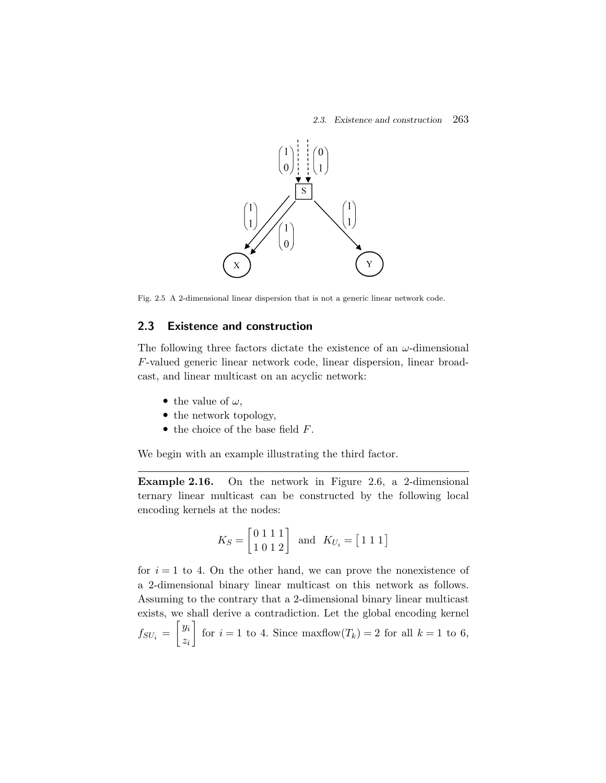

Fig. 2.5 A 2-dimensional linear dispersion that is not a generic linear network code.

#### **2.3 Existence and construction**

The following three factors dictate the existence of an  $\omega$ -dimensional F-valued generic linear network code, linear dispersion, linear broadcast, and linear multicast on an acyclic network:

- the value of  $\omega$ ,
- the network topology,
- $\bullet$  the choice of the base field  $F$ .

We begin with an example illustrating the third factor.

**Example 2.16.** On the network in Figure 2.6, a 2-dimensional ternary linear multicast can be constructed by the following local encoding kernels at the nodes:

$$
K_S = \begin{bmatrix} 0 & 1 & 1 & 1 \\ 1 & 0 & 1 & 2 \end{bmatrix} \quad \text{and} \quad K_{U_i} = \begin{bmatrix} 1 & 1 & 1 \end{bmatrix}
$$

for  $i = 1$  to 4. On the other hand, we can prove the nonexistence of a 2-dimensional binary linear multicast on this network as follows. Assuming to the contrary that a 2-dimensional binary linear multicast exists, we shall derive a contradiction. Let the global encoding kernel  $f_{SU_i} = \begin{bmatrix} y_i \ z_i \end{bmatrix}$ zi for  $i = 1$  to 4. Since maxflow $(T_k) = 2$  for all  $k = 1$  to 6,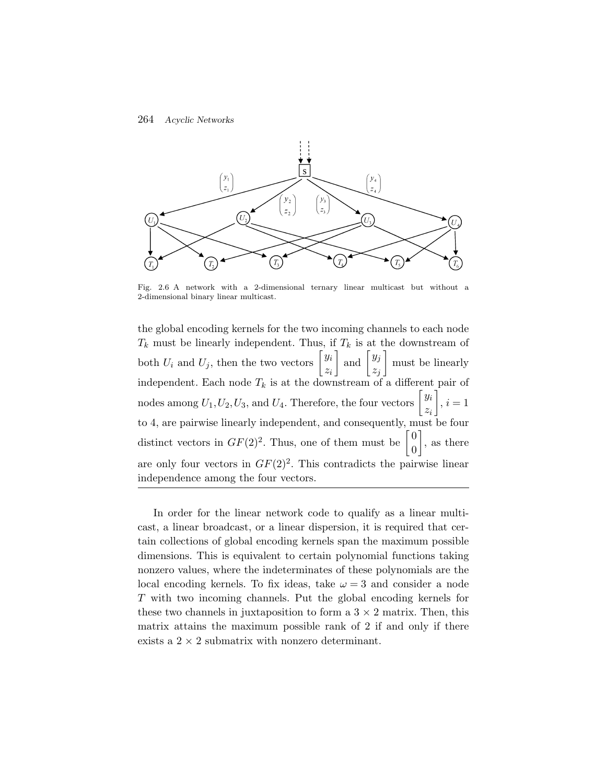

Fig. 2.6 A network with a 2-dimensional ternary linear multicast but without a 2-dimensional binary linear multicast.

the global encoding kernels for the two incoming channels to each node  $T_k$  must be linearly independent. Thus, if  $T_k$  is at the downstream of both  $U_i$  and  $U_j$ , then the two vectors  $\begin{bmatrix} y_i \\ z_i \end{bmatrix}$ zi  $\Big]$  and  $\Big[ y_j$  $z_j$  must be linearly independent. Each node  $T_k$  is at the downstream of a different pair of nodes among  $U_1, U_2, U_3$ , and  $U_4$ . Therefore, the four vectors  $\begin{bmatrix} y_i \\ y_j \end{bmatrix}$ zi  $\Big\}, i=1$ to 4, are pairwise linearly independent, and consequently, must be four distinct vectors in  $GF(2)^2$ . Thus, one of them must be  $\begin{bmatrix} 0 \\ 0 \end{bmatrix}$ 0  $\Big]$ , as there are only four vectors in  $GF(2)^2$ . This contradicts the pairwise linear independence among the four vectors.

In order for the linear network code to qualify as a linear multicast, a linear broadcast, or a linear dispersion, it is required that certain collections of global encoding kernels span the maximum possible dimensions. This is equivalent to certain polynomial functions taking nonzero values, where the indeterminates of these polynomials are the local encoding kernels. To fix ideas, take  $\omega = 3$  and consider a node T with two incoming channels. Put the global encoding kernels for these two channels in juxtaposition to form a  $3 \times 2$  matrix. Then, this matrix attains the maximum possible rank of 2 if and only if there exists a  $2 \times 2$  submatrix with nonzero determinant.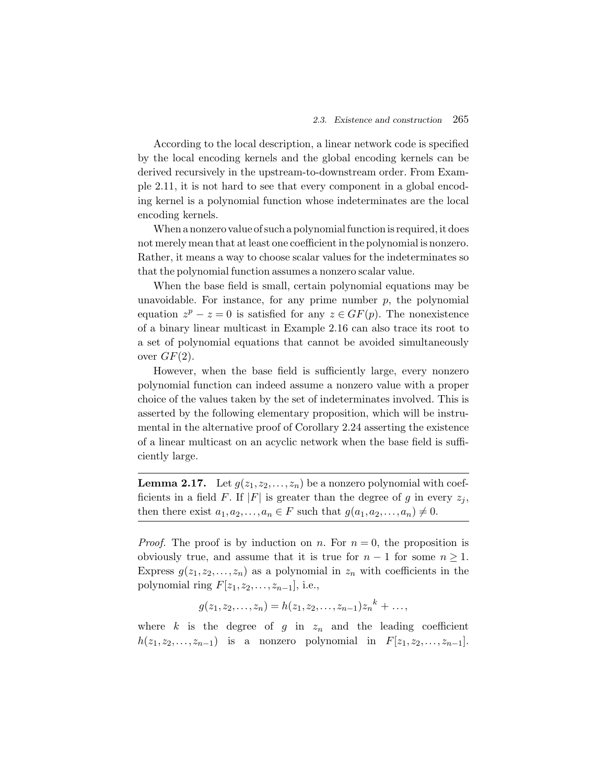According to the local description, a linear network code is specified by the local encoding kernels and the global encoding kernels can be derived recursively in the upstream-to-downstream order. From Example 2.11, it is not hard to see that every component in a global encoding kernel is a polynomial function whose indeterminates are the local encoding kernels.

When a nonzero value of such a polynomial function is required, it does not merely mean that at least one coefficient in the polynomial is nonzero. Rather, it means a way to choose scalar values for the indeterminates so that the polynomial function assumes a nonzero scalar value.

When the base field is small, certain polynomial equations may be unavoidable. For instance, for any prime number  $p$ , the polynomial equation  $z^p - z = 0$  is satisfied for any  $z \in GF(p)$ . The nonexistence of a binary linear multicast in Example 2.16 can also trace its root to a set of polynomial equations that cannot be avoided simultaneously over  $GF(2)$ .

However, when the base field is sufficiently large, every nonzero polynomial function can indeed assume a nonzero value with a proper choice of the values taken by the set of indeterminates involved. This is asserted by the following elementary proposition, which will be instrumental in the alternative proof of Corollary 2.24 asserting the existence of a linear multicast on an acyclic network when the base field is sufficiently large.

**Lemma 2.17.** Let  $g(z_1, z_2, \ldots, z_n)$  be a nonzero polynomial with coefficients in a field F. If |F| is greater than the degree of g in every  $z_i$ , then there exist  $a_1, a_2, \ldots, a_n \in F$  such that  $g(a_1, a_2, \ldots, a_n) \neq 0$ .

*Proof.* The proof is by induction on n. For  $n = 0$ , the proposition is obviously true, and assume that it is true for  $n-1$  for some  $n \geq 1$ . Express  $g(z_1,z_2,\ldots,z_n)$  as a polynomial in  $z_n$  with coefficients in the polynomial ring  $F[z_1,z_2,\ldots,z_{n-1}],$  i.e.,

$$
g(z_1, z_2,..., z_n) = h(z_1, z_2,..., z_{n-1})z_n^{k} + ...,
$$

where k is the degree of g in  $z_n$  and the leading coefficient  $h(z_1,z_2,\ldots,z_{n-1})$  is a nonzero polynomial in  $F[z_1,z_2,\ldots,z_{n-1}].$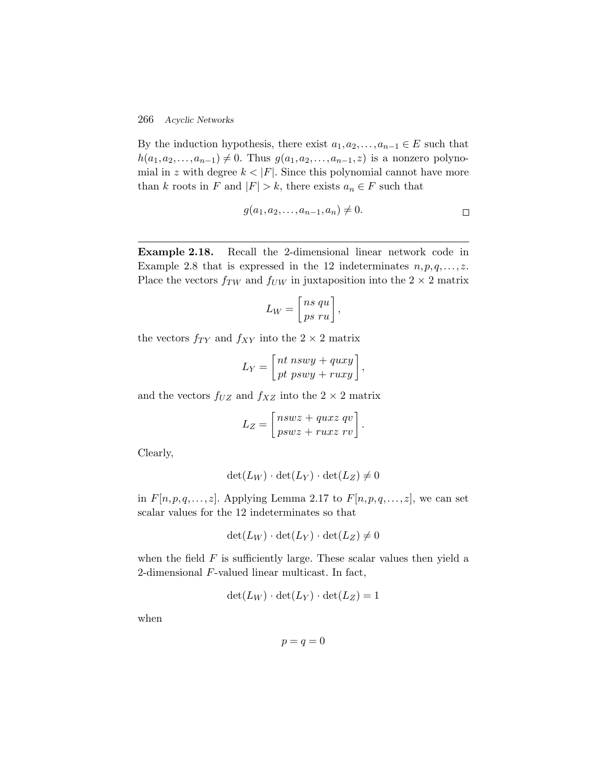By the induction hypothesis, there exist  $a_1, a_2, \ldots, a_{n-1} \in E$  such that  $h(a_1, a_2,..., a_{n-1}) \neq 0$ . Thus  $g(a_1, a_2,..., a_{n-1}, z)$  is a nonzero polynomial in z with degree  $k < |F|$ . Since this polynomial cannot have more than k roots in F and  $|F| > k$ , there exists  $a_n \in F$  such that

$$
g(a_1, a_2,..., a_{n-1}, a_n) \neq 0.
$$

**Example 2.18.** Recall the 2-dimensional linear network code in Example 2.8 that is expressed in the 12 indeterminates  $n, p, q, \ldots, z$ . Place the vectors  $f_{TW}$  and  $f_{UW}$  in juxtaposition into the  $2 \times 2$  matrix

$$
L_W = \left[\begin{matrix} ns qu \\ ps ru \end{matrix}\right],
$$

the vectors  $f_{TY}$  and  $f_{XY}$  into the  $2 \times 2$  matrix

$$
L_Y = \left[ \begin{matrix} nt & nswy + quxy \\ pt & pswy + ruxy \end{matrix} \right],
$$

and the vectors  $f_{UZ}$  and  $f_{XZ}$  into the  $2 \times 2$  matrix

$$
L_Z = \begin{bmatrix} nswz + quxz & qv \\ pswz + ruxz & rv \end{bmatrix}.
$$

Clearly,

$$
\det(L_W) \cdot \det(L_Y) \cdot \det(L_Z) \neq 0
$$

in  $F[n, p, q, \ldots, z]$ . Applying Lemma 2.17 to  $F[n, p, q, \ldots, z]$ , we can set scalar values for the 12 indeterminates so that

$$
\det(L_W) \cdot \det(L_Y) \cdot \det(L_Z) \neq 0
$$

when the field  $F$  is sufficiently large. These scalar values then yield a 2-dimensional F-valued linear multicast. In fact,

$$
\det(L_W) \cdot \det(L_Y) \cdot \det(L_Z) = 1
$$

when

$$
p = q = 0
$$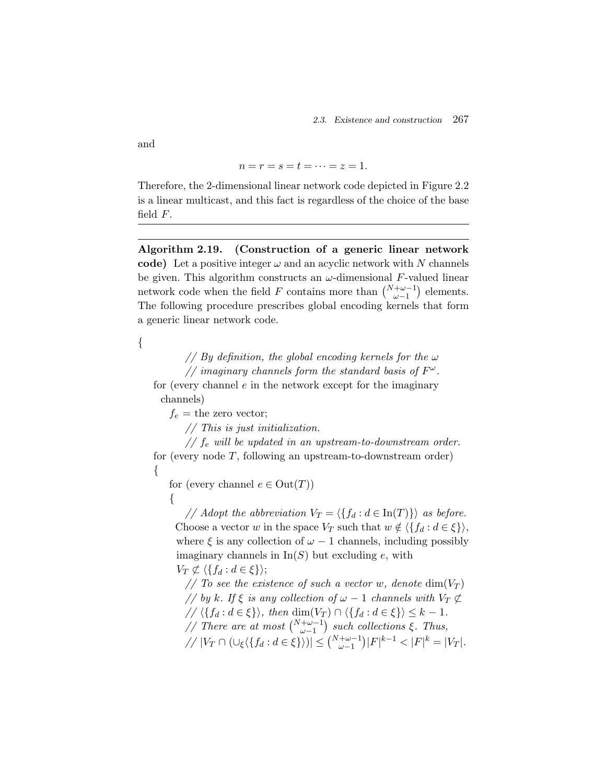$$
n = r = s = t = \dots = z = 1.
$$

Therefore, the 2-dimensional linear network code depicted in Figure 2.2 is a linear multicast, and this fact is regardless of the choice of the base field  $F$ .

**Algorithm 2.19. (Construction of a generic linear network code)** Let a positive integer  $\omega$  and an acyclic network with N channels be given. This algorithm constructs an  $\omega$ -dimensional F-valued linear network code when the field F contains more than  $\binom{N+\omega-1}{\omega-1}$  elements. The following procedure prescribes global encoding kernels that form a generic linear network code.

{

*// By definition, the global encoding kernels for the* ω *// imaginary channels form the standard basis of*  $F^{\omega}$ .

for (every channel  $e$  in the network except for the imaginary channels)

 $f_e$  = the zero vector;

*// This is just initialization.*

 $\frac{1}{s}$  *f<sub>e</sub>* will be updated in an upstream-to-downstream order. for (every node T, following an upstream-to-downstream order) {

for (every channel  $e \in Out(T)$ )

{

*// Adopt the abbreviation*  $V_T = \langle \{f_d : d \in \text{In}(T)\}\rangle$  *as before.* Choose a vector w in the space  $V_T$  such that  $w \notin \langle \{f_d : d \in \xi\} \rangle$ , where  $\xi$  is any collection of  $\omega - 1$  channels, including possibly imaginary channels in  $\text{In}(S)$  but excluding e, with  $V_T \not\subset \langle \{f_d : d \in \xi\} \rangle;$ 

*//* To see the existence of such a vector w, denote  $\dim(V_T)$ *// by* k. If  $\xi$  is any collection of  $\omega$  − 1 channels with  $V_T \nsubseteq$  $\ell$ //  $\langle \{f_d : d \in \xi\} \rangle$ , then dim( $V_T$ )  $\cap$   $\langle \{f_d : d \in \xi\} \rangle \leq k - 1$ . *// There are at most*  $\binom{N+\omega-1}{\omega-1}$  *such collections* ξ*. Thus,*  $/ / |V_T \cap (\cup_{\xi} \langle \{ f_d : d \in \xi \} \rangle)| \leq {N + \omega - 1 \choose \omega - 1} |F|^{k-1} < |F|^k = |V_T|.$ 

and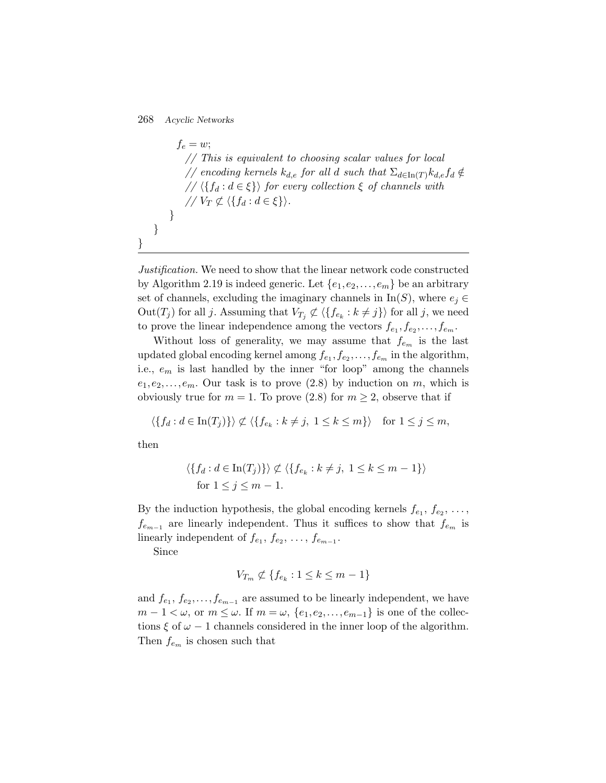$f_e = w;$ *// This is equivalent to choosing scalar values for local // encoding kernels*  $k_{d,e}$  *for all d such that*  $\sum_{d \in \text{In}(T)} k_{d,e} f_d \notin$  $// \langle \{f_d : d \in \xi\} \rangle$  for every collection  $\xi$  of channels with  $// V_T \not\subset \langle \{f_d : d \in \xi\} \rangle.$ } }

*Justification.* We need to show that the linear network code constructed by Algorithm 2.19 is indeed generic. Let  $\{e_1, e_2, \ldots, e_m\}$  be an arbitrary set of channels, excluding the imaginary channels in  $In(S)$ , where  $e_j \in$  $\mathrm{Out}(T_j)$  for all j. Assuming that  $V_{T_j} \not\subset \langle \{f_{e_k}:k\neq j\}\rangle$  for all j, we need to prove the linear independence among the vectors  $f_{e_1}, f_{e_2}, \ldots, f_{e_m}$ .

Without loss of generality, we may assume that  $f_{e_m}$  is the last updated global encoding kernel among  $f_{e_1}, f_{e_2}, \ldots, f_{e_m}$  in the algorithm, i.e.,  $e_m$  is last handled by the inner "for loop" among the channels  $e_1,e_2,\ldots,e_m$ . Our task is to prove  $(2.8)$  by induction on m, which is obviously true for  $m = 1$ . To prove (2.8) for  $m \geq 2$ , observe that if

$$
\langle \{ f_d : d \in \text{In}(T_j) \} \rangle \not\subset \langle \{ f_{e_k} : k \neq j, 1 \leq k \leq m \} \rangle \quad \text{for } 1 \leq j \leq m,
$$

then

}

$$
\langle \{ f_d : d \in \text{In}(T_j) \} \rangle \not\subset \langle \{ f_{e_k} : k \neq j, 1 \leq k \leq m - 1 \} \rangle
$$
  
for  $1 \leq j \leq m - 1$ .

By the induction hypothesis, the global encoding kernels  $f_{e_1}, f_{e_2}, \ldots$ ,  $f_{e_{m-1}}$  are linearly independent. Thus it suffices to show that  $f_{e_m}$  is linearly independent of  $f_{e_1}, f_{e_2}, \ldots, f_{e_{m-1}}$ .

Since

$$
V_{T_m} \not\subset \{f_{e_k} : 1 \le k \le m - 1\}
$$

and  $f_{e_1}, f_{e_2}, \ldots, f_{e_{m-1}}$  are assumed to be linearly independent, we have  $m-1<\omega$ , or  $m\leq\omega$ . If  $m=\omega$ ,  $\{e_1,e_2,\ldots,e_{m-1}\}$  is one of the collections  $\xi$  of  $\omega - 1$  channels considered in the inner loop of the algorithm. Then  $f_{e_m}$  is chosen such that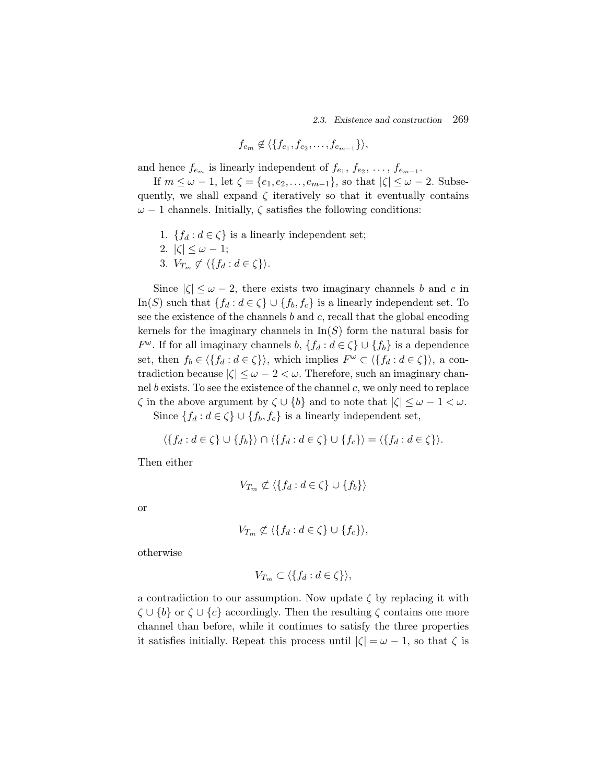$$
f_{e_m} \notin \langle \{f_{e_1}, f_{e_2}, \ldots, f_{e_{m-1}}\} \rangle,
$$

and hence  $f_{e_m}$  is linearly independent of  $f_{e_1}, f_{e_2}, \ldots, f_{e_{m-1}}$ .

If  $m \leq \omega - 1$ , let  $\zeta = \{e_1, e_2, \ldots, e_{m-1}\}$ , so that  $|\zeta| \leq \omega - 2$ . Subsequently, we shall expand  $\zeta$  iteratively so that it eventually contains  $\omega$  – 1 channels. Initially,  $\zeta$  satisfies the following conditions:

- 1. { $f_d : d \in \zeta$ } is a linearly independent set;
- 2.  $|\zeta| \leq \omega 1;$
- 3.  $V_{T_m} \not\subset \langle \{ f_d : d \in \zeta \} \rangle$ .

Since  $|\zeta| \leq \omega - 2$ , there exists two imaginary channels b and c in In(S) such that  $\{f_d : d \in \zeta\} \cup \{f_b, f_c\}$  is a linearly independent set. To see the existence of the channels  $b$  and  $c$ , recall that the global encoding kernels for the imaginary channels in  $\text{In}(S)$  form the natural basis for  $F^{\omega}$ . If for all imaginary channels  $b, \{f_d : d \in \zeta\} \cup \{f_b\}$  is a dependence set, then  $f_b \in \langle \{f_d : d \in \zeta\} \rangle$ , which implies  $F^{\omega} \subset \langle \{f_d : d \in \zeta\} \rangle$ , a contradiction because  $|\zeta| \leq \omega - 2 < \omega$ . Therefore, such an imaginary channel b exists. To see the existence of the channel c, we only need to replace  $\zeta$  in the above argument by  $\zeta \cup \{b\}$  and to note that  $|\zeta| \leq \omega - 1 < \omega$ .

Since  $\{f_d : d \in \zeta\} \cup \{f_b, f_c\}$  is a linearly independent set,

$$
\langle \{f_d : d \in \zeta\} \cup \{f_b\} \rangle \cap \langle \{f_d : d \in \zeta\} \cup \{f_c\} \rangle = \langle \{f_d : d \in \zeta\} \rangle.
$$

Then either

$$
V_{T_m} \not\subset \langle \{ f_d : d \in \zeta \} \cup \{ f_b \} \rangle
$$

or

$$
V_{T_m} \not\subset \langle \{ f_d : d \in \zeta \} \cup \{ f_c \} \rangle,
$$

otherwise

$$
V_{T_m} \subset \langle \{ f_d : d \in \zeta \} \rangle,
$$

a contradiction to our assumption. Now update  $\zeta$  by replacing it with  $\zeta \cup \{b\}$  or  $\zeta \cup \{c\}$  accordingly. Then the resulting  $\zeta$  contains one more channel than before, while it continues to satisfy the three properties it satisfies initially. Repeat this process until  $|\zeta| = \omega - 1$ , so that  $\zeta$  is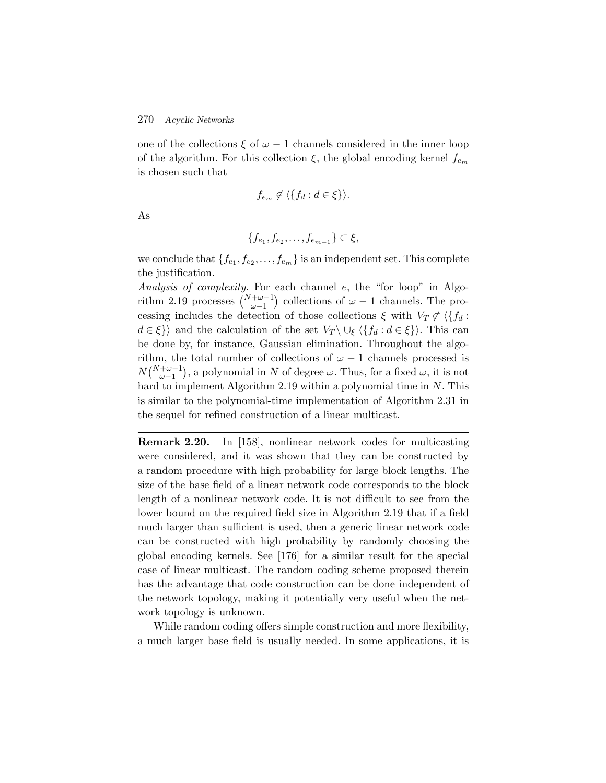one of the collections  $\xi$  of  $\omega - 1$  channels considered in the inner loop of the algorithm. For this collection  $\xi$ , the global encoding kernel  $f_{e_m}$ is chosen such that

$$
f_{e_m} \notin \langle \{ f_d : d \in \xi \} \rangle.
$$

As

$$
\{f_{e_1}, f_{e_2}, \dots, f_{e_{m-1}}\} \subset \xi,
$$

we conclude that  $\{f_{e_1},f_{e_2},\ldots,f_{e_m}\}\$  is an independent set. This complete the justification.

*Analysis of complexity.* For each channel e, the "for loop" in Algorithm 2.19 processes  $\binom{N+\omega-1}{\omega-1}$  collections of  $\omega-1$  channels. The processing includes the detection of those collections  $\xi$  with  $V_T \not\subset \langle \{f_d :$  $d \in \xi$ } and the calculation of the set  $V_T \setminus \cup_{\xi} \langle \{f_d : d \in \xi\} \rangle$ . This can be done by, for instance, Gaussian elimination. Throughout the algorithm, the total number of collections of  $\omega - 1$  channels processed is  $N\binom{N+\omega-1}{\omega-1}$ , a polynomial in N of degree  $\omega$ . Thus, for a fixed  $\omega$ , it is not hard to implement Algorithm 2.19 within a polynomial time in  $N$ . This is similar to the polynomial-time implementation of Algorithm 2.31 in the sequel for refined construction of a linear multicast.

**Remark 2.20.** In [158], nonlinear network codes for multicasting were considered, and it was shown that they can be constructed by a random procedure with high probability for large block lengths. The size of the base field of a linear network code corresponds to the block length of a nonlinear network code. It is not difficult to see from the lower bound on the required field size in Algorithm 2.19 that if a field much larger than sufficient is used, then a generic linear network code can be constructed with high probability by randomly choosing the global encoding kernels. See [176] for a similar result for the special case of linear multicast. The random coding scheme proposed therein has the advantage that code construction can be done independent of the network topology, making it potentially very useful when the network topology is unknown.

While random coding offers simple construction and more flexibility, a much larger base field is usually needed. In some applications, it is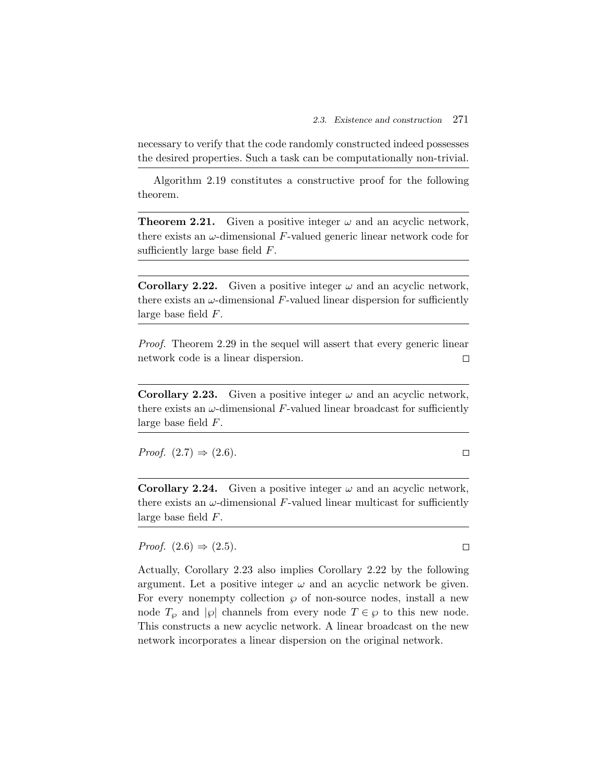necessary to verify that the code randomly constructed indeed possesses the desired properties. Such a task can be computationally non-trivial.

Algorithm 2.19 constitutes a constructive proof for the following theorem.

**Theorem 2.21.** Given a positive integer  $\omega$  and an acyclic network, there exists an  $\omega$ -dimensional  $F$ -valued generic linear network code for sufficiently large base field  $F$ .

**Corollary 2.22.** Given a positive integer  $\omega$  and an acyclic network, there exists an  $\omega$ -dimensional F-valued linear dispersion for sufficiently large base field F.

*Proof.* Theorem 2.29 in the sequel will assert that every generic linear network code is a linear dispersion.  $\Box$ 

**Corollary 2.23.** Given a positive integer  $\omega$  and an acyclic network, there exists an  $\omega$ -dimensional F-valued linear broadcast for sufficiently large base field F.

*Proof.*  $(2.7) \Rightarrow (2.6)$ .

 $\Box$ 

**Corollary 2.24.** Given a positive integer  $\omega$  and an acyclic network, there exists an  $\omega$ -dimensional F-valued linear multicast for sufficiently large base field F.

*Proof.*  $(2.6) \Rightarrow (2.5)$ .

Actually, Corollary 2.23 also implies Corollary 2.22 by the following argument. Let a positive integer  $\omega$  and an acyclic network be given. For every nonempty collection  $\wp$  of non-source nodes, install a new node  $T_{\varphi}$  and  $|\varphi|$  channels from every node  $T \in \varphi$  to this new node. This constructs a new acyclic network. A linear broadcast on the new network incorporates a linear dispersion on the original network.

 $\Box$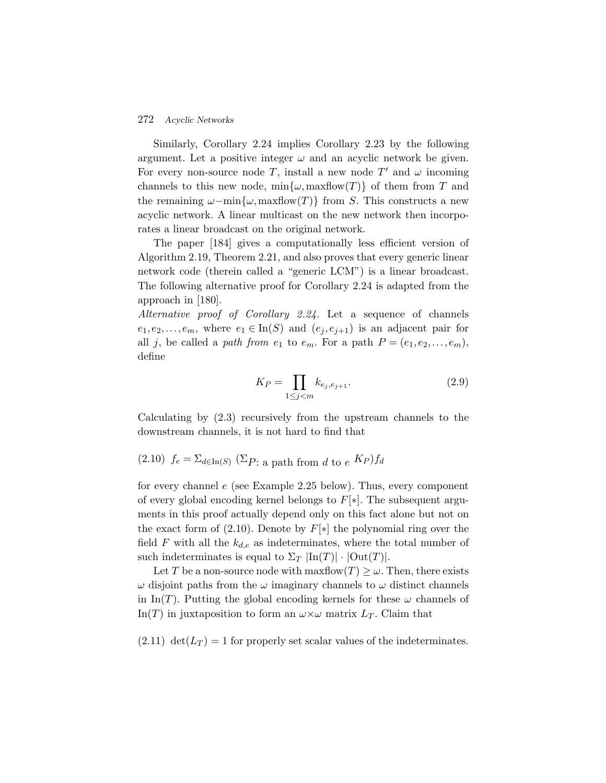Similarly, Corollary 2.24 implies Corollary 2.23 by the following argument. Let a positive integer  $\omega$  and an acyclic network be given. For every non-source node T, install a new node T' and  $\omega$  incoming channels to this new node,  $\min\{\omega,\maxflow(T)\}\$  of them from T and the remaining  $\omega$ -min $\{\omega, \text{maxflow}(T)\}\$ from S. This constructs a new acyclic network. A linear multicast on the new network then incorporates a linear broadcast on the original network.

The paper [184] gives a computationally less efficient version of Algorithm 2.19, Theorem 2.21, and also proves that every generic linear network code (therein called a "generic LCM") is a linear broadcast. The following alternative proof for Corollary 2.24 is adapted from the approach in [180].

*Alternative proof of Corollary 2.24.* Let a sequence of channels  $e_1,e_2,\ldots,e_m$ , where  $e_1 \in \text{In}(S)$  and  $(e_i,e_{i+1})$  is an adjacent pair for all j, be called a *path from*  $e_1$  to  $e_m$ . For a path  $P = (e_1, e_2, \ldots, e_m)$ , define

$$
K_P = \prod_{1 \le j < m} k_{e_j, e_{j+1}}.\tag{2.9}
$$

Calculating by (2.3) recursively from the upstream channels to the downstream channels, it is not hard to find that

(2.10) 
$$
f_e = \sum_{d \in \text{In}(S)} (\sum p_i \cdot a \text{ path from } d \text{ to } e^{K_p}) f_d
$$

for every channel e (see Example 2.25 below). Thus, every component of every global encoding kernel belongs to  $F[*]$ . The subsequent arguments in this proof actually depend only on this fact alone but not on the exact form of (2.10). Denote by  $F[*]$  the polynomial ring over the field F with all the  $k_{d,e}$  as indeterminates, where the total number of such indeterminates is equal to  $\Sigma_T |\text{In}(T)| \cdot |\text{Out}(T)|$ .

Let T be a non-source node with maxflow $(T) \geq \omega$ . Then, there exists  $\omega$  disjoint paths from the  $\omega$  imaginary channels to  $\omega$  distinct channels in In(T). Putting the global encoding kernels for these  $\omega$  channels of In(T) in juxtaposition to form an  $\omega \times \omega$  matrix  $L_T$ . Claim that

 $(2.11) \text{ det}(L_T) = 1$  for properly set scalar values of the indeterminates.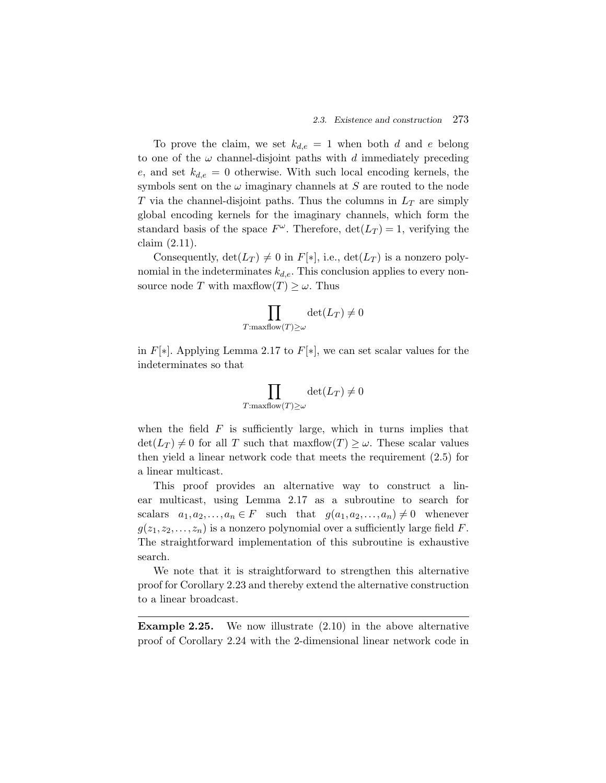To prove the claim, we set  $k_{d,e} = 1$  when both d and e belong to one of the  $\omega$  channel-disjoint paths with d immediately preceding e, and set  $k_{d,e} = 0$  otherwise. With such local encoding kernels, the symbols sent on the  $\omega$  imaginary channels at S are routed to the node T via the channel-disjoint paths. Thus the columns in  $L_T$  are simply global encoding kernels for the imaginary channels, which form the standard basis of the space  $F^{\omega}$ . Therefore,  $\det(L_T) = 1$ , verifying the claim (2.11).

Consequently,  $\det(L_T) \neq 0$  in  $F[*]$ , i.e.,  $\det(L_T)$  is a nonzero polynomial in the indeterminates  $k_{d,e}$ . This conclusion applies to every nonsource node T with maxflow $(T) \geq \omega$ . Thus

$$
\prod_{T:\max \text{flow}(T)\geq \omega} \det(L_T) \neq 0
$$

in  $F[*]$ . Applying Lemma 2.17 to  $F[*]$ , we can set scalar values for the indeterminates so that

$$
\prod_{T:\max \text{flow}(T)\geq \omega} \det(L_T) \neq 0
$$

when the field  $F$  is sufficiently large, which in turns implies that  $\det(L_T) \neq 0$  for all T such that maxflow $(T) \geq \omega$ . These scalar values then yield a linear network code that meets the requirement (2.5) for a linear multicast.

This proof provides an alternative way to construct a linear multicast, using Lemma 2.17 as a subroutine to search for scalars  $a_1, a_2, \ldots, a_n \in F$  such that  $g(a_1, a_2, \ldots, a_n) \neq 0$  whenever  $g(z_1,z_2,\ldots,z_n)$  is a nonzero polynomial over a sufficiently large field F. The straightforward implementation of this subroutine is exhaustive search.

We note that it is straightforward to strengthen this alternative proof for Corollary 2.23 and thereby extend the alternative construction to a linear broadcast.

**Example 2.25.** We now illustrate  $(2.10)$  in the above alternative proof of Corollary 2.24 with the 2-dimensional linear network code in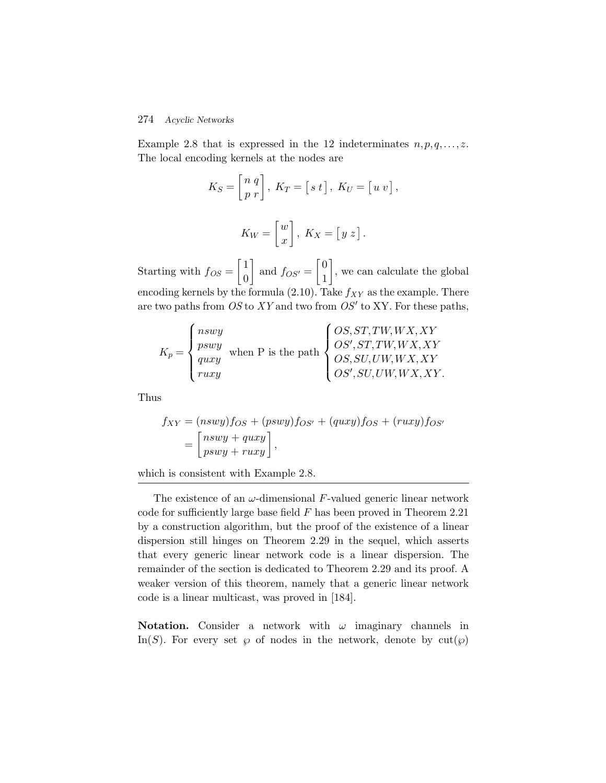Example 2.8 that is expressed in the 12 indeterminates  $n, p, q, \ldots, z$ . The local encoding kernels at the nodes are

$$
K_S = \begin{bmatrix} n & q \\ p & r \end{bmatrix}, \ K_T = \begin{bmatrix} s & t \end{bmatrix}, \ K_U = \begin{bmatrix} u & v \end{bmatrix},
$$

$$
K_W = \begin{bmatrix} w \\ x \end{bmatrix}, \ K_X = \begin{bmatrix} y & z \end{bmatrix}.
$$

Starting with  $f_{OS} = \begin{bmatrix} 1 \\ 0 \end{bmatrix}$ 0 and  $f_{OS'} = \begin{bmatrix} 0 \\ 1 \end{bmatrix}$ 1 , we can calculate the global encoding kernels by the formula (2.10). Take  $f_{XY}$  as the example. There are two paths from *OS* to *XY* and two from *OS*<sup> $\prime$ </sup> to XY. For these paths,

$$
K_p = \begin{cases} \n nswy \\ \n pswy \\ \n quxy \\ \n ruxy \n \end{cases}
$$
 when P is the path 
$$
\begin{cases} \n OS, ST, TW, WX, XY \\ \n OS, ST, TW, WX, XY \\ \n OS, SU, UW, WX, XY \\ \n OS', SU, UW, WX, XY. \n \end{cases}
$$

Thus

$$
f_{XY} = (nswy) f_{OS} + (pswy) f_{OS'} + (quxy) f_{OS} + (ruxy) f_{OS'} = \begin{bmatrix} nswy + quxy \\ pswy + ruxy \end{bmatrix},
$$

which is consistent with Example 2.8.

The existence of an  $\omega$ -dimensional F-valued generic linear network code for sufficiently large base field  $F$  has been proved in Theorem 2.21 by a construction algorithm, but the proof of the existence of a linear dispersion still hinges on Theorem 2.29 in the sequel, which asserts that every generic linear network code is a linear dispersion. The remainder of the section is dedicated to Theorem 2.29 and its proof. A weaker version of this theorem, namely that a generic linear network code is a linear multicast, was proved in [184].

**Notation.** Consider a network with  $\omega$  imaginary channels in In(S). For every set  $\wp$  of nodes in the network, denote by  $\text{cut}(\wp)$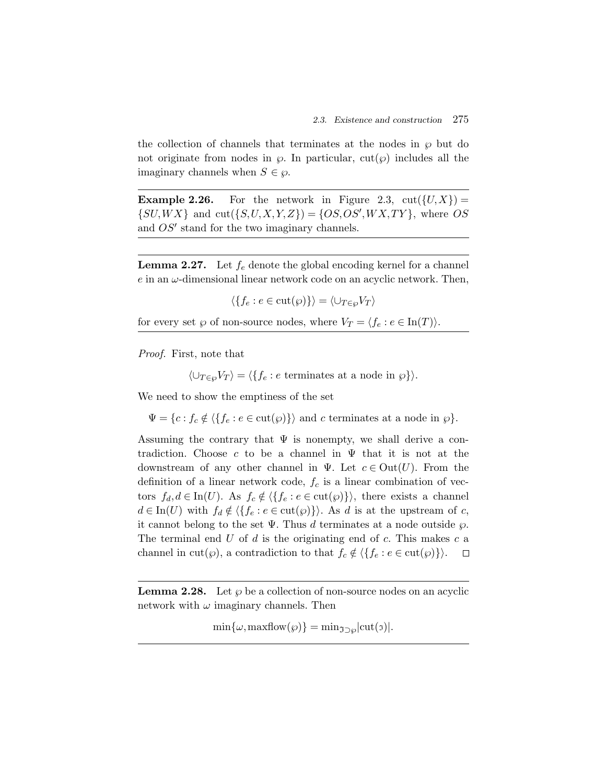the collection of channels that terminates at the nodes in  $\wp$  but do not originate from nodes in  $\varphi$ . In particular, cut( $\varphi$ ) includes all the imaginary channels when  $S \in \varphi$ .

**Example 2.26.** For the network in Figure 2.3,  $\text{cut}(\{U, X\}) =$  $\{SU,WX\}$  and  $cut(\{S, U, X, Y, Z\}) = \{OS, OS', WX, TY\}$ , where OS and  $OS'$  stand for the two imaginary channels.

**Lemma 2.27.** Let  $f_e$  denote the global encoding kernel for a channel  $e$  in an  $\omega$ -dimensional linear network code on an acyclic network. Then,

 $\langle \{f_e : e \in \text{cut}(\wp)\}\rangle = \langle \cup_{T \in \wp} V_T \rangle$ 

for every set  $\wp$  of non-source nodes, where  $V_T = \langle f_e : e \in \text{In}(T) \rangle$ .

*Proof.* First, note that

 $\langle \cup_{T \in \omega} V_T \rangle = \langle \{ f_e : e \text{ terminates at a node in } \varphi \} \rangle.$ 

We need to show the emptiness of the set

 $\Psi = \{c : f_c \notin \langle \{f_e : e \in \text{cut}(\wp)\}\rangle \text{ and } c \text{ terminates at a node in } \wp\}.$ 

Assuming the contrary that  $\Psi$  is nonempty, we shall derive a contradiction. Choose c to be a channel in  $\Psi$  that it is not at the downstream of any other channel in Ψ. Let  $c \in Out(U)$ . From the definition of a linear network code,  $f_c$  is a linear combination of vectors  $f_d, d \in \text{In}(U)$ . As  $f_c \notin \langle \{f_e : e \in \text{cut}(\wp)\}\rangle$ , there exists a channel  $d \in \text{In}(U)$  with  $f_d \notin \langle \{f_e : e \in \text{cut}(\wp)\}\rangle$ . As d is at the upstream of c, it cannot belong to the set  $\Psi$ . Thus d terminates at a node outside  $\wp$ . The terminal end  $U$  of  $d$  is the originating end of  $c$ . This makes  $c$  a channel in cut( $\varphi$ ), a contradiction to that  $f_c \notin \langle \{f_e : e \in \text{cut}(\varphi)\}\rangle$ .  $\Box$ 

**Lemma 2.28.** Let  $\wp$  be a collection of non-source nodes on an acyclic network with  $\omega$  imaginary channels. Then

 $\min\{\omega, \maxflow(\varphi)\} = \min_{\Im \supset \varphi} |\text{cut}(\Im)|.$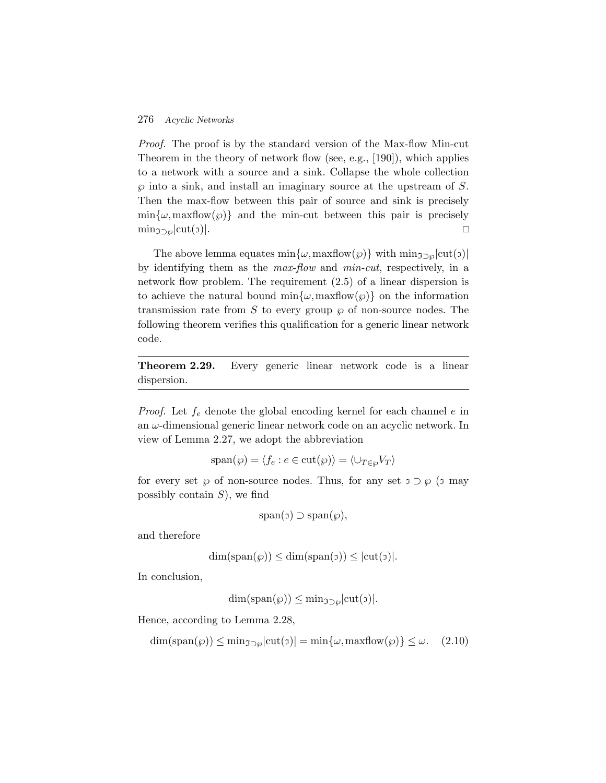*Proof.* The proof is by the standard version of the Max-flow Min-cut Theorem in the theory of network flow (see, e.g., [190]), which applies to a network with a source and a sink. Collapse the whole collection  $\varphi$  into a sink, and install an imaginary source at the upstream of S. Then the max-flow between this pair of source and sink is precisely  $\min{\{\omega, \text{maxflow}(\wp)\}}$  and the min-cut between this pair is precisely  $\min_{\mathfrak{I}\supset\varphi}|\text{cut}(\mathfrak{I})|.$  $\Box$ 

The above lemma equates min $\{\omega, \text{maxflow}(\wp)\}\$  with  $\min_{\mathfrak{I}\supset\omega}|\text{cut}(\mathfrak{I})|$ by identifying them as the *max-flow* and *min-cut*, respectively, in a network flow problem. The requirement (2.5) of a linear dispersion is to achieve the natural bound min $\{\omega, \text{maxflow}(\wp)\}\)$  on the information transmission rate from S to every group  $\wp$  of non-source nodes. The following theorem verifies this qualification for a generic linear network code.

**Theorem 2.29.** Every generic linear network code is a linear dispersion.

*Proof.* Let  $f_e$  denote the global encoding kernel for each channel  $e$  in an  $\omega$ -dimensional generic linear network code on an acyclic network. In view of Lemma 2.27, we adopt the abbreviation

$$
\mathrm{span}(\wp) = \langle f_e : e \in \mathrm{cut}(\wp) \rangle = \langle \cup_{T \in \wp} V_T \rangle
$$

for every set  $\wp$  of non-source nodes. Thus, for any set  $\mathfrak{I} \supset \wp$  ( $\mathfrak{I}$  may possibly contain  $S$ ), we find

$$
\mathrm{span}(\sigma) \supset \mathrm{span}(\wp),
$$

and therefore

$$
\dim(\mathrm{span}(\wp)) \leq \dim(\mathrm{span}(\sigma)) \leq |\mathrm{cut}(\sigma)|.
$$

In conclusion,

$$
\dim(\mathrm{span}(\wp)) \le \min_{\mathfrak{I} \supset \wp} |\mathrm{cut}(\mathfrak{I})|.
$$

Hence, according to Lemma 2.28,

$$
\dim(\text{span}(\wp)) \le \min_{\mathfrak{I} \supset \wp} |\text{cut}(\mathfrak{I})| = \min\{\omega, \maxflow(\wp)\} \le \omega. \tag{2.10}
$$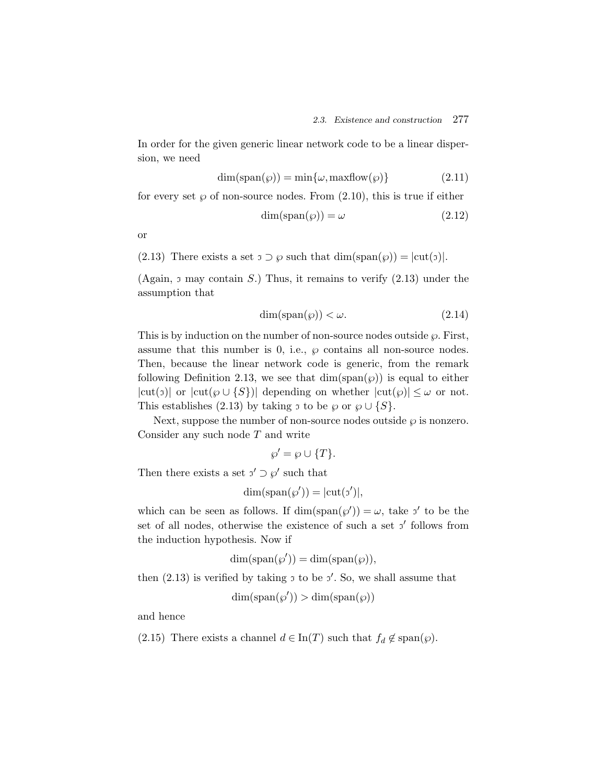In order for the given generic linear network code to be a linear dispersion, we need

$$
\dim(\text{span}(\wp)) = \min\{\omega, \text{maxflow}(\wp)\}\tag{2.11}
$$

for every set  $\wp$  of non-source nodes. From  $(2.10)$ , this is true if either

$$
\dim(\text{span}(\wp)) = \omega \tag{2.12}
$$

or

(2.13) There exists a set  $\tau \supset \varphi$  such that  $\dim(\text{span}(\varphi)) = |\text{cut}(\tau)|$ .

(Again,  $\sigma$  may contain S.) Thus, it remains to verify (2.13) under the assumption that

$$
\dim(\text{span}(\wp)) < \omega. \tag{2.14}
$$

This is by induction on the number of non-source nodes outside  $\wp$ . First, assume that this number is 0, i.e.,  $\varphi$  contains all non-source nodes. Then, because the linear network code is generic, from the remark following Definition 2.13, we see that  $\dim(\text{span}(\wp))$  is equal to either  $|cut(\sigma)|$  or  $|cut(\varphi \cup \{S\})|$  depending on whether  $|cut(\varphi)| \leq \omega$  or not. This establishes (2.13) by taking  $\sigma$  to be  $\wp$  or  $\wp \cup \{S\}.$ 

Next, suppose the number of non-source nodes outside  $\wp$  is nonzero. Consider any such node  $T$  and write

$$
\wp' = \wp \cup \{T\}.
$$

Then there exists a set  $\sigma' \supset \varphi'$  such that

$$
\dim(\text{span}(\wp')) = |\text{cut}(\mathfrak{z}')|,
$$

which can be seen as follows. If  $\dim(\text{span}(\wp')) = \omega$ , take  $\gamma'$  to be the set of all nodes, otherwise the existence of such a set  $\sigma'$  follows from the induction hypothesis. Now if

$$
\dim(\text{span}(\wp')) = \dim(\text{span}(\wp)),
$$

then  $(2.13)$  is verified by taking  $\sigma$  to be  $\sigma'$ . So, we shall assume that

$$
\dim(\text{span}(\wp')) > \dim(\text{span}(\wp))
$$

and hence

(2.15) There exists a channel  $d \in \text{In}(T)$  such that  $f_d \notin \text{span}(\wp)$ .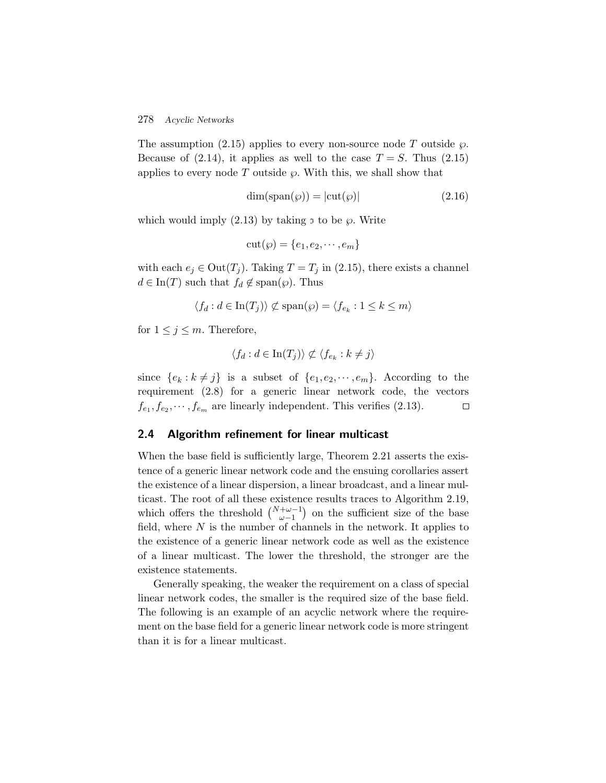The assumption (2.15) applies to every non-source node T outside  $\wp$ . Because of  $(2.14)$ , it applies as well to the case  $T = S$ . Thus  $(2.15)$ applies to every node T outside  $\wp$ . With this, we shall show that

$$
\dim(\text{span}(\wp)) = |\text{cut}(\wp)| \tag{2.16}
$$

which would imply  $(2.13)$  by taking  $\sigma$  to be  $\wp$ . Write

$$
cut(\wp) = \{e_1, e_2, \cdots, e_m\}
$$

with each  $e_j \in \text{Out}(T_j)$ . Taking  $T = T_j$  in (2.15), there exists a channel  $d \in \text{In}(T)$  such that  $f_d \notin \text{span}(\wp)$ . Thus

$$
\langle f_d : d \in \text{In}(T_j) \rangle \not\subset \text{span}(\wp) = \langle f_{e_k} : 1 \leq k \leq m \rangle
$$

for  $1 \leq j \leq m$ . Therefore,

$$
\langle f_d : d \in \text{In}(T_j) \rangle \not\subset \langle f_{e_k} : k \neq j \rangle
$$

since  $\{e_k : k \neq j\}$  is a subset of  $\{e_1, e_2, \dots, e_m\}$ . According to the requirement (2.8) for a generic linear network code, the vectors  $f_{e_1}, f_{e_2}, \cdots, f_{e_m}$  are linearly independent. This verifies (2.13).  $\Box$ 

### **2.4 Algorithm refinement for linear multicast**

When the base field is sufficiently large, Theorem 2.21 asserts the existence of a generic linear network code and the ensuing corollaries assert the existence of a linear dispersion, a linear broadcast, and a linear multicast. The root of all these existence results traces to Algorithm 2.19, which offers the threshold  $\binom{N+\omega-1}{\omega-1}$  on the sufficient size of the base field, where  $N$  is the number of channels in the network. It applies to the existence of a generic linear network code as well as the existence of a linear multicast. The lower the threshold, the stronger are the existence statements.

Generally speaking, the weaker the requirement on a class of special linear network codes, the smaller is the required size of the base field. The following is an example of an acyclic network where the requirement on the base field for a generic linear network code is more stringent than it is for a linear multicast.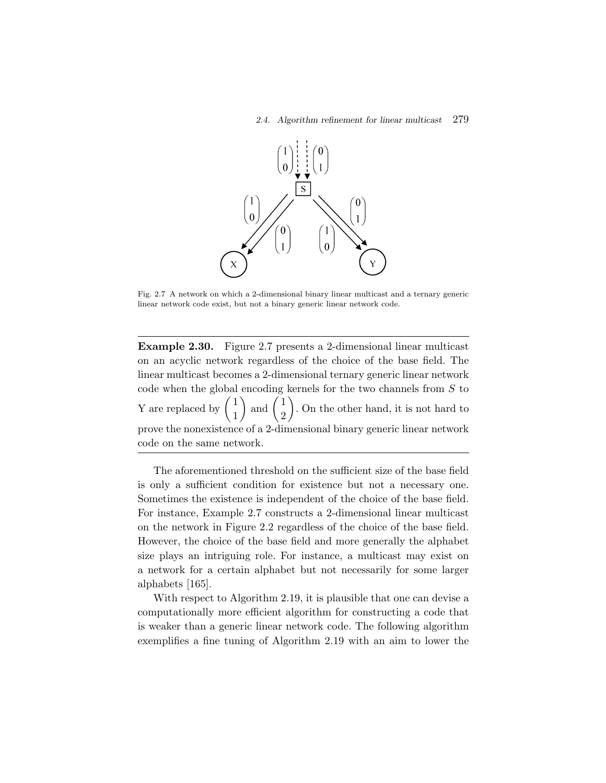

Fig. 2.7 A network on which a 2-dimensional binary linear multicast and a ternary generic linear network code exist, but not a binary generic linear network code.

**Example 2.30.** Figure 2.7 presents a 2-dimensional linear multicast on an acyclic network regardless of the choice of the base field. The linear multicast becomes a 2-dimensional ternary generic linear network code when the global encoding kernels for the two channels from  $S$  to Y are replaced by 1  $\bigg)$  and  $\bigg(\frac{1}{2}\bigg)$  . On the other hand, it is not hard to prove the nonexistence of a 2-dimensional binary generic linear network code on the same network.

The aforementioned threshold on the sufficient size of the base field is only a sufficient condition for existence but not a necessary one. Sometimes the existence is independent of the choice of the base field. For instance, Example 2.7 constructs a 2-dimensional linear multicast on the network in Figure 2.2 regardless of the choice of the base field. However, the choice of the base field and more generally the alphabet size plays an intriguing role. For instance, a multicast may exist on a network for a certain alphabet but not necessarily for some larger alphabets [165].

With respect to Algorithm 2.19, it is plausible that one can devise a computationally more efficient algorithm for constructing a code that is weaker than a generic linear network code. The following algorithm exemplifies a fine tuning of Algorithm 2.19 with an aim to lower the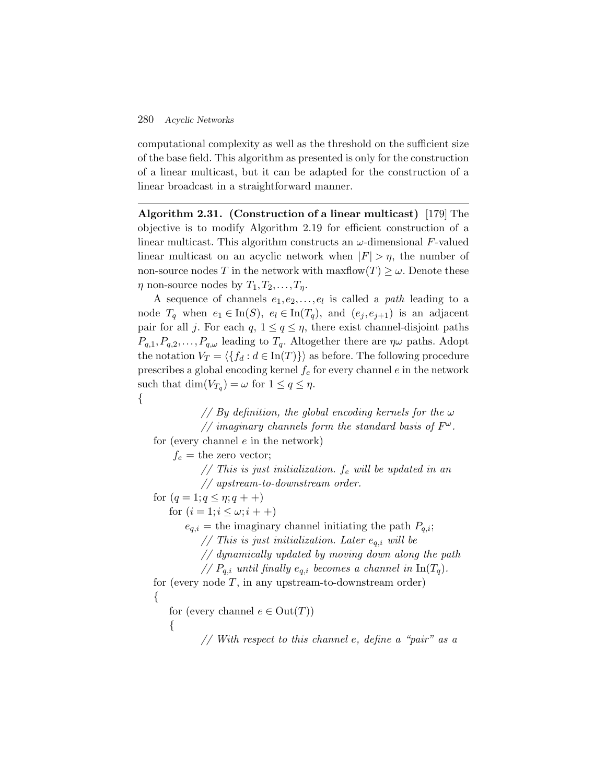computational complexity as well as the threshold on the sufficient size of the base field. This algorithm as presented is only for the construction of a linear multicast, but it can be adapted for the construction of a linear broadcast in a straightforward manner.

**Algorithm 2.31. (Construction of a linear multicast)** [179] The objective is to modify Algorithm 2.19 for efficient construction of a linear multicast. This algorithm constructs an  $\omega$ -dimensional F-valued linear multicast on an acyclic network when  $|F| > \eta$ , the number of non-source nodes T in the network with maxflow $(T) \geq \omega$ . Denote these  $\eta$  non-source nodes by  $T_1, T_2, \ldots, T_n$ .

A sequence of channels  $e_1, e_2, \ldots, e_l$  is called a *path* leading to a node  $T_q$  when  $e_1 \in \text{In}(S)$ ,  $e_l \in \text{In}(T_q)$ , and  $(e_j, e_{j+1})$  is an adjacent pair for all j. For each q,  $1 \leq q \leq \eta$ , there exist channel-disjoint paths  $P_{q,1},P_{q,2},\ldots,P_{q,\omega}$  leading to  $T_q$ . Altogether there are  $\eta\omega$  paths. Adopt the notation  $V_T = \langle \{f_d : d \in \text{In}(T)\}\rangle$  as before. The following procedure prescribes a global encoding kernel  $f_e$  for every channel e in the network such that  $\dim(V_{T_q}) = \omega$  for  $1 \leq q \leq \eta$ . {

*// By definition, the global encoding kernels for the* ω *// imaginary channels form the standard basis of*  $F^{\omega}$ . for (every channel  $e$  in the network)  $f_e$  = the zero vector; *// This is just initialization.* f<sup>e</sup> *will be updated in an*

*// upstream-to-downstream order.*

for  $(q = 1; q \leq \eta; q + +)$ 

for  $(i = 1; i \leq \omega; i + +)$ 

 $e_{q,i}$  = the imaginary channel initiating the path  $P_{q,i}$ ;

 $\frac{1}{2}$  *This is just initialization. Later*  $e_{q,i}$  *will be* 

```
// dynamically updated by moving down along the path
```
//  $P_{q,i}$  *until finally*  $e_{q,i}$  *becomes a channel in*  $\text{In}(T_q)$ *.* 

for (every node  $T$ , in any upstream-to-downstream order) {

for (every channel  $e \in Out(T)$ )

{

*// With respect to this channel* e*, define a "pair" as a*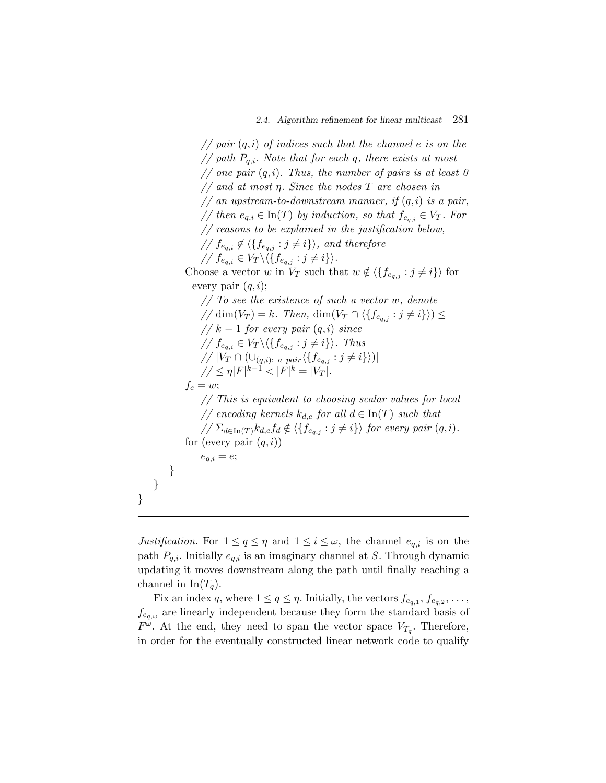*// pair* (q,i) *of indices such that the channel* e *is on the // path* Pq,i*. Note that for each* q*, there exists at most // one pair* (q,i)*. Thus, the number of pairs is at least 0 // and at most* η*. Since the nodes* T *are chosen in // an upstream-to-downstream manner, if* (q,i) *is a pair, // then*  $e_{q,i} \in \text{In}(T)$  *by induction, so that*  $f_{e_{q,i}} \in V_T$ *. For // reasons to be explained in the justification below,*  $\angle$  //  $f_{e_{q,i}} \notin \langle \{f_{e_{q,j}} : j \neq i\} \rangle$ , and therefore  $\mathcal{N}$   $f_{e_{q,i}} \in V_T \setminus \langle \{f_{e_{q,j}} : j \neq i\} \rangle$ . Choose a vector w in  $V_T$  such that  $w \notin \langle \{f_{e_{a,j}} : j \neq i\} \rangle$  for every pair  $(q,i)$ ; *// To see the existence of such a vector* w*, denote*  $\pi/(\dim(V_T) = k$ . Then,  $\dim(V_T \cap \langle \{f_{e_{a,i}} : j \neq i\} \rangle) \leq$ *//* k − 1 *for every pair* (q,i) *since*  $\frac{1}{\sqrt{f_{e_{q,i}}}} \in V_T \setminus \langle \{f_{e_{q,j}} : j \neq i\} \rangle$ . Thus *//*  $|V_T \cap (\bigcup_{(q,i): a \ pair} \langle \{f_{e_{q,j}} : j \neq i\} \rangle)|$  $1/2 \leq \eta |F|^{k-1} < |F|^k = |V_T|$ .  $f_e = w;$ *// This is equivalent to choosing scalar values for local // encoding kernels*  $k_{d,e}$  *for all*  $d \in \text{In}(T)$  *such that*  $\sqrt{\sum_{d \in \text{In}(T)} k_{d,e} f_d} \notin \langle \{f_{e_{q,j}} : j \neq i\} \rangle$  for every pair  $(q, i)$ . for (every pair  $(q,i)$ )  $e_{q,i} = e;$ } } }

*Justification.* For  $1 \le q \le \eta$  and  $1 \le i \le \omega$ , the channel  $e_{q,i}$  is on the path  $P_{q,i}$ . Initially  $e_{q,i}$  is an imaginary channel at S. Through dynamic updating it moves downstream along the path until finally reaching a channel in  $\text{In}(T_a)$ .

Fix an index q, where  $1 \le q \le \eta$ . Initially, the vectors  $f_{e_{q,1}}, f_{e_{q,2}}, \ldots$ ,  $f_{e_q,\omega}$  are linearly independent because they form the standard basis of  $F^{\omega}$ . At the end, they need to span the vector space  $V_{T_q}$ . Therefore, in order for the eventually constructed linear network code to qualify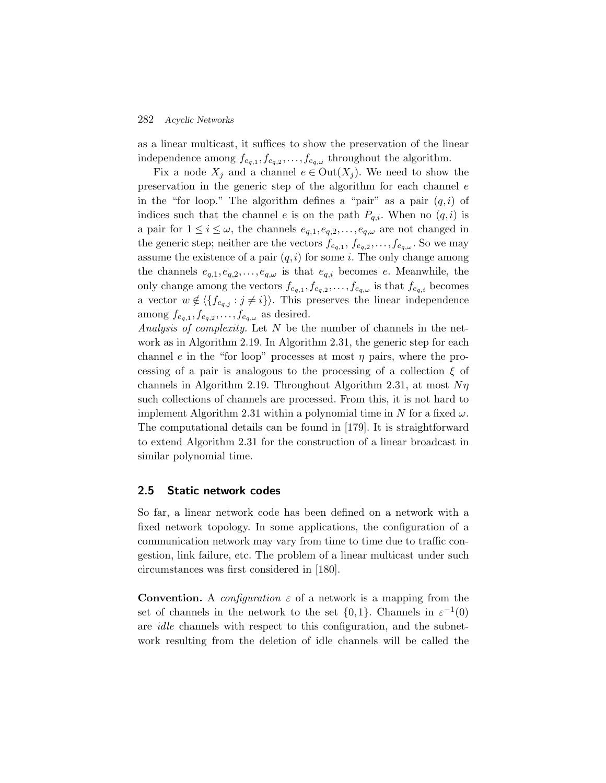as a linear multicast, it suffices to show the preservation of the linear independence among  $f_{e_q,1}, f_{e_q,2}, \ldots, f_{e_q,\omega}$  throughout the algorithm.

Fix a node  $X_i$  and a channel  $e \in Out(X_i)$ . We need to show the preservation in the generic step of the algorithm for each channel e in the "for loop." The algorithm defines a "pair" as a pair  $(q, i)$  of indices such that the channel e is on the path  $P_{q,i}$ . When no  $(q,i)$  is a pair for  $1 \leq i \leq \omega$ , the channels  $e_{q,1}, e_{q,2}, \ldots, e_{q,\omega}$  are not changed in the generic step; neither are the vectors  $f_{e_{q,1}}, f_{e_{q,2}}, \ldots, f_{e_{q,\omega}}$ . So we may assume the existence of a pair  $(q,i)$  for some i. The only change among the channels  $e_{q,1},e_{q,2},\ldots,e_{q,\omega}$  is that  $e_{q,i}$  becomes e. Meanwhile, the only change among the vectors  $f_{e_{q,1}}, f_{e_{q,2}}, \ldots, f_{e_{q,\omega}}$  is that  $f_{e_{q,i}}$  becomes a vector  $w \notin \langle \{f_{e_{q,j}} : j \neq i\} \rangle$ . This preserves the linear independence among  $f_{e_{q,1}}, f_{e_{q,2}}, \ldots, f_{e_{q,\omega}}$  as desired.

*Analysis of complexity.* Let N be the number of channels in the network as in Algorithm 2.19. In Algorithm 2.31, the generic step for each channel e in the "for loop" processes at most  $\eta$  pairs, where the processing of a pair is analogous to the processing of a collection  $\xi$  of channels in Algorithm 2.19. Throughout Algorithm 2.31, at most  $N\eta$ such collections of channels are processed. From this, it is not hard to implement Algorithm 2.31 within a polynomial time in N for a fixed  $\omega$ . The computational details can be found in [179]. It is straightforward to extend Algorithm 2.31 for the construction of a linear broadcast in similar polynomial time.

### **2.5 Static network codes**

So far, a linear network code has been defined on a network with a fixed network topology. In some applications, the configuration of a communication network may vary from time to time due to traffic congestion, link failure, etc. The problem of a linear multicast under such circumstances was first considered in [180].

**Convention.** A *configuration*  $\varepsilon$  of a network is a mapping from the set of channels in the network to the set  $\{0,1\}$ . Channels in  $\varepsilon^{-1}(0)$ are *idle* channels with respect to this configuration, and the subnetwork resulting from the deletion of idle channels will be called the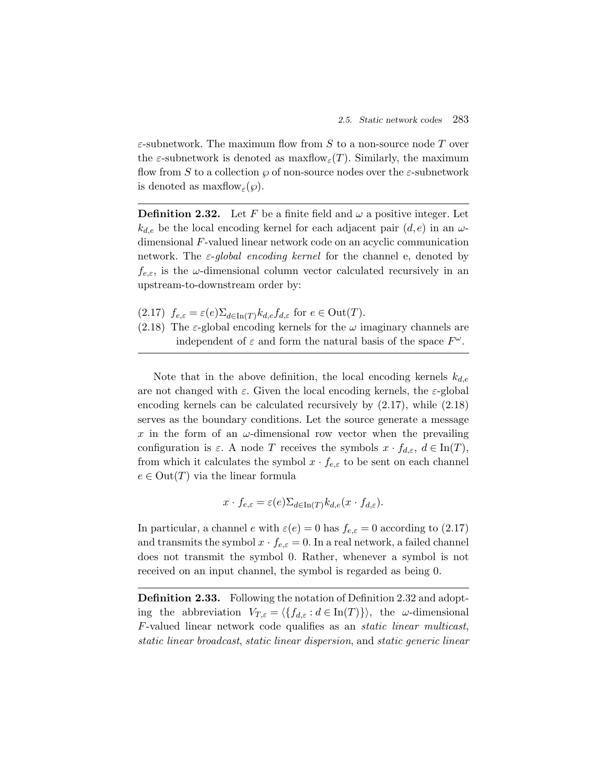$\varepsilon$ -subnetwork. The maximum flow from  $S$  to a non-source node  $T$  over the  $\varepsilon$ -subnetwork is denoted as maxflow $\varepsilon(T)$ . Similarly, the maximum flow from S to a collection  $\wp$  of non-source nodes over the  $\varepsilon$ -subnetwork is denoted as  $\maxflow_{\varepsilon}(\varphi)$ .

**Definition 2.32.** Let F be a finite field and  $\omega$  a positive integer. Let  $k_{d,e}$  be the local encoding kernel for each adjacent pair  $(d,e)$  in an  $\omega$ dimensional F-valued linear network code on an acyclic communication network. The ε-*global encoding kernel* for the channel e, denoted by  $f_{e,\varepsilon}$ , is the  $\omega$ -dimensional column vector calculated recursively in an upstream-to-downstream order by:

(2.17)  $f_{e,\varepsilon} = \varepsilon(e) \sum_{d \in \text{In}(T)} k_{d,e} f_{d,\varepsilon}$  for  $e \in \text{Out}(T)$ .

(2.18) The  $\varepsilon$ -global encoding kernels for the  $\omega$  imaginary channels are independent of  $\varepsilon$  and form the natural basis of the space  $F^{\omega}$ .

Note that in the above definition, the local encoding kernels  $k_{de}$ are not changed with  $\varepsilon$ . Given the local encoding kernels, the  $\varepsilon$ -global encoding kernels can be calculated recursively by (2.17), while (2.18) serves as the boundary conditions. Let the source generate a message x in the form of an  $\omega$ -dimensional row vector when the prevailing configuration is  $\varepsilon$ . A node T receives the symbols  $x \cdot f_{d,\varepsilon}$ ,  $d \in \text{In}(T)$ , from which it calculates the symbol  $x \cdot f_{e,\varepsilon}$  to be sent on each channel  $e \in Out(T)$  via the linear formula

$$
x \cdot f_{e,\varepsilon} = \varepsilon(e) \Sigma_{d \in \text{In}(T)} k_{d,e}(x \cdot f_{d,\varepsilon}).
$$

In particular, a channel e with  $\varepsilon(e) = 0$  has  $f_{e,\varepsilon} = 0$  according to (2.17) and transmits the symbol  $x \cdot f_{e,\varepsilon} = 0$ . In a real network, a failed channel does not transmit the symbol 0. Rather, whenever a symbol is not received on an input channel, the symbol is regarded as being 0.

**Definition 2.33.** Following the notation of Definition 2.32 and adopting the abbreviation  $V_{T,\varepsilon} = \langle \{f_{d,\varepsilon} : d \in \text{In}(T)\} \rangle$ , the  $\omega$ -dimensional F-valued linear network code qualifies as an *static linear multicast*, *static linear broadcast*, *static linear dispersion*, and *static generic linear*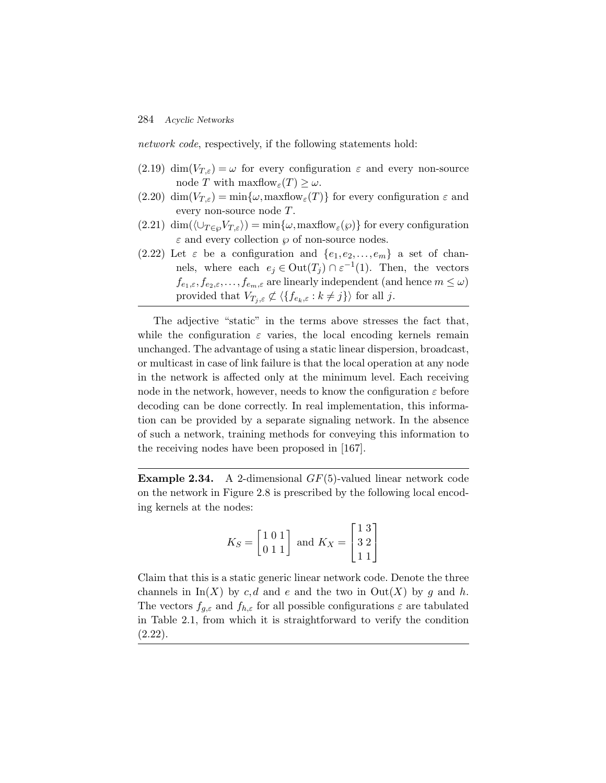*network code*, respectively, if the following statements hold:

- (2.19) dim( $V_{T,\varepsilon}$ ) =  $\omega$  for every configuration  $\varepsilon$  and every non-source node T with maxflow $\epsilon(T) \geq \omega$ .
- (2.20) dim $(V_{T,\varepsilon}) = \min\{\omega, \maxflow_{\varepsilon}(T)\}\)$  for every configuration  $\varepsilon$  and every non-source node T.
- $(2.21)$  dim $(\langle \bigcup_{T \in \varnothing} V_{T,\varepsilon} \rangle) = \min{\{\omega, \maxflow_{\varepsilon}(\varphi)\}}$  for every configuration  $\varepsilon$  and every collection  $\wp$  of non-source nodes.
- (2.22) Let  $\varepsilon$  be a configuration and  $\{e_1, e_2,...,e_m\}$  a set of channels, where each  $e_j \in \text{Out}(T_j) \cap \varepsilon^{-1}(1)$ . Then, the vectors  $f_{e_1,\varepsilon},f_{e_2,\varepsilon},\ldots,f_{e_m,\varepsilon}$  are linearly independent (and hence  $m\leq\omega$ ) provided that  $V_{T_j,\varepsilon} \not\subset \langle \{f_{e_k,\varepsilon}:k\neq j\} \rangle$  for all j.

The adjective "static" in the terms above stresses the fact that, while the configuration  $\varepsilon$  varies, the local encoding kernels remain unchanged. The advantage of using a static linear dispersion, broadcast, or multicast in case of link failure is that the local operation at any node in the network is affected only at the minimum level. Each receiving node in the network, however, needs to know the configuration  $\varepsilon$  before decoding can be done correctly. In real implementation, this information can be provided by a separate signaling network. In the absence of such a network, training methods for conveying this information to the receiving nodes have been proposed in [167].

**Example 2.34.** A 2-dimensional GF(5)-valued linear network code on the network in Figure 2.8 is prescribed by the following local encoding kernels at the nodes:

$$
K_S = \begin{bmatrix} 1 & 0 & 1 \\ 0 & 1 & 1 \end{bmatrix} \text{ and } K_X = \begin{bmatrix} 1 & 3 \\ 3 & 2 \\ 1 & 1 \end{bmatrix}
$$

Claim that this is a static generic linear network code. Denote the three channels in  $\text{In}(X)$  by c, d and e and the two in  $\text{Out}(X)$  by g and h. The vectors  $f_{q,\varepsilon}$  and  $f_{h,\varepsilon}$  for all possible configurations  $\varepsilon$  are tabulated in Table 2.1, from which it is straightforward to verify the condition (2.22).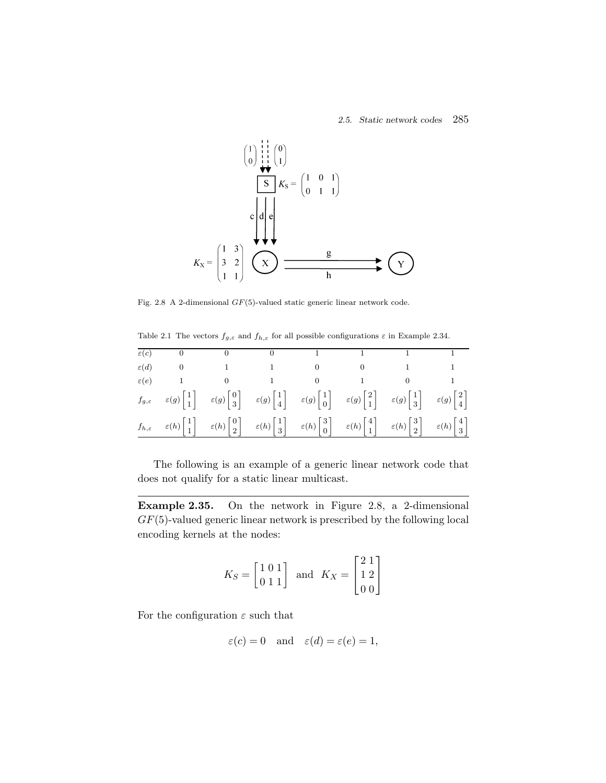

Fig. 2.8 A 2-dimensional GF(5)-valued static generic linear network code.

Table 2.1 The vectors  $f_{g,\varepsilon}$  and  $f_{h,\varepsilon}$  for all possible configurations  $\varepsilon$  in Example 2.34.

| $\varepsilon(c)$ |                                                                                                                                                                                                                                                                                                                                                                                                                                                                |  |  |  |
|------------------|----------------------------------------------------------------------------------------------------------------------------------------------------------------------------------------------------------------------------------------------------------------------------------------------------------------------------------------------------------------------------------------------------------------------------------------------------------------|--|--|--|
| $\varepsilon(d)$ |                                                                                                                                                                                                                                                                                                                                                                                                                                                                |  |  |  |
| $\varepsilon(e)$ |                                                                                                                                                                                                                                                                                                                                                                                                                                                                |  |  |  |
|                  | $f_{g,\varepsilon}$ $\varepsilon(g)\begin{bmatrix}1\\1\end{bmatrix}$ $\varepsilon(g)\begin{bmatrix}0\\3\end{bmatrix}$ $\varepsilon(g)\begin{bmatrix}1\\4\end{bmatrix}$ $\varepsilon(g)\begin{bmatrix}1\\0\end{bmatrix}$ $\varepsilon(g)\begin{bmatrix}2\\1\end{bmatrix}$ $\varepsilon(g)\begin{bmatrix}1\\3\end{bmatrix}$ $\varepsilon(g)\begin{bmatrix}2\\4\end{bmatrix}$                                                                                     |  |  |  |
|                  | $f_{h,\varepsilon} \quad \  \varepsilon(h) \begin{bmatrix} 1 \\ 1 \end{bmatrix} \quad \  \varepsilon(h) \begin{bmatrix} 0 \\ 2 \end{bmatrix} \quad \  \varepsilon(h) \begin{bmatrix} 1 \\ 3 \end{bmatrix} \quad \  \varepsilon(h) \begin{bmatrix} 3 \\ 0 \end{bmatrix} \quad \  \varepsilon(h) \begin{bmatrix} 4 \\ 1 \end{bmatrix} \quad \  \varepsilon(h) \begin{bmatrix} 3 \\ 2 \end{bmatrix} \quad \  \varepsilon(h) \begin{bmatrix} 4 \\ 3 \end{bmatrix}$ |  |  |  |

The following is an example of a generic linear network code that does not qualify for a static linear multicast.

**Example 2.35.** On the network in Figure 2.8, a 2-dimensional  $GF(5)$ -valued generic linear network is prescribed by the following local encoding kernels at the nodes:

$$
K_S = \begin{bmatrix} 1 & 0 & 1 \\ 0 & 1 & 1 \end{bmatrix} \quad \text{and} \quad K_X = \begin{bmatrix} 2 & 1 \\ 1 & 2 \\ 0 & 0 \end{bmatrix}
$$

For the configuration  $\varepsilon$  such that

$$
\varepsilon(c) = 0
$$
 and  $\varepsilon(d) = \varepsilon(e) = 1$ ,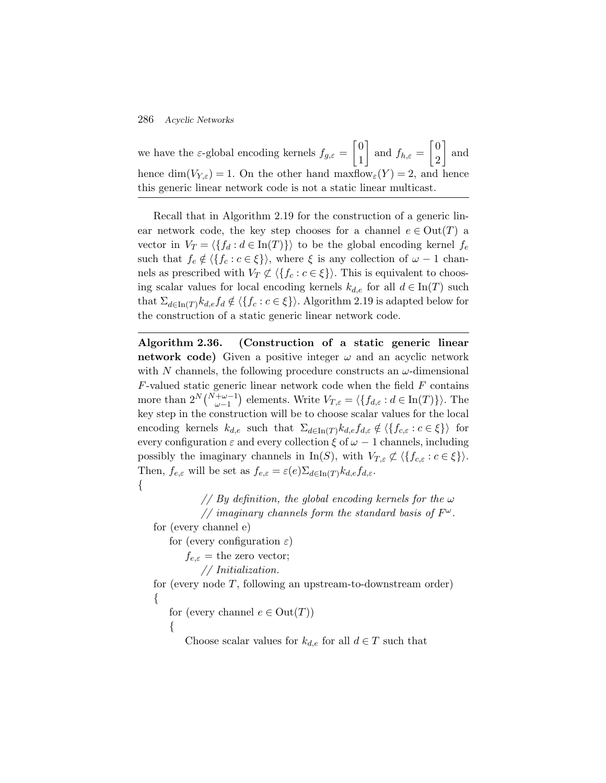we have the  $\varepsilon$ -global encoding kernels  $f_{g,\varepsilon} = \begin{bmatrix} 0 \\ 1 \end{bmatrix}$ 1 and  $f_{h,\varepsilon} = \begin{bmatrix} 0 \\ 2 \end{bmatrix}$ 2 | and hence dim( $V_{Y,\varepsilon}$ ) = 1. On the other hand maxflow $_{\varepsilon}(Y) = 2$ , and hence this generic linear network code is not a static linear multicast.

Recall that in Algorithm 2.19 for the construction of a generic linear network code, the key step chooses for a channel  $e \in Out(T)$  a vector in  $V_T = \langle \{f_d : d \in \text{In}(T)\}\rangle$  to be the global encoding kernel  $f_e$ such that  $f_e \notin \langle \{f_c : c \in \xi\} \rangle$ , where  $\xi$  is any collection of  $\omega - 1$  channels as prescribed with  $V_T \not\subset \langle \{f_c : c \in \xi\} \rangle$ . This is equivalent to choosing scalar values for local encoding kernels  $k_{d,e}$  for all  $d \in \text{In}(T)$  such that  $\Sigma_{d\in\text{In}(T)}k_{d,e}f_{d}\notin \langle\{f_{c}:c\in \xi\}\rangle$ . Algorithm 2.19 is adapted below for the construction of a static generic linear network code.

**Algorithm 2.36. (Construction of a static generic linear network code)** Given a positive integer  $\omega$  and an acyclic network with N channels, the following procedure constructs an  $\omega$ -dimensional  $F$ -valued static generic linear network code when the field  $F$  contains more than  $2^N {N+\omega-1 \choose \omega-1}$  elements. Write  $V_{T,\varepsilon} = \langle \{f_{d,\varepsilon} : d \in \text{In}(T)\} \rangle$ . The key step in the construction will be to choose scalar values for the local encoding kernels  $k_{d,e}$  such that  $\Sigma_{d\in\text{In}(T)} k_{d,e} f_{d,\varepsilon} \notin \langle \{f_{c,\varepsilon} : c \in \xi\} \rangle$  for every configuration  $\varepsilon$  and every collection  $\xi$  of  $\omega - 1$  channels, including possibly the imaginary channels in In(S), with  $V_{T,\varepsilon} \not\subset \langle \{f_{c,\varepsilon}: c \in \xi\} \rangle$ . Then,  $f_{e,\varepsilon}$  will be set as  $f_{e,\varepsilon} = \varepsilon(e) \sum_{d \in \text{In}(T)} k_{d,e} f_{d,\varepsilon}$ . {

> *// By definition, the global encoding kernels for the* ω *// imaginary channels form the standard basis of*  $F^{\omega}$ .

for (every channel e)

for (every configuration  $\varepsilon$ )

 $f_{e,\varepsilon} =$  the zero vector;

*// Initialization.*

for (every node  $T$ , following an upstream-to-downstream order) {

for (every channel  $e \in Out(T)$ )

 $\{$ 

Choose scalar values for  $k_{d,e}$  for all  $d \in T$  such that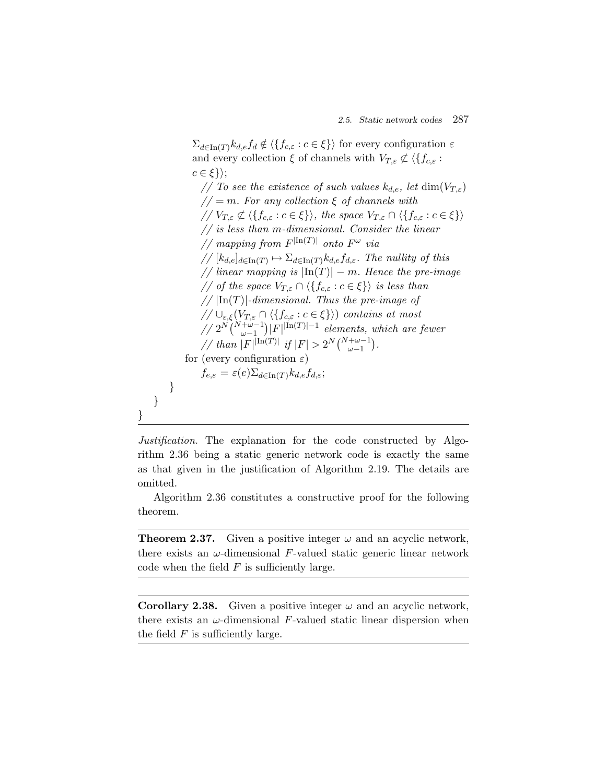$\Sigma_{d\in\text{In}(T)}k_{d,e}f_d \notin \langle \{f_{c,\varepsilon}:c\in\xi\}\rangle$  for every configuration  $\varepsilon$ and every collection  $\xi$  of channels with  $V_{T,\varepsilon} \not\subset \langle \{f_{c,\varepsilon} :$  $c \in \xi\}$ ; *// To see the existence of such values*  $k_{d,e}$ , let  $\dim(V_{T,\varepsilon})$ *//* = m*. For any collection* ξ *of channels with*  $\mathcal{N}(V_{T,\varepsilon} \not\subset \langle \{f_{c,\varepsilon} : c \in \xi\} \rangle,$  the space  $V_{T,\varepsilon} \cap \langle \{f_{c,\varepsilon} : c \in \xi\} \rangle$ *// is less than* m*-dimensional. Consider the linear // mapping from*  $F^{|{\rm In}(T)|}$  *onto*  $F^{\omega}$  *via*  $// [k_{d,e}]_{d \in \text{In}(T)} \mapsto \sum_{d \in \text{In}(T)} k_{d,e} f_{d,\varepsilon}$ . The nullity of this *// linear mapping is*  $|{\rm In}(T)| - m$ *. Hence the pre-image // of the space*  $V_{T,\varepsilon} \cap \langle \{f_{c,\varepsilon} : c \in \xi\} \rangle$  *is less than //* |In(T)|*-dimensional. Thus the pre-image of*  $\text{supp}(\bigvee_{\varepsilon,\xi} (V_{T,\varepsilon} \cap \langle \{f_{c,\varepsilon} : c \in \xi\} \rangle)$  *contains at most //*  $2^{N} \binom{N+\omega-1}{\omega-1}$  *F*|<sup>|In(T)|−1</sup> *elements, which are fewer* // than  $|F|^{\text{In}(T)}$  if  $|F| > 2^N {N + \omega - 1 \choose \omega - 1}$ . for (every configuration  $\varepsilon$ )  $f_{e,\varepsilon} = \varepsilon(e) \sum_{d \in \text{In}(T)} k_{d,e} f_{d,\varepsilon};$ } } }

*Justification.* The explanation for the code constructed by Algorithm 2.36 being a static generic network code is exactly the same as that given in the justification of Algorithm 2.19. The details are omitted.

Algorithm 2.36 constitutes a constructive proof for the following theorem.

**Theorem 2.37.** Given a positive integer  $\omega$  and an acyclic network, there exists an  $\omega$ -dimensional F-valued static generic linear network code when the field  $F$  is sufficiently large.

**Corollary 2.38.** Given a positive integer  $\omega$  and an acyclic network, there exists an  $\omega$ -dimensional F-valued static linear dispersion when the field  $F$  is sufficiently large.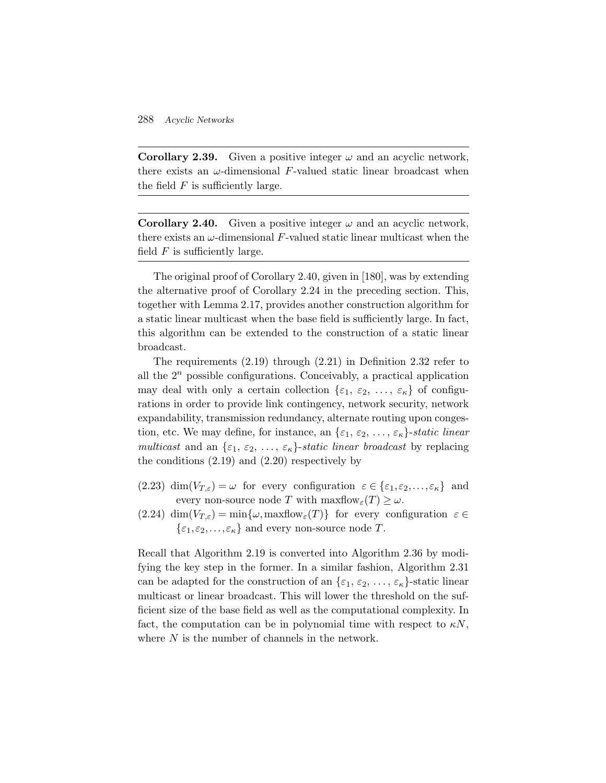**Corollary 2.39.** Given a positive integer  $\omega$  and an acyclic network, there exists an  $\omega$ -dimensional F-valued static linear broadcast when the field  $F$  is sufficiently large.

**Corollary 2.40.** Given a positive integer  $\omega$  and an acyclic network, there exists an  $\omega$ -dimensional F-valued static linear multicast when the field  $F$  is sufficiently large.

The original proof of Corollary 2.40, given in [180], was by extending the alternative proof of Corollary 2.24 in the preceding section. This, together with Lemma 2.17, provides another construction algorithm for a static linear multicast when the base field is sufficiently large. In fact, this algorithm can be extended to the construction of a static linear broadcast.

The requirements (2.19) through (2.21) in Definition 2.32 refer to all the  $2^n$  possible configurations. Conceivably, a practical application may deal with only a certain collection  $\{\varepsilon_1, \varepsilon_2, \ldots, \varepsilon_{\kappa}\}\$  of configurations in order to provide link contingency, network security, network expandability, transmission redundancy, alternate routing upon congestion, etc. We may define, for instance, an  $\{\varepsilon_1, \varepsilon_2, \ldots, \varepsilon_{\kappa}\}\)$ -static linear *multicast* and an  $\{\varepsilon_1, \varepsilon_2, \ldots, \varepsilon_{\kappa}\}\$ -*static linear broadcast* by replacing the conditions (2.19) and (2.20) respectively by

- (2.23) dim $(V_{T,\varepsilon}) = \omega$  for every configuration  $\varepsilon \in {\varepsilon_1, \varepsilon_2, ..., \varepsilon_{\kappa}}$  and every non-source node T with  $\maxflow_{\varepsilon}(T) \geq \omega$ .
- (2.24) dim $(V_{T,\varepsilon}) = \min\{\omega, \maxflow_{\varepsilon}(T)\}\)$  for every configuration  $\varepsilon \in$  $\{\varepsilon_1,\varepsilon_2,\ldots,\varepsilon_{\kappa}\}\$ and every non-source node T.

Recall that Algorithm 2.19 is converted into Algorithm 2.36 by modifying the key step in the former. In a similar fashion, Algorithm 2.31 can be adapted for the construction of an  $\{\varepsilon_1, \varepsilon_2, \ldots, \varepsilon_{\kappa}\}\)$ -static linear multicast or linear broadcast. This will lower the threshold on the sufficient size of the base field as well as the computational complexity. In fact, the computation can be in polynomial time with respect to  $\kappa N$ , where N is the number of channels in the network.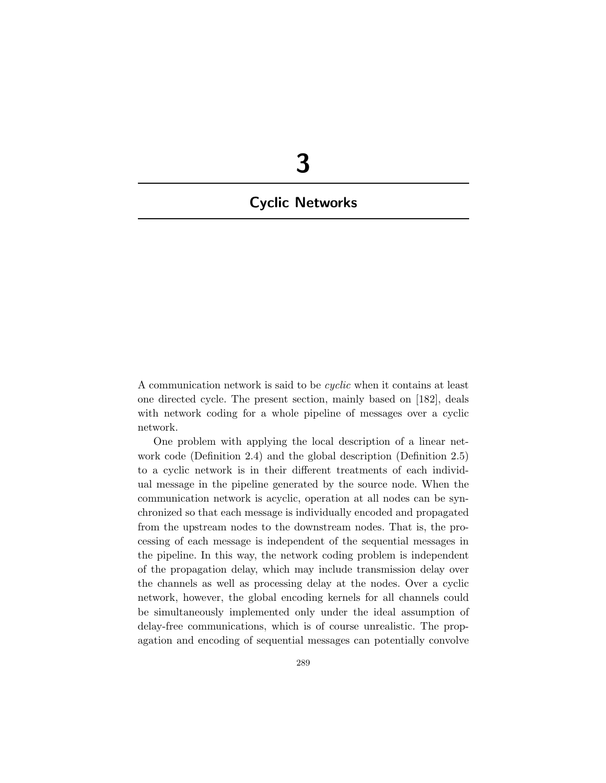# **3**

## **Cyclic Networks**

A communication network is said to be *cyclic* when it contains at least one directed cycle. The present section, mainly based on [182], deals with network coding for a whole pipeline of messages over a cyclic network.

One problem with applying the local description of a linear network code (Definition 2.4) and the global description (Definition 2.5) to a cyclic network is in their different treatments of each individual message in the pipeline generated by the source node. When the communication network is acyclic, operation at all nodes can be synchronized so that each message is individually encoded and propagated from the upstream nodes to the downstream nodes. That is, the processing of each message is independent of the sequential messages in the pipeline. In this way, the network coding problem is independent of the propagation delay, which may include transmission delay over the channels as well as processing delay at the nodes. Over a cyclic network, however, the global encoding kernels for all channels could be simultaneously implemented only under the ideal assumption of delay-free communications, which is of course unrealistic. The propagation and encoding of sequential messages can potentially convolve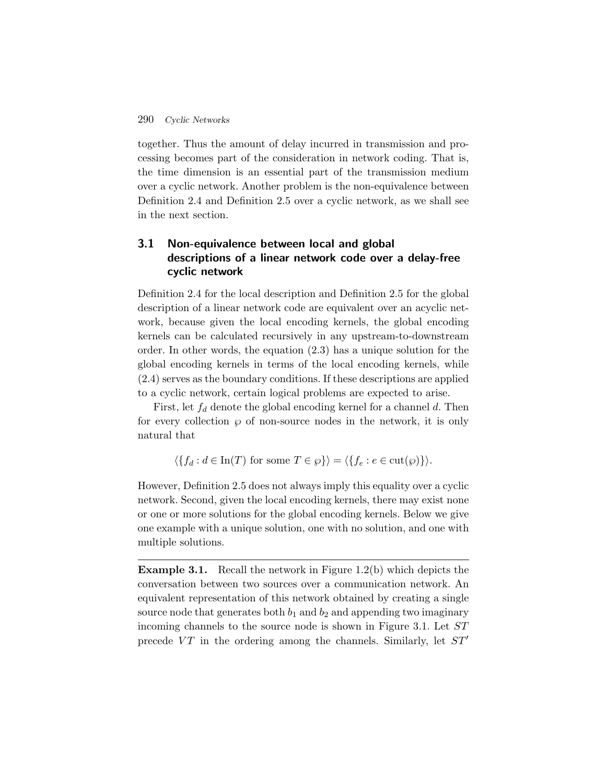together. Thus the amount of delay incurred in transmission and processing becomes part of the consideration in network coding. That is, the time dimension is an essential part of the transmission medium over a cyclic network. Another problem is the non-equivalence between Definition 2.4 and Definition 2.5 over a cyclic network, as we shall see in the next section.

### **3.1 Non-equivalence between local and global descriptions of a linear network code over a delay-free cyclic network**

Definition 2.4 for the local description and Definition 2.5 for the global description of a linear network code are equivalent over an acyclic network, because given the local encoding kernels, the global encoding kernels can be calculated recursively in any upstream-to-downstream order. In other words, the equation (2.3) has a unique solution for the global encoding kernels in terms of the local encoding kernels, while (2.4) serves as the boundary conditions. If these descriptions are applied to a cyclic network, certain logical problems are expected to arise.

First, let  $f_d$  denote the global encoding kernel for a channel d. Then for every collection  $\wp$  of non-source nodes in the network, it is only natural that

$$
\langle \{ f_d : d \in \text{In}(T) \text{ for some } T \in \wp \} \rangle = \langle \{ f_e : e \in \text{cut}(\wp) \} \rangle.
$$

However, Definition 2.5 does not always imply this equality over a cyclic network. Second, given the local encoding kernels, there may exist none or one or more solutions for the global encoding kernels. Below we give one example with a unique solution, one with no solution, and one with multiple solutions.

**Example 3.1.** Recall the network in Figure 1.2(b) which depicts the conversation between two sources over a communication network. An equivalent representation of this network obtained by creating a single source node that generates both  $b_1$  and  $b_2$  and appending two imaginary incoming channels to the source node is shown in Figure 3.1. Let ST precede  $VT$  in the ordering among the channels. Similarly, let  $ST'$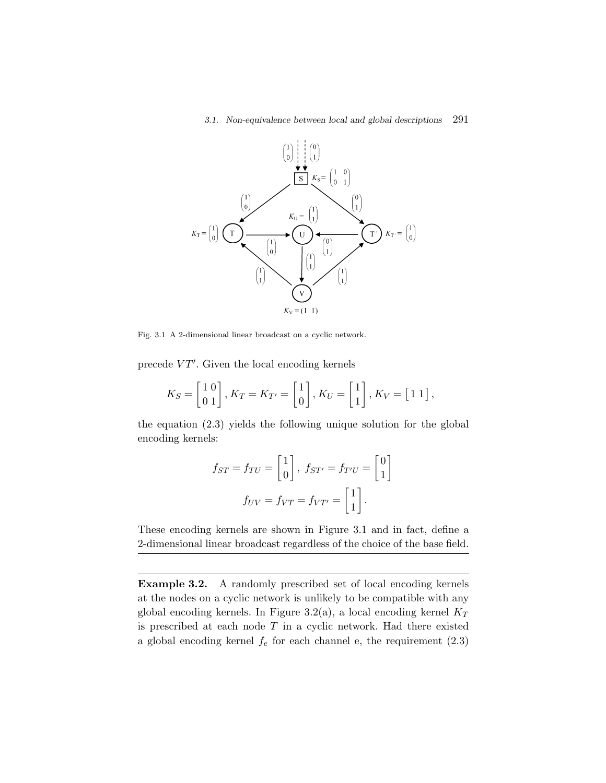### *3.1. Non-equivalence between local and global descriptions* 291



Fig. 3.1 A 2-dimensional linear broadcast on a cyclic network.

precede  $VT'$ . Given the local encoding kernels

$$
K_S = \begin{bmatrix} 1 & 0 \\ 0 & 1 \end{bmatrix}, K_T = K_{T'} = \begin{bmatrix} 1 \\ 0 \end{bmatrix}, K_U = \begin{bmatrix} 1 \\ 1 \end{bmatrix}, K_V = \begin{bmatrix} 1 & 1 \end{bmatrix},
$$

the equation (2.3) yields the following unique solution for the global encoding kernels:

$$
f_{ST} = f_{TU} = \begin{bmatrix} 1 \\ 0 \end{bmatrix}, \ f_{ST'} = f_{T'U} = \begin{bmatrix} 0 \\ 1 \end{bmatrix}
$$

$$
f_{UV} = f_{VT} = f_{VT'} = \begin{bmatrix} 1 \\ 1 \end{bmatrix}.
$$

These encoding kernels are shown in Figure 3.1 and in fact, define a 2-dimensional linear broadcast regardless of the choice of the base field.

**Example 3.2.** A randomly prescribed set of local encoding kernels at the nodes on a cyclic network is unlikely to be compatible with any global encoding kernels. In Figure 3.2(a), a local encoding kernel  $K_T$ is prescribed at each node  $T$  in a cyclic network. Had there existed a global encoding kernel  $f_e$  for each channel e, the requirement  $(2.3)$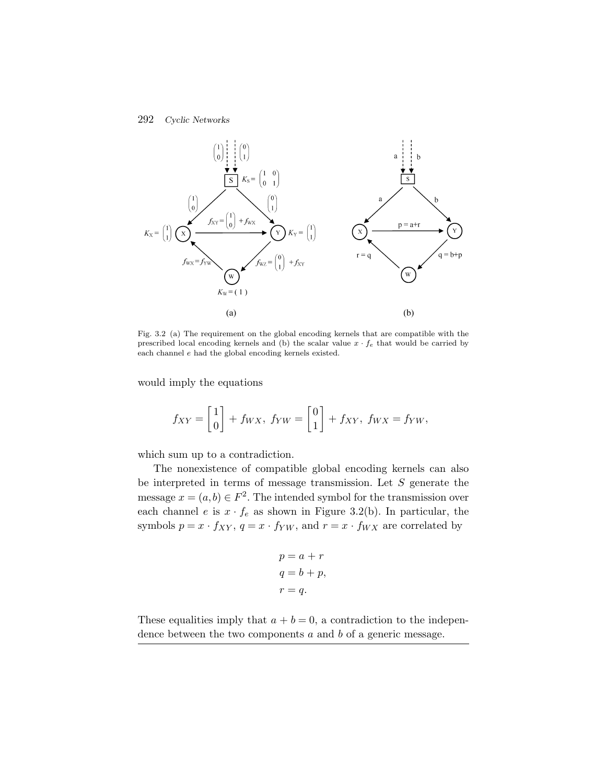

Fig. 3.2 (a) The requirement on the global encoding kernels that are compatible with the prescribed local encoding kernels and (b) the scalar value  $x \cdot f_e$  that would be carried by each channel  $e$  had the global encoding kernels existed.

would imply the equations

$$
f_{XY} = \begin{bmatrix} 1 \\ 0 \end{bmatrix} + f_{WX}, \ f_{YW} = \begin{bmatrix} 0 \\ 1 \end{bmatrix} + f_{XY}, \ f_{WX} = f_{YW},
$$

which sum up to a contradiction.

The nonexistence of compatible global encoding kernels can also be interpreted in terms of message transmission. Let  $S$  generate the message  $x = (a, b) \in F^2$ . The intended symbol for the transmission over each channel e is  $x \cdot f_e$  as shown in Figure 3.2(b). In particular, the symbols  $p = x \cdot f_{XY}$ ,  $q = x \cdot f_{YW}$ , and  $r = x \cdot f_{WX}$  are correlated by

$$
p = a + r
$$
  
\n
$$
q = b + p,
$$
  
\n
$$
r = q.
$$

These equalities imply that  $a + b = 0$ , a contradiction to the independence between the two components  $a$  and  $b$  of a generic message.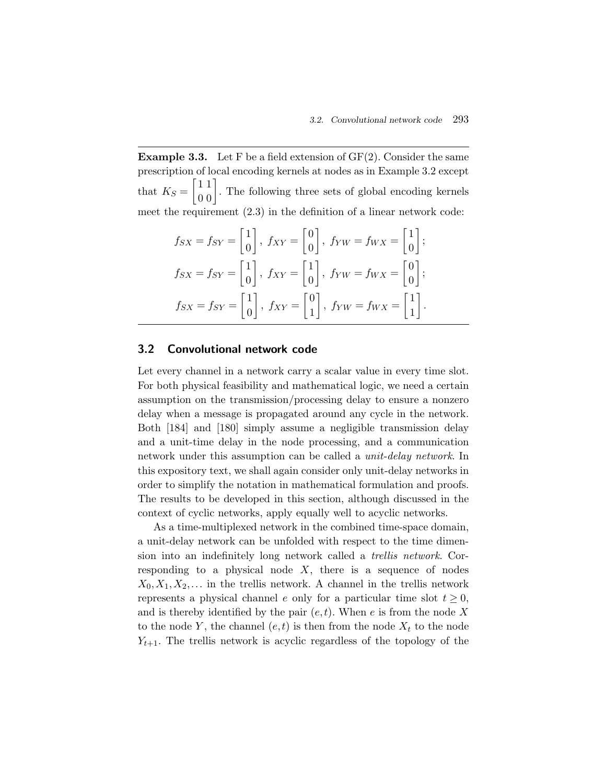**Example 3.3.** Let F be a field extension of GF(2). Consider the same prescription of local encoding kernels at nodes as in Example 3.2 except that  $K_S = \begin{bmatrix} 1 & 1 \\ 0 & 0 \end{bmatrix}$ . The following three sets of global encoding kernels meet the requirement (2.3) in the definition of a linear network code:

$$
f_{SX} = f_{SY} = \begin{bmatrix} 1 \\ 0 \end{bmatrix}, f_{XY} = \begin{bmatrix} 0 \\ 0 \end{bmatrix}, f_{YW} = f_{WX} = \begin{bmatrix} 1 \\ 0 \end{bmatrix};
$$
  
\n
$$
f_{SX} = f_{SY} = \begin{bmatrix} 1 \\ 0 \end{bmatrix}, f_{XY} = \begin{bmatrix} 1 \\ 0 \end{bmatrix}, f_{YW} = f_{WX} = \begin{bmatrix} 0 \\ 0 \end{bmatrix};
$$
  
\n
$$
f_{SX} = f_{SY} = \begin{bmatrix} 1 \\ 0 \end{bmatrix}, f_{XY} = \begin{bmatrix} 0 \\ 1 \end{bmatrix}, f_{YW} = f_{WX} = \begin{bmatrix} 1 \\ 1 \end{bmatrix}.
$$

### **3.2 Convolutional network code**

Let every channel in a network carry a scalar value in every time slot. For both physical feasibility and mathematical logic, we need a certain assumption on the transmission/processing delay to ensure a nonzero delay when a message is propagated around any cycle in the network. Both [184] and [180] simply assume a negligible transmission delay and a unit-time delay in the node processing, and a communication network under this assumption can be called a *unit-delay network*. In this expository text, we shall again consider only unit-delay networks in order to simplify the notation in mathematical formulation and proofs. The results to be developed in this section, although discussed in the context of cyclic networks, apply equally well to acyclic networks.

As a time-multiplexed network in the combined time-space domain, a unit-delay network can be unfolded with respect to the time dimension into an indefinitely long network called a *trellis network*. Corresponding to a physical node  $X$ , there is a sequence of nodes  $X_0, X_1, X_2, \ldots$  in the trellis network. A channel in the trellis network represents a physical channel e only for a particular time slot  $t \geq 0$ , and is thereby identified by the pair  $(e, t)$ . When e is from the node X to the node Y, the channel  $(e, t)$  is then from the node  $X_t$  to the node  $Y_{t+1}$ . The trellis network is acyclic regardless of the topology of the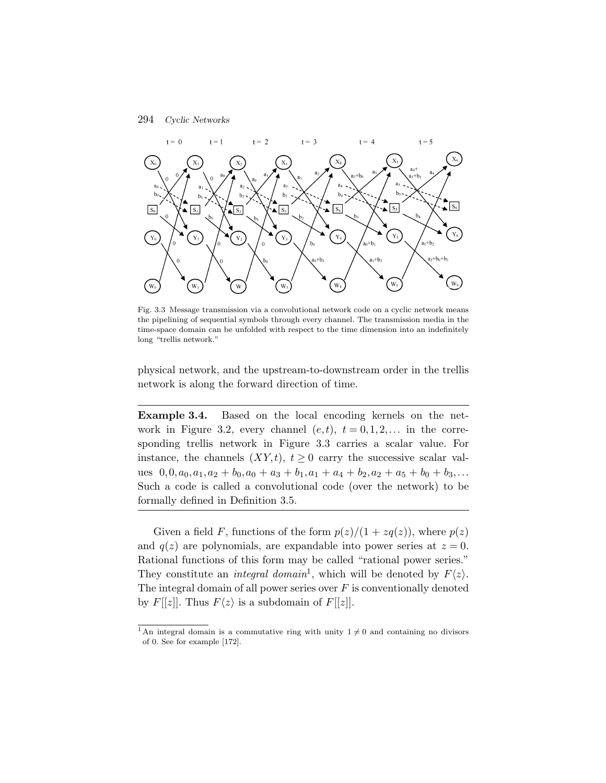

Fig. 3.3 Message transmission via a convolutional network code on a cyclic network means the pipelining of sequential symbols through every channel. The transmission media in the time-space domain can be unfolded with respect to the time dimension into an indefinitely long "trellis network."

physical network, and the upstream-to-downstream order in the trellis network is along the forward direction of time.

**Example 3.4.** Based on the local encoding kernels on the network in Figure 3.2, every channel  $(e, t)$ ,  $t = 0, 1, 2, \ldots$  in the corresponding trellis network in Figure 3.3 carries a scalar value. For instance, the channels  $(XY,t)$ ,  $t \geq 0$  carry the successive scalar values  $0, 0, a_0, a_1, a_2 + b_0, a_0 + a_3 + b_1, a_1 + a_4 + b_2, a_2 + a_5 + b_0 + b_3, \ldots$ Such a code is called a convolutional code (over the network) to be formally defined in Definition 3.5.

Given a field F, functions of the form  $p(z)/(1 + zq(z))$ , where  $p(z)$ and  $q(z)$  are polynomials, are expandable into power series at  $z = 0$ . Rational functions of this form may be called "rational power series." They constitute an *integral domain*<sup>1</sup>, which will be denoted by  $F\langle z \rangle$ . The integral domain of all power series over  $F$  is conventionally denoted by  $F[[z]]$ . Thus  $F\langle z \rangle$  is a subdomain of  $F[[z]]$ .

<sup>&</sup>lt;sup>1</sup>An integral domain is a commutative ring with unity  $1 \neq 0$  and containing no divisors of 0. See for example [172].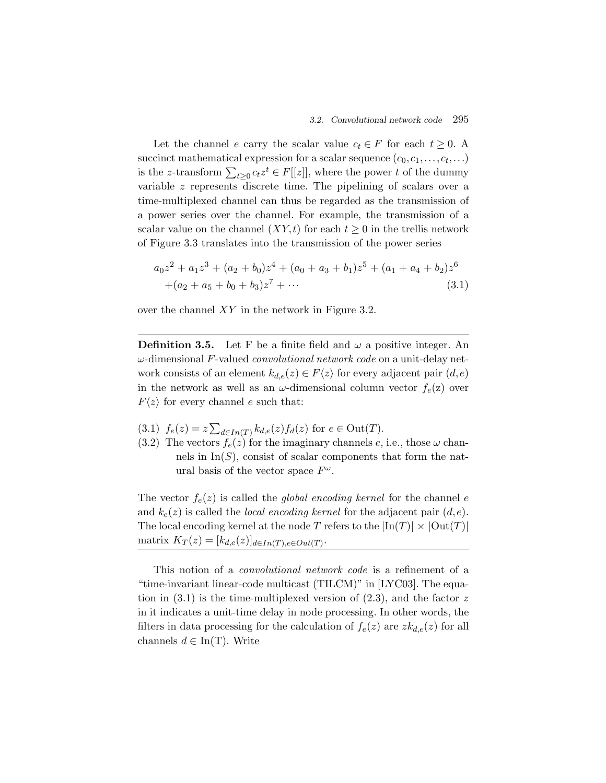Let the channel e carry the scalar value  $c_t \in F$  for each  $t \geq 0$ . A succinct mathematical expression for a scalar sequence  $(c_0, c_1, \ldots, c_t, \ldots)$ is the z-transform  $\sum_{t\geq 0} c_t z^t \in F[[z]]$ , where the power t of the dummy variable z represents discrete time. The pipelining of scalars over a time-multiplexed channel can thus be regarded as the transmission of a power series over the channel. For example, the transmission of a scalar value on the channel  $(XY,t)$  for each  $t \geq 0$  in the trellis network of Figure 3.3 translates into the transmission of the power series

$$
a_0 z^2 + a_1 z^3 + (a_2 + b_0) z^4 + (a_0 + a_3 + b_1) z^5 + (a_1 + a_4 + b_2) z^6
$$
  
+
$$
(a_2 + a_5 + b_0 + b_3) z^7 + \cdots
$$
 (3.1)

over the channel XY in the network in Figure 3.2.

**Definition 3.5.** Let F be a finite field and  $\omega$  a positive integer. An ω-dimensional F-valued *convolutional network code* on a unit-delay network consists of an element  $k_{d,e}(z) \in F\langle z \rangle$  for every adjacent pair  $(d,e)$ in the network as well as an  $\omega$ -dimensional column vector  $f_e(z)$  over  $F\langle z \rangle$  for every channel e such that:

- $(3.1)$   $f_e(z) = z \sum_{d \in In(T)} k_{d,e}(z) f_d(z)$  for  $e \in Out(T)$ .
- (3.2) The vectors  $f_e(z)$  for the imaginary channels e, i.e., those  $\omega$  channels in  $\text{In}(S)$ , consist of scalar components that form the natural basis of the vector space  $F^{\omega}$ .

The vector  $f_e(z)$  is called the *global encoding kernel* for the channel  $e$ and  $k_e(z)$  is called the *local encoding kernel* for the adjacent pair  $(d, e)$ . The local encoding kernel at the node T refers to the  $\left|\text{In}(T)\right| \times \left|\text{Out}(T)\right|$ matrix  $K_T(z)=[k_{d,e}(z)]_{d\in In(T),e\in Out(T)}$ .

This notion of a *convolutional network code* is a refinement of a "time-invariant linear-code multicast (TILCM)" in [LYC03]. The equation in  $(3.1)$  is the time-multiplexed version of  $(2.3)$ , and the factor z in it indicates a unit-time delay in node processing. In other words, the filters in data processing for the calculation of  $f_e(z)$  are  $zk_{d,e}(z)$  for all channels  $d \in \text{In}(T)$ . Write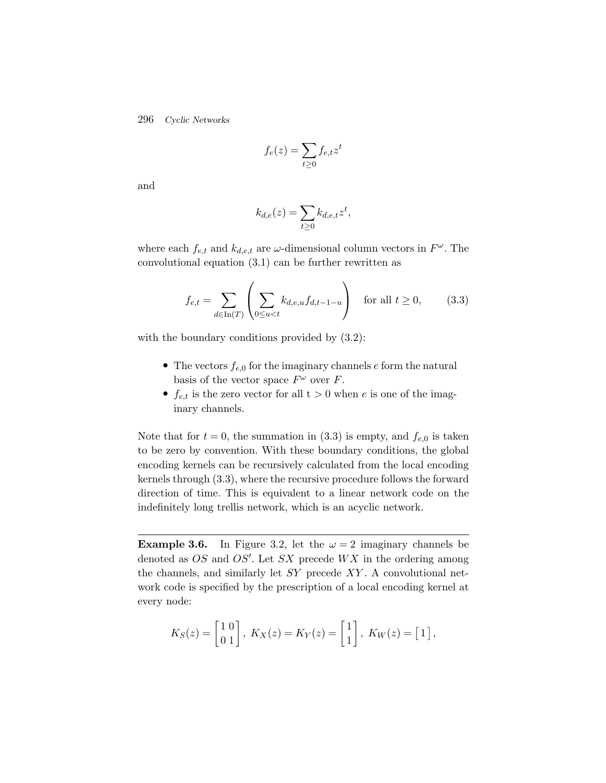$$
f_e(z) = \sum_{t \ge 0} f_{e,t} z^t
$$

and

$$
k_{d,e}(z) = \sum_{t \ge 0} k_{d,e,t} z^t,
$$

where each  $f_{e,t}$  and  $k_{d,e,t}$  are  $\omega$ -dimensional column vectors in  $F^{\omega}$ . The convolutional equation (3.1) can be further rewritten as

$$
f_{e,t} = \sum_{d \in \text{In}(T)} \left( \sum_{0 \le u < t} k_{d,e,u} f_{d,t-1-u} \right) \quad \text{for all } t \ge 0,\tag{3.3}
$$

with the boundary conditions provided by (3.2):

- The vectors  $f_{e,0}$  for the imaginary channels  $e$  form the natural basis of the vector space  $F^{\omega}$  over F.
- $f_{e,t}$  is the zero vector for all  $t > 0$  when e is one of the imaginary channels.

Note that for  $t = 0$ , the summation in (3.3) is empty, and  $f_{e,0}$  is taken to be zero by convention. With these boundary conditions, the global encoding kernels can be recursively calculated from the local encoding kernels through (3.3), where the recursive procedure follows the forward direction of time. This is equivalent to a linear network code on the indefinitely long trellis network, which is an acyclic network.

**Example 3.6.** In Figure 3.2, let the  $\omega = 2$  imaginary channels be denoted as  $OS$  and  $OS'$ . Let  $SX$  precede  $WX$  in the ordering among the channels, and similarly let  $SY$  precede  $XY$ . A convolutional network code is specified by the prescription of a local encoding kernel at every node:

$$
K_S(z) = \begin{bmatrix} 1 & 0 \\ 0 & 1 \end{bmatrix}, \ K_X(z) = K_Y(z) = \begin{bmatrix} 1 \\ 1 \end{bmatrix}, \ K_W(z) = \begin{bmatrix} 1 \end{bmatrix},
$$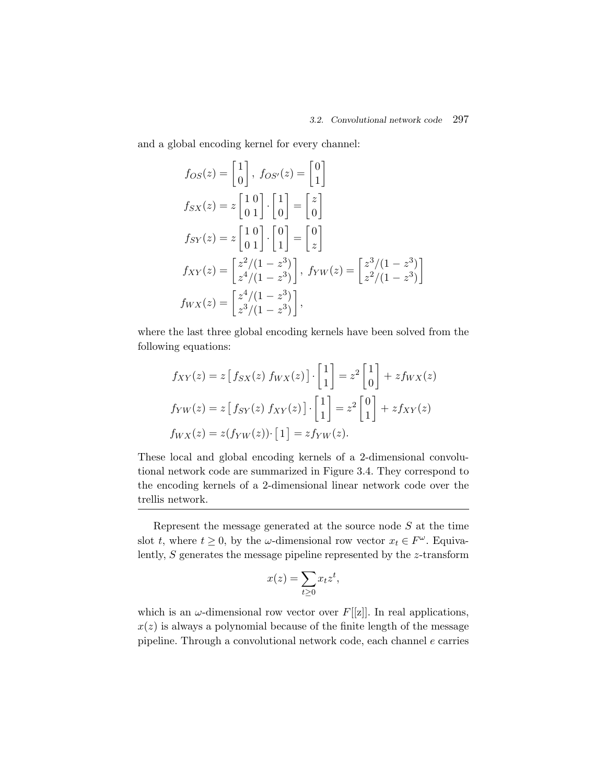and a global encoding kernel for every channel:

$$
f_{OS}(z) = \begin{bmatrix} 1 \\ 0 \end{bmatrix}, f_{OS'}(z) = \begin{bmatrix} 0 \\ 1 \end{bmatrix}
$$
  
\n
$$
f_{SX}(z) = z \begin{bmatrix} 1 & 0 \\ 0 & 1 \end{bmatrix} \cdot \begin{bmatrix} 1 \\ 0 \end{bmatrix} = \begin{bmatrix} z \\ 0 \end{bmatrix}
$$
  
\n
$$
f_{SY}(z) = z \begin{bmatrix} 1 & 0 \\ 0 & 1 \end{bmatrix} \cdot \begin{bmatrix} 0 \\ 1 \end{bmatrix} = \begin{bmatrix} 0 \\ z \end{bmatrix}
$$
  
\n
$$
f_{XY}(z) = \begin{bmatrix} z^2/(1-z^3) \\ z^4/(1-z^3) \end{bmatrix}, f_{YW}(z) = \begin{bmatrix} z^3/(1-z^3) \\ z^2/(1-z^3) \end{bmatrix}
$$
  
\n
$$
f_{WX}(z) = \begin{bmatrix} z^4/(1-z^3) \\ z^3/(1-z^3) \end{bmatrix},
$$

where the last three global encoding kernels have been solved from the following equations:

$$
f_{XY}(z) = z [f_{SX}(z) f_{WX}(z)] \cdot \begin{bmatrix} 1 \\ 1 \end{bmatrix} = z^2 \begin{bmatrix} 1 \\ 0 \end{bmatrix} + z f_{WX}(z)
$$

$$
f_{YW}(z) = z [f_{SY}(z) f_{XY}(z)] \cdot \begin{bmatrix} 1 \\ 1 \end{bmatrix} = z^2 \begin{bmatrix} 0 \\ 1 \end{bmatrix} + z f_{XY}(z)
$$

$$
f_{WX}(z) = z(f_{YW}(z)) \cdot \begin{bmatrix} 1 \\ 1 \end{bmatrix} = z f_{YW}(z).
$$

These local and global encoding kernels of a 2-dimensional convolutional network code are summarized in Figure 3.4. They correspond to the encoding kernels of a 2-dimensional linear network code over the trellis network.

Represent the message generated at the source node  $S$  at the time slot t, where  $t \geq 0$ , by the  $\omega$ -dimensional row vector  $x_t \in F^{\omega}$ . Equivalently,  $S$  generates the message pipeline represented by the  $z$ -transform

$$
x(z) = \sum_{t \ge 0} x_t z^t,
$$

which is an  $\omega$ -dimensional row vector over  $F[[z]]$ . In real applications,  $x(z)$  is always a polynomial because of the finite length of the message pipeline. Through a convolutional network code, each channel e carries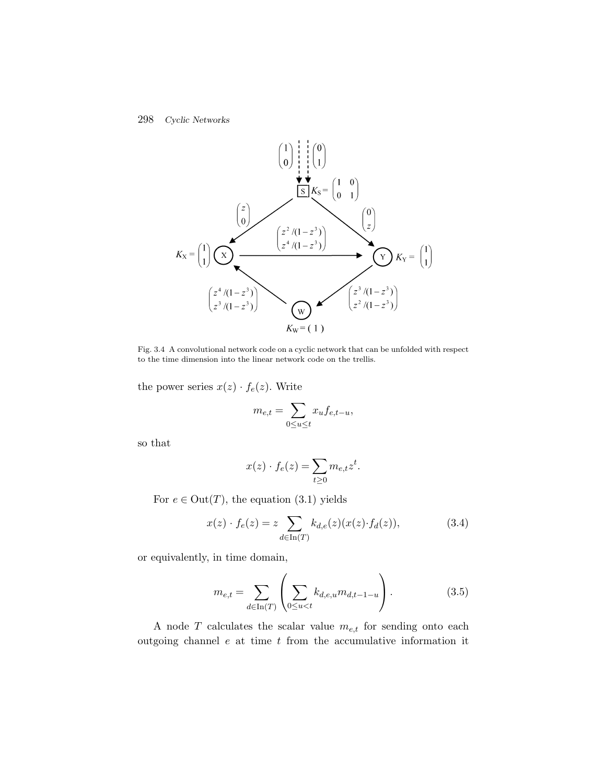

Fig. 3.4 A convolutional network code on a cyclic network that can be unfolded with respect to the time dimension into the linear network code on the trellis.

the power series  $x(z) \cdot f_e(z)$ . Write

$$
m_{e,t} = \sum_{0 \le u \le t} x_u f_{e,t-u},
$$

so that

$$
x(z) \cdot f_e(z) = \sum_{t \ge 0} m_{e,t} z^t.
$$

For  $e \in Out(T)$ , the equation (3.1) yields

$$
x(z) \cdot f_e(z) = z \sum_{d \in \text{In}(T)} k_{d,e}(z) (x(z) \cdot f_d(z)), \tag{3.4}
$$

or equivalently, in time domain,

$$
m_{e,t} = \sum_{d \in \text{In}(T)} \left( \sum_{0 \le u < t} k_{d,e,u} m_{d,t-1-u} \right). \tag{3.5}
$$

A node  $T$  calculates the scalar value  $m_{e,t}$  for sending onto each outgoing channel  $e$  at time  $t$  from the accumulative information it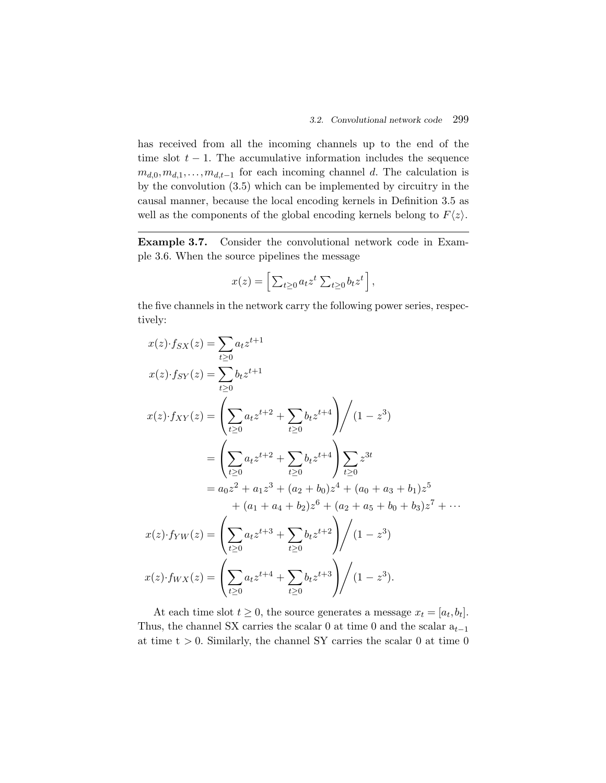has received from all the incoming channels up to the end of the time slot  $t - 1$ . The accumulative information includes the sequence  $m_{d,0},m_{d,1},\ldots,m_{d,t-1}$  for each incoming channel d. The calculation is by the convolution (3.5) which can be implemented by circuitry in the causal manner, because the local encoding kernels in Definition 3.5 as well as the components of the global encoding kernels belong to  $F\langle z \rangle$ .

**Example 3.7.** Consider the convolutional network code in Example 3.6. When the source pipelines the message

$$
x(z) = \left[ \sum_{t \ge 0} a_t z^t \sum_{t \ge 0} b_t z^t \right],
$$

the five channels in the network carry the following power series, respectively:

$$
x(z) \cdot f_{SX}(z) = \sum_{t\geq 0} a_t z^{t+1}
$$
  
\n
$$
x(z) \cdot f_{SY}(z) = \left( \sum_{t\geq 0} a_t z^{t+2} + \sum_{t\geq 0} b_t z^{t+4} \right) / (1 - z^3)
$$
  
\n
$$
= \left( \sum_{t\geq 0} a_t z^{t+2} + \sum_{t\geq 0} b_t z^{t+4} \right) \sum_{t\geq 0} z^{3t}
$$
  
\n
$$
= a_0 z^2 + a_1 z^3 + (a_2 + b_0) z^4 + (a_0 + a_3 + b_1) z^5
$$
  
\n
$$
+ (a_1 + a_4 + b_2) z^6 + (a_2 + a_5 + b_0 + b_3) z^7 + \cdots
$$
  
\n
$$
x(z) \cdot f_{YW}(z) = \left( \sum_{t\geq 0} a_t z^{t+3} + \sum_{t\geq 0} b_t z^{t+2} \right) / (1 - z^3)
$$
  
\n
$$
x(z) \cdot f_{WX}(z) = \left( \sum_{t\geq 0} a_t z^{t+4} + \sum_{t\geq 0} b_t z^{t+3} \right) / (1 - z^3).
$$

At each time slot  $t \geq 0$ , the source generates a message  $x_t = [a_t, b_t]$ . Thus, the channel SX carries the scalar 0 at time 0 and the scalar  $a_{t-1}$ at time  $t > 0$ . Similarly, the channel SY carries the scalar 0 at time 0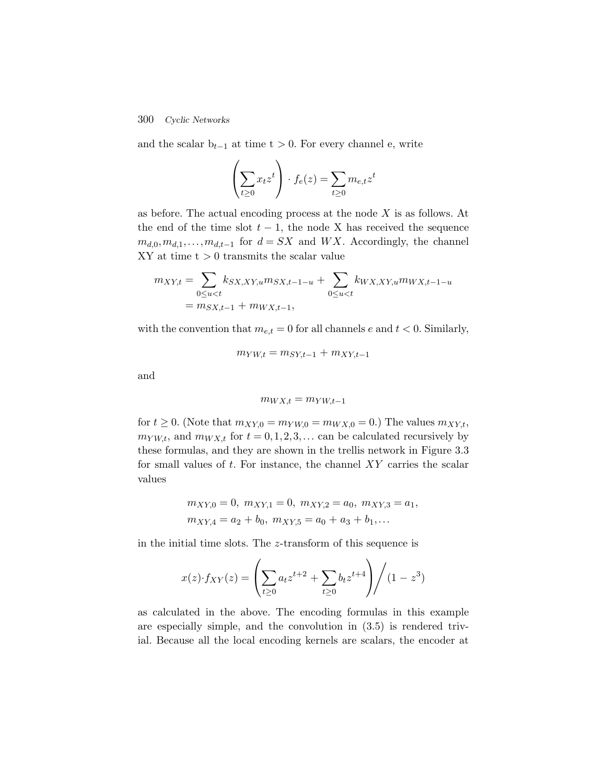and the scalar  $b_{t-1}$  at time t > 0. For every channel e, write

$$
\left(\sum_{t\geq 0} x_t z^t\right) \cdot f_e(z) = \sum_{t\geq 0} m_{e,t} z^t
$$

as before. The actual encoding process at the node X is as follows. At the end of the time slot  $t - 1$ , the node X has received the sequence  $m_{d,0},m_{d,1},\ldots,m_{d,t-1}$  for  $d = SX$  and WX. Accordingly, the channel  $XY$  at time  $t > 0$  transmits the scalar value

$$
m_{XY,t} = \sum_{0 \le u < t} k_{SX,XY,u} m_{SX,t-1-u} + \sum_{0 \le u < t} k_{WX,XY,u} m_{WX,t-1-u}
$$
  
=  $m_{SX,t-1} + m_{WX,t-1},$ 

with the convention that  $m_{e,t} = 0$  for all channels e and  $t < 0$ . Similarly,

$$
m_{YW,t} = m_{SY,t-1} + m_{XY,t-1}
$$

and

$$
m_{WX,t} = m_{YW,t-1}
$$

for  $t \geq 0$ . (Note that  $m_{XY,0} = m_{YW,0} = m_{WX,0} = 0$ .) The values  $m_{XY,t}$ ,  $m_{YW,t}$ , and  $m_{WX,t}$  for  $t = 0, 1, 2, 3, \ldots$  can be calculated recursively by these formulas, and they are shown in the trellis network in Figure 3.3 for small values of  $t$ . For instance, the channel  $XY$  carries the scalar values

$$
m_{XY,0} = 0, \ m_{XY,1} = 0, \ m_{XY,2} = a_0, \ m_{XY,3} = a_1, \ m_{XY,4} = a_2 + b_0, \ m_{XY,5} = a_0 + a_3 + b_1, \dots
$$

in the initial time slots. The z-transform of this sequence is

$$
x(z) \cdot f_{XY}(z) = \left(\sum_{t \ge 0} a_t z^{t+2} + \sum_{t \ge 0} b_t z^{t+4}\right) / (1 - z^3)
$$

as calculated in the above. The encoding formulas in this example are especially simple, and the convolution in (3.5) is rendered trivial. Because all the local encoding kernels are scalars, the encoder at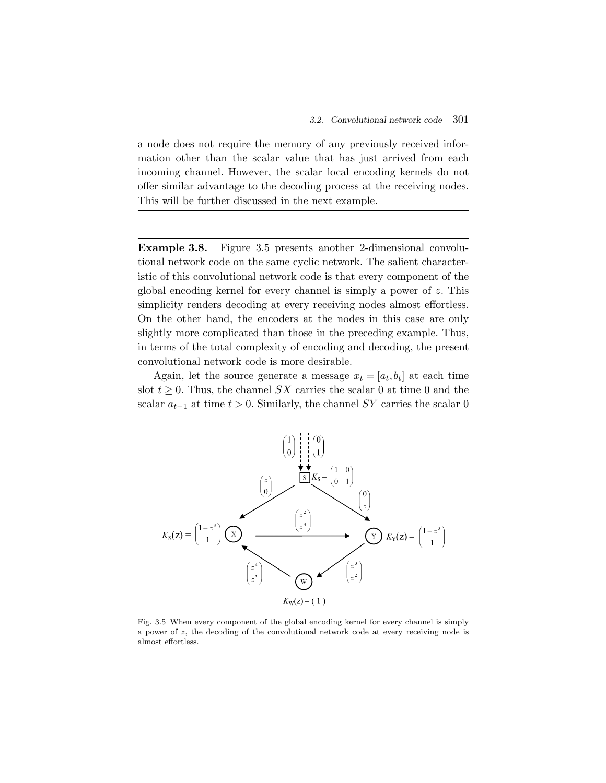a node does not require the memory of any previously received information other than the scalar value that has just arrived from each incoming channel. However, the scalar local encoding kernels do not offer similar advantage to the decoding process at the receiving nodes. This will be further discussed in the next example.

**Example 3.8.** Figure 3.5 presents another 2-dimensional convolutional network code on the same cyclic network. The salient characteristic of this convolutional network code is that every component of the global encoding kernel for every channel is simply a power of z. This simplicity renders decoding at every receiving nodes almost effortless. On the other hand, the encoders at the nodes in this case are only slightly more complicated than those in the preceding example. Thus, in terms of the total complexity of encoding and decoding, the present convolutional network code is more desirable.

Again, let the source generate a message  $x_t = [a_t, b_t]$  at each time slot  $t \geq 0$ . Thus, the channel SX carries the scalar 0 at time 0 and the scalar  $a_{t-1}$  at time  $t > 0$ . Similarly, the channel SY carries the scalar 0



Fig. 3.5 When every component of the global encoding kernel for every channel is simply a power of  $z$ , the decoding of the convolutional network code at every receiving node is almost effortless.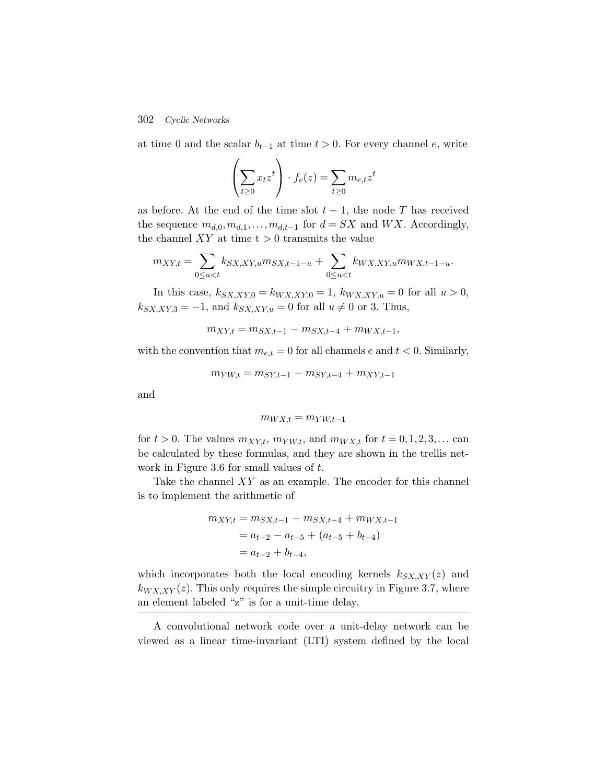at time 0 and the scalar  $b_{t-1}$  at time  $t > 0$ . For every channel e, write

$$
\left(\sum_{t\geq 0} x_t z^t\right) \cdot f_e(z) = \sum_{t\geq 0} m_{e,t} z^t
$$

as before. At the end of the time slot  $t-1$ , the node T has received the sequence  $m_{d,0}, m_{d,1}, \ldots, m_{d,t-1}$  for  $d = SX$  and  $WX$ . Accordingly, the channel  $XY$  at time  $t > 0$  transmits the value

$$
m_{XY,t} = \sum_{0 \le u < t} k_{SX,XY,u} m_{SX,t-1-u} + \sum_{0 \le u < t} k_{WX,XY,u} m_{WX,t-1-u}.
$$

In this case,  $k_{SX,XY,0} = k_{WX,XY,0} = 1, k_{WX,XY,u} = 0$  for all  $u > 0$ ,  $k_{SX,XY,3} = -1$ , and  $k_{SX,XY,u} = 0$  for all  $u \neq 0$  or 3. Thus,

$$
m_{XY,t} = m_{SX,t-1} - m_{SX,t-4} + m_{WX,t-1},
$$

with the convention that  $m_{e,t} = 0$  for all channels e and  $t < 0$ . Similarly,

$$
m_{YW,t} = m_{SY,t-1} - m_{SY,t-4} + m_{XY,t-1}
$$

and

$$
m_{WX,t}=m_{YW,t-1}\,
$$

for  $t > 0$ . The values  $m_{XY,t}$ ,  $m_{YW,t}$ , and  $m_{WX,t}$  for  $t = 0,1,2,3,...$  can be calculated by these formulas, and they are shown in the trellis network in Figure 3.6 for small values of t.

Take the channel  $XY$  as an example. The encoder for this channel is to implement the arithmetic of

$$
m_{XY,t} = m_{SX,t-1} - m_{SX,t-4} + m_{WX,t-1}
$$
  
=  $a_{t-2} - a_{t-5} + (a_{t-5} + b_{t-4})$   
=  $a_{t-2} + b_{t-4}$ ,

which incorporates both the local encoding kernels  $k_{SX,XY}(z)$  and  $k_{WX,XY}(z)$ . This only requires the simple circuitry in Figure 3.7, where an element labeled "z" is for a unit-time delay.

A convolutional network code over a unit-delay network can be viewed as a linear time-invariant (LTI) system defined by the local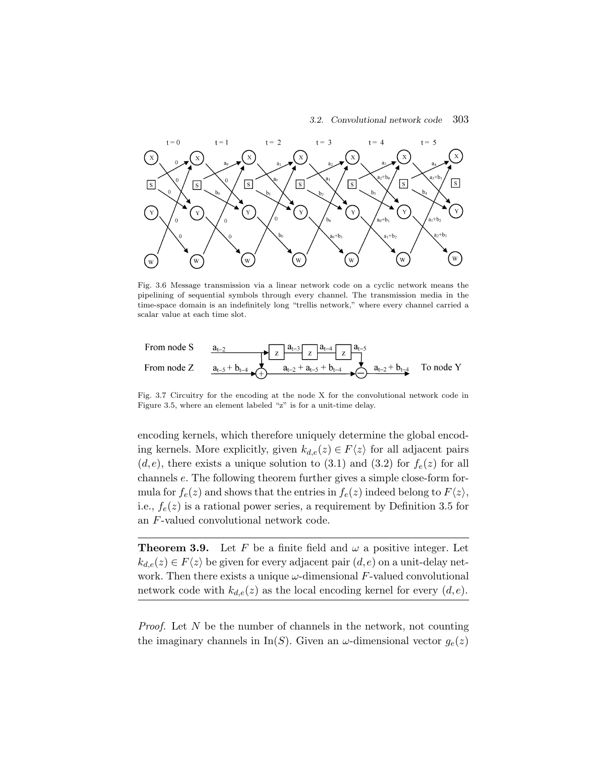*3.2. Convolutional network code* 303



Fig. 3.6 Message transmission via a linear network code on a cyclic network means the pipelining of sequential symbols through every channel. The transmission media in the time-space domain is an indefinitely long "trellis network," where every channel carried a scalar value at each time slot.

From node S  
\nFrom node Z  
\n
$$
a_{t-2}
$$
\n
$$
a_{t-3}
$$
\n
$$
a_{t-3}
$$
\n
$$
a_{t-4}
$$
\n
$$
a_{t-2}
$$
\n
$$
a_{t-2} + a_{t-5} + b_{t-4}
$$
\n
$$
a_{t-2} + b_{t-4}
$$
\n
$$
a_{t-2} + b_{t-4}
$$
\nTo node Y

Fig. 3.7 Circuitry for the encoding at the node X for the convolutional network code in Figure 3.5, where an element labeled "z" is for a unit-time delay.

encoding kernels, which therefore uniquely determine the global encoding kernels. More explicitly, given  $k_{d,e}(z) \in F\langle z \rangle$  for all adjacent pairs  $(d,e)$ , there exists a unique solution to (3.1) and (3.2) for  $f_e(z)$  for all channels e. The following theorem further gives a simple close-form formula for  $f_e(z)$  and shows that the entries in  $f_e(z)$  indeed belong to  $F\langle z \rangle$ , i.e.,  $f_e(z)$  is a rational power series, a requirement by Definition 3.5 for an F-valued convolutional network code.

**Theorem 3.9.** Let F be a finite field and  $\omega$  a positive integer. Let  $k_{d,e}(z) \in F\langle z \rangle$  be given for every adjacent pair  $(d,e)$  on a unit-delay network. Then there exists a unique  $\omega$ -dimensional F-valued convolutional network code with  $k_{d,e}(z)$  as the local encoding kernel for every  $(d,e)$ .

*Proof.* Let N be the number of channels in the network, not counting the imaginary channels in In(S). Given an  $\omega$ -dimensional vector  $g_e(z)$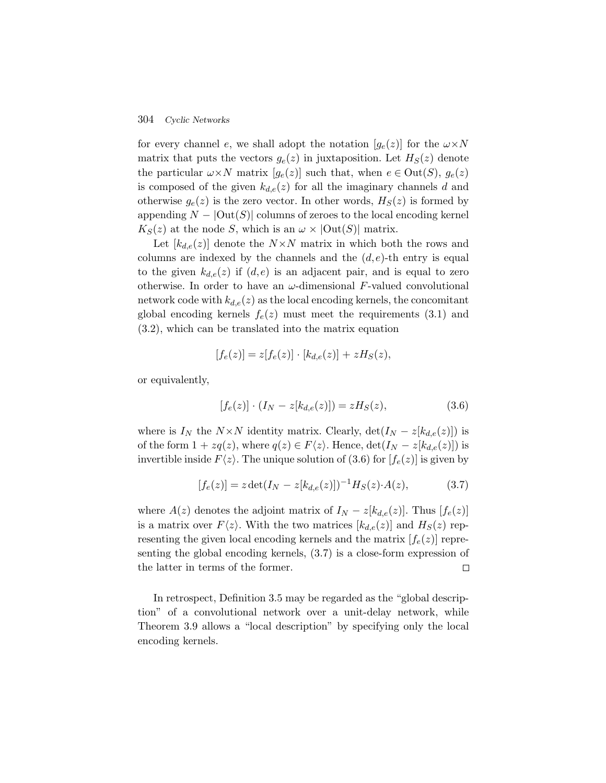for every channel e, we shall adopt the notation  $[g_e(z)]$  for the  $\omega \times N$ matrix that puts the vectors  $g_e(z)$  in juxtaposition. Let  $H_S(z)$  denote the particular  $\omega \times N$  matrix  $[g_e(z)]$  such that, when  $e \in Out(S), g_e(z)$ is composed of the given  $k_{d,e}(z)$  for all the imaginary channels d and otherwise  $g_e(z)$  is the zero vector. In other words,  $H_S(z)$  is formed by appending  $N - |Out(S)|$  columns of zeroes to the local encoding kernel  $K_S(z)$  at the node S, which is an  $\omega \times |\text{Out}(S)|$  matrix.

Let  $[k_{d,e}(z)]$  denote the  $N \times N$  matrix in which both the rows and columns are indexed by the channels and the  $(d, e)$ -th entry is equal to the given  $k_{d,e}(z)$  if  $(d,e)$  is an adjacent pair, and is equal to zero otherwise. In order to have an  $\omega$ -dimensional F-valued convolutional network code with  $k_{d,e}(z)$  as the local encoding kernels, the concomitant global encoding kernels  $f_e(z)$  must meet the requirements (3.1) and (3.2), which can be translated into the matrix equation

$$
[f_e(z)] = z[f_e(z)] \cdot [k_{d,e}(z)] + zH_S(z),
$$

or equivalently,

$$
[f_e(z)] \cdot (I_N - z[k_{d,e}(z)]) = zH_S(z), \tag{3.6}
$$

where is  $I_N$  the  $N \times N$  identity matrix. Clearly,  $\det(I_N - z[k_{d,e}(z)])$  is of the form  $1 + zq(z)$ , where  $q(z) \in F\langle z \rangle$ . Hence,  $\det(I_N - z[k_{d,e}(z)])$  is invertible inside  $F\langle z \rangle$ . The unique solution of (3.6) for  $[f_e(z)]$  is given by

$$
[f_e(z)] = z \det(I_N - z[k_{d,e}(z)])^{-1} H_S(z) \cdot A(z), \qquad (3.7)
$$

where  $A(z)$  denotes the adjoint matrix of  $I_N - z[k_{d,e}(z)]$ . Thus  $[f_e(z)]$ is a matrix over  $F\langle z \rangle$ . With the two matrices  $[k_{d,e}(z)]$  and  $H_S(z)$  representing the given local encoding kernels and the matrix  $[f_e(z)]$  representing the global encoding kernels, (3.7) is a close-form expression of the latter in terms of the former.  $\Box$ 

In retrospect, Definition 3.5 may be regarded as the "global description" of a convolutional network over a unit-delay network, while Theorem 3.9 allows a "local description" by specifying only the local encoding kernels.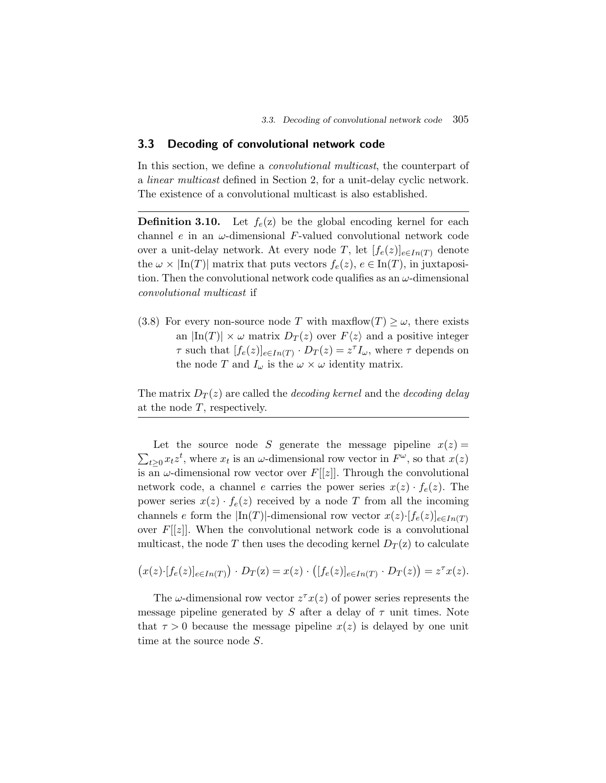# **3.3 Decoding of convolutional network code**

In this section, we define a *convolutional multicast*, the counterpart of a *linear multicast* defined in Section 2, for a unit-delay cyclic network. The existence of a convolutional multicast is also established.

**Definition 3.10.** Let  $f_e(z)$  be the global encoding kernel for each channel e in an  $\omega$ -dimensional F-valued convolutional network code over a unit-delay network. At every node T, let  $[f_e(z)]_{e \in In(T)}$  denote the  $\omega \times \text{In}(T)$  matrix that puts vectors  $f_e(z)$ ,  $e \in \text{In}(T)$ , in juxtaposition. Then the convolutional network code qualifies as an  $\omega$ -dimensional *convolutional multicast* if

(3.8) For every non-source node T with maxflow(T)  $\geq \omega$ , there exists an  $|\text{In}(T)| \times \omega$  matrix  $D_T(z)$  over  $F\langle z \rangle$  and a positive integer  $\tau$  such that  $[f_e(z)]_{e \in In(T)} \cdot D_T(z) = z^{\tau} I_{\omega}$ , where  $\tau$  depends on the node T and  $I_{\omega}$  is the  $\omega \times \omega$  identity matrix.

The matrix  $D_T(z)$  are called the *decoding kernel* and the *decoding delay* at the node  $T$ , respectively.

Let the source node S generate the message pipeline  $x(z) =$  $\sum_{t\geq 0} x_t z^t$ , where  $x_t$  is an  $\omega$ -dimensional row vector in  $F^{\omega}$ , so that  $x(z)$ is an  $\omega$ -dimensional row vector over  $F[[z]]$ . Through the convolutional network code, a channel e carries the power series  $x(z) \cdot f_e(z)$ . The power series  $x(z) \cdot f_e(z)$  received by a node T from all the incoming channels e form the  $\ln(T)$ -dimensional row vector  $x(z) \cdot [f_e(z)]_{e \in In(T)}$ over  $F[[z]]$ . When the convolutional network code is a convolutional multicast, the node T then uses the decoding kernel  $D_T(z)$  to calculate

$$
(x(z)\cdot [f_e(z)]_{e\in In(T)})\cdot D_T(z)=x(z)\cdot ([f_e(z)]_{e\in In(T)}\cdot D_T(z))=z^{\tau}x(z).
$$

The  $\omega$ -dimensional row vector  $z^{\tau}x(z)$  of power series represents the message pipeline generated by S after a delay of  $\tau$  unit times. Note that  $\tau > 0$  because the message pipeline  $x(z)$  is delayed by one unit time at the source node S.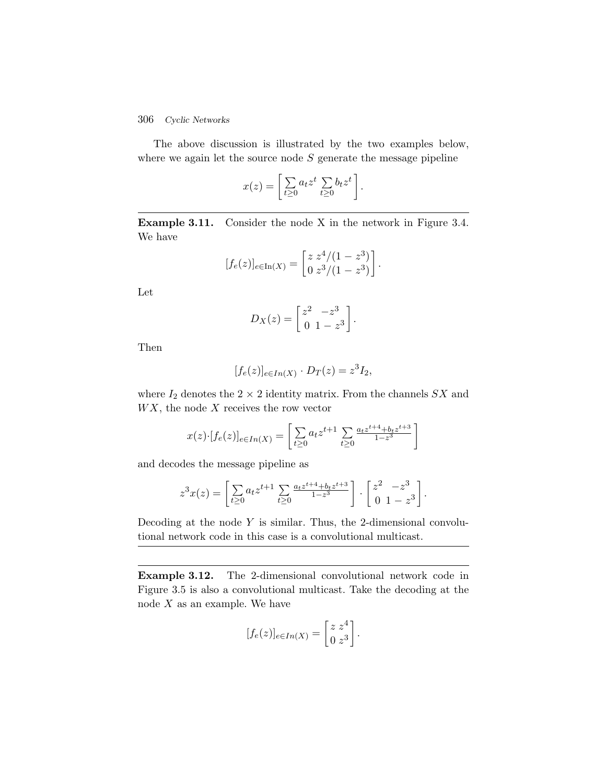### 306 *Cyclic Networks*

The above discussion is illustrated by the two examples below, where we again let the source node  $S$  generate the message pipeline

$$
x(z) = \left[ \sum_{t \geq 0} a_t z^t \sum_{t \geq 0} b_t z^t \right].
$$

**Example 3.11.** Consider the node X in the network in Figure 3.4. We have

$$
[f_e(z)]_{e \in \text{In}(X)} = \begin{bmatrix} z \ z^4/(1-z^3) \\ 0 \ z^3/(1-z^3) \end{bmatrix}.
$$

Let

$$
D_X(z) = \begin{bmatrix} z^2 & -z^3 \\ 0 & 1-z^3 \end{bmatrix}.
$$

Then

$$
[f_e(z)]_{e \in In(X)} \cdot D_T(z) = z^3 I_2,
$$

where  $I_2$  denotes the  $2 \times 2$  identity matrix. From the channels  $SX$  and  $WX$ , the node  $X$  receives the row vector

$$
x(z) \cdot [f_e(z)]_{e \in In(X)} = \left[ \sum_{t \ge 0} a_t z^{t+1} \sum_{t \ge 0} \frac{a_t z^{t+4} + b_t z^{t+3}}{1 - z^3} \right]
$$

and decodes the message pipeline as

$$
z^{3}x(z) = \left[\sum_{t\geq 0} a_{t} z^{t+1} \sum_{t\geq 0} \frac{a_{t} z^{t+4} + b_{t} z^{t+3}}{1-z^{3}}\right] \cdot \left[\begin{array}{cc} z^{2} & -z^{3} \\ 0 & 1-z^{3} \end{array}\right].
$$

Decoding at the node  $Y$  is similar. Thus, the 2-dimensional convolutional network code in this case is a convolutional multicast.

**Example 3.12.** The 2-dimensional convolutional network code in Figure 3.5 is also a convolutional multicast. Take the decoding at the node  $X$  as an example. We have

$$
[f_e(z)]_{e \in In(X)} = \begin{bmatrix} z & z^4 \\ 0 & z^3 \end{bmatrix}.
$$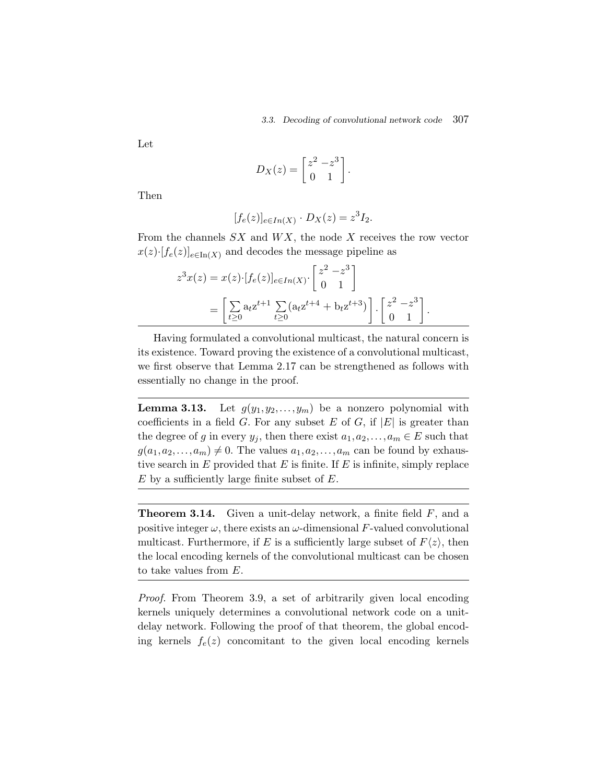Let

$$
D_X(z) = \begin{bmatrix} z^2 - z^3 \\ 0 & 1 \end{bmatrix}.
$$

Then

$$
[f_e(z)]_{e \in In(X)} \cdot D_X(z) = z^3 I_2.
$$

From the channels  $SX$  and  $WX$ , the node X receives the row vector  $x(z) \cdot [f_e(z)]_{e \in \text{In}(X)}$  and decodes the message pipeline as

$$
z^{3}x(z) = x(z) \cdot [f_{e}(z)]_{e \in In(X)} \cdot \begin{bmatrix} z^{2} - z^{3} \\ 0 & 1 \end{bmatrix}
$$
  
=  $\begin{bmatrix} \sum_{t \geq 0} a_{t} z^{t+1} \sum_{t \geq 0} (a_{t} z^{t+4} + b_{t} z^{t+3}) \end{bmatrix} \cdot \begin{bmatrix} z^{2} - z^{3} \\ 0 & 1 \end{bmatrix}.$ 

Having formulated a convolutional multicast, the natural concern is its existence. Toward proving the existence of a convolutional multicast, we first observe that Lemma 2.17 can be strengthened as follows with essentially no change in the proof.

**Lemma 3.13.** Let  $g(y_1, y_2, \ldots, y_m)$  be a nonzero polynomial with coefficients in a field  $G$ . For any subset  $E$  of  $G$ , if  $|E|$  is greater than the degree of g in every  $y_j$ , then there exist  $a_1, a_2, \ldots, a_m \in E$  such that  $g(a_1, a_2,..., a_m) \neq 0$ . The values  $a_1, a_2,..., a_m$  can be found by exhaustive search in  $E$  provided that  $E$  is finite. If  $E$  is infinite, simply replace  $E$  by a sufficiently large finite subset of  $E$ .

**Theorem 3.14.** Given a unit-delay network, a finite field F, and a positive integer  $\omega$ , there exists an  $\omega$ -dimensional F-valued convolutional multicast. Furthermore, if E is a sufficiently large subset of  $F\langle z \rangle$ , then the local encoding kernels of the convolutional multicast can be chosen to take values from E.

*Proof.* From Theorem 3.9, a set of arbitrarily given local encoding kernels uniquely determines a convolutional network code on a unitdelay network. Following the proof of that theorem, the global encoding kernels  $f_e(z)$  concomitant to the given local encoding kernels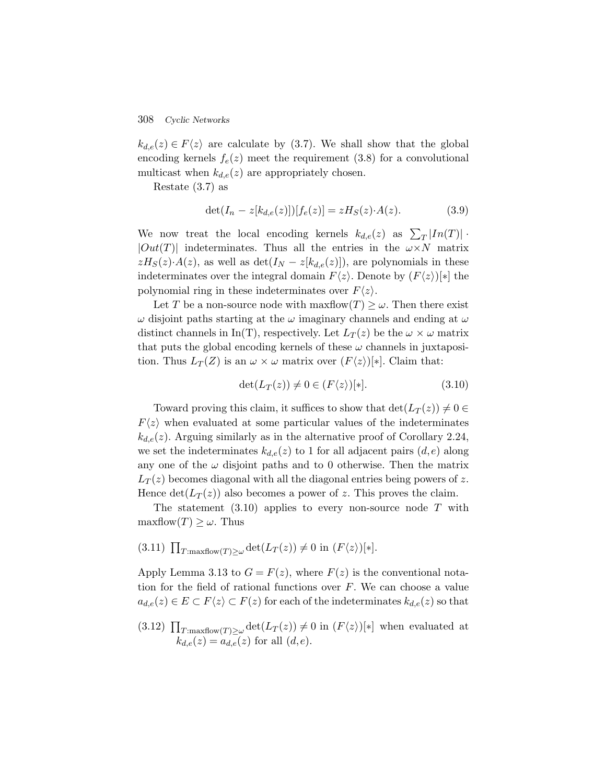308 *Cyclic Networks*

 $k_{d,e}(z) \in F\langle z \rangle$  are calculate by (3.7). We shall show that the global encoding kernels  $f_e(z)$  meet the requirement (3.8) for a convolutional multicast when  $k_{d,e}(z)$  are appropriately chosen.

Restate (3.7) as

$$
\det(I_n - z[k_{d,e}(z)))[f_e(z)] = zH_S(z) \cdot A(z). \tag{3.9}
$$

We now treat the local encoding kernels  $k_{d,e}(z)$  as  $\sum_{T} |In(T)| \cdot$  $|Out(T)|$  indeterminates. Thus all the entries in the  $\omega \times N$  matrix  $zH_S(z) \cdot A(z)$ , as well as  $\det(I_N - z[k_{d,e}(z)])$ , are polynomials in these indeterminates over the integral domain  $F\langle z \rangle$ . Denote by  $(F\langle z \rangle)[*]$  the polynomial ring in these indeterminates over  $F\langle z \rangle$ .

Let T be a non-source node with maxflow $(T) \geq \omega$ . Then there exist  $\omega$  disjoint paths starting at the  $\omega$  imaginary channels and ending at  $\omega$ distinct channels in In(T), respectively. Let  $L_T(z)$  be the  $\omega \times \omega$  matrix that puts the global encoding kernels of these  $\omega$  channels in juxtaposition. Thus  $L_T(Z)$  is an  $\omega \times \omega$  matrix over  $(F\langle z \rangle)[*]$ . Claim that:

$$
\det(L_T(z)) \neq 0 \in (F\langle z \rangle)[*].\tag{3.10}
$$

Toward proving this claim, it suffices to show that  $\det(L_T(z)) \neq 0 \in$  $F\langle z \rangle$  when evaluated at some particular values of the indeterminates  $k_{d,e}(z)$ . Arguing similarly as in the alternative proof of Corollary 2.24, we set the indeterminates  $k_{d,e}(z)$  to 1 for all adjacent pairs  $(d,e)$  along any one of the  $\omega$  disjoint paths and to 0 otherwise. Then the matrix  $L_T(z)$  becomes diagonal with all the diagonal entries being powers of z. Hence  $\det(L_T(z))$  also becomes a power of z. This proves the claim.

The statement  $(3.10)$  applies to every non-source node T with maxflow $(T) \geq \omega$ . Thus

 $(3.11)$   $\prod_{T:\text{maxflow}(T)\geq\omega} \det(L_T(z)) \neq 0$  in  $(F\langle z \rangle)[*]$ .

Apply Lemma 3.13 to  $G = F(z)$ , where  $F(z)$  is the conventional notation for the field of rational functions over  $F$ . We can choose a value  $a_{d,e}(z) \in E \subset F\langle z \rangle \subset F(z)$  for each of the indeterminates  $k_{d,e}(z)$  so that

 $(3.12)$   $\prod_{T:\text{maxflow}(T)\geq\omega} \det(L_T(z)) \neq 0$  in  $(F\langle z\rangle)[*]$  when evaluated at  $k_{d,e}(z) = a_{d,e}(z)$  for all  $(d,e)$ .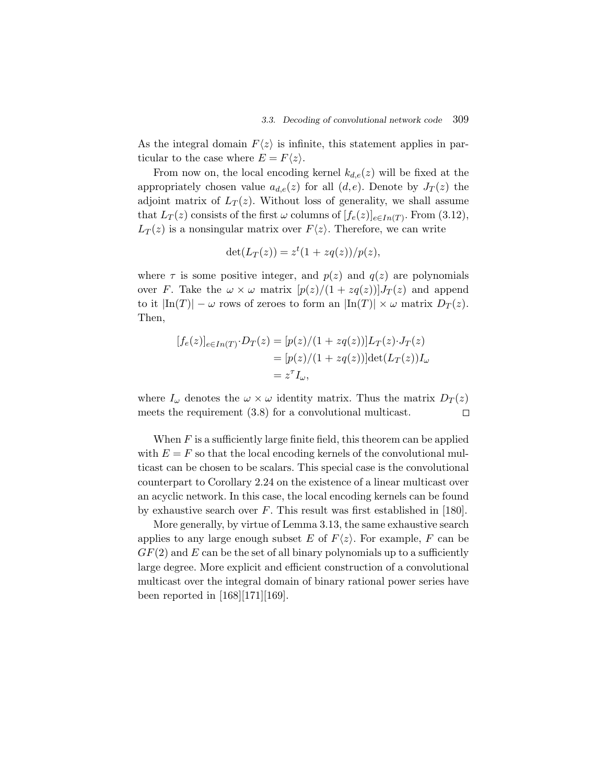As the integral domain  $F\langle z \rangle$  is infinite, this statement applies in particular to the case where  $E = F\langle z \rangle$ .

From now on, the local encoding kernel  $k_{d,e}(z)$  will be fixed at the appropriately chosen value  $a_{d,e}(z)$  for all  $(d,e)$ . Denote by  $J_T(z)$  the adjoint matrix of  $L_T(z)$ . Without loss of generality, we shall assume that  $L_T(z)$  consists of the first  $\omega$  columns of  $[f_e(z)]_{e \in In(T)}$ . From (3.12),  $L_T(z)$  is a nonsingular matrix over  $F\langle z \rangle$ . Therefore, we can write

$$
\det(L_T(z)) = z^t(1 + zq(z))/p(z),
$$

where  $\tau$  is some positive integer, and  $p(z)$  and  $q(z)$  are polynomials over F. Take the  $\omega \times \omega$  matrix  $[p(z)/(1 + zq(z))]J_T(z)$  and append to it  $|\text{In}(T)| - \omega$  rows of zeroes to form an  $|\text{In}(T)| \times \omega$  matrix  $D_T(z)$ . Then,

$$
[f_e(z)]_{e \in In(T)} \cdot D_T(z) = [p(z)/(1 + zq(z))]L_T(z) \cdot J_T(z)
$$
  

$$
= [p(z)/(1 + zq(z))]det(L_T(z))I_{\omega}
$$
  

$$
= z^T I_{\omega},
$$

where  $I_{\omega}$  denotes the  $\omega \times \omega$  identity matrix. Thus the matrix  $D_T(z)$ meets the requirement (3.8) for a convolutional multicast.  $\Box$ 

When  $F$  is a sufficiently large finite field, this theorem can be applied with  $E = F$  so that the local encoding kernels of the convolutional multicast can be chosen to be scalars. This special case is the convolutional counterpart to Corollary 2.24 on the existence of a linear multicast over an acyclic network. In this case, the local encoding kernels can be found by exhaustive search over  $F$ . This result was first established in [180].

More generally, by virtue of Lemma 3.13, the same exhaustive search applies to any large enough subset E of  $F\langle z \rangle$ . For example, F can be  $GF(2)$  and E can be the set of all binary polynomials up to a sufficiently large degree. More explicit and efficient construction of a convolutional multicast over the integral domain of binary rational power series have been reported in [168][171][169].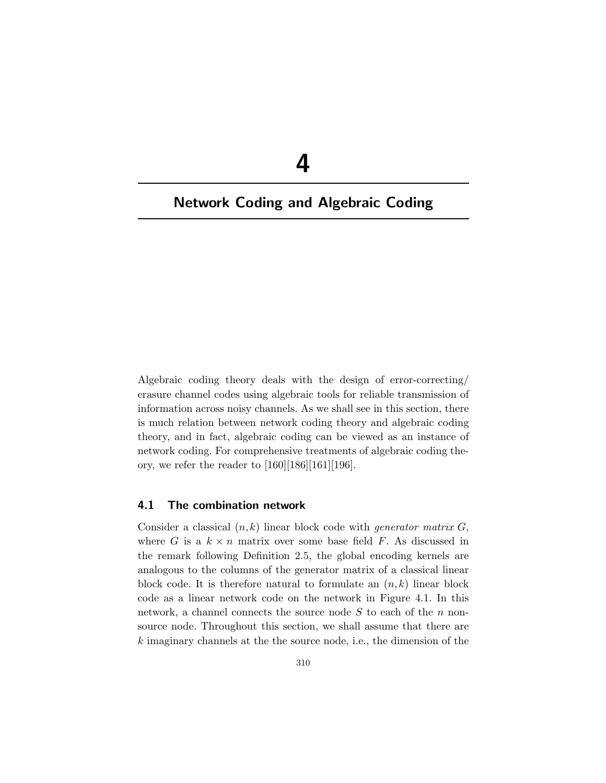# **4**

# **Network Coding and Algebraic Coding**

Algebraic coding theory deals with the design of error-correcting/ erasure channel codes using algebraic tools for reliable transmission of information across noisy channels. As we shall see in this section, there is much relation between network coding theory and algebraic coding theory, and in fact, algebraic coding can be viewed as an instance of network coding. For comprehensive treatments of algebraic coding theory, we refer the reader to  $[160][186][161][196]$ .

# **4.1 The combination network**

Consider a classical  $(n, k)$  linear block code with *generator matrix*  $G$ , where G is a  $k \times n$  matrix over some base field F. As discussed in the remark following Definition 2.5, the global encoding kernels are analogous to the columns of the generator matrix of a classical linear block code. It is therefore natural to formulate an  $(n, k)$  linear block code as a linear network code on the network in Figure 4.1. In this network, a channel connects the source node  $S$  to each of the  $n$  nonsource node. Throughout this section, we shall assume that there are  $k$  imaginary channels at the the source node, i.e., the dimension of the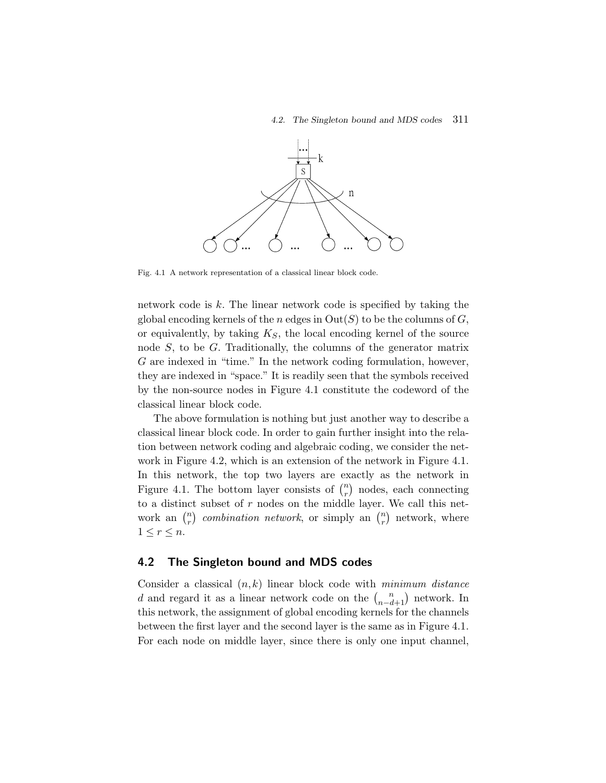

Fig. 4.1 A network representation of a classical linear block code.

network code is  $k$ . The linear network code is specified by taking the global encoding kernels of the n edges in  $Out(S)$  to be the columns of G, or equivalently, by taking  $K_S$ , the local encoding kernel of the source node  $S$ , to be  $G$ . Traditionally, the columns of the generator matrix G are indexed in "time." In the network coding formulation, however, they are indexed in "space." It is readily seen that the symbols received by the non-source nodes in Figure 4.1 constitute the codeword of the classical linear block code.

The above formulation is nothing but just another way to describe a classical linear block code. In order to gain further insight into the relation between network coding and algebraic coding, we consider the network in Figure 4.2, which is an extension of the network in Figure 4.1. In this network, the top two layers are exactly as the network in Figure 4.1. The bottom layer consists of  $\binom{n}{r}$  nodes, each connecting to a distinct subset of  $r$  nodes on the middle layer. We call this network an  $\binom{n}{r}$  *combination network*, or simply an  $\binom{n}{r}$  network, where  $1 \leq r \leq n$ .

# **4.2 The Singleton bound and MDS codes**

Consider a classical (n, k) linear block code with *minimum distance* d and regard it as a linear network code on the  $\binom{n}{n-d+1}$  network. In this network, the assignment of global encoding kernels for the channels between the first layer and the second layer is the same as in Figure 4.1. For each node on middle layer, since there is only one input channel,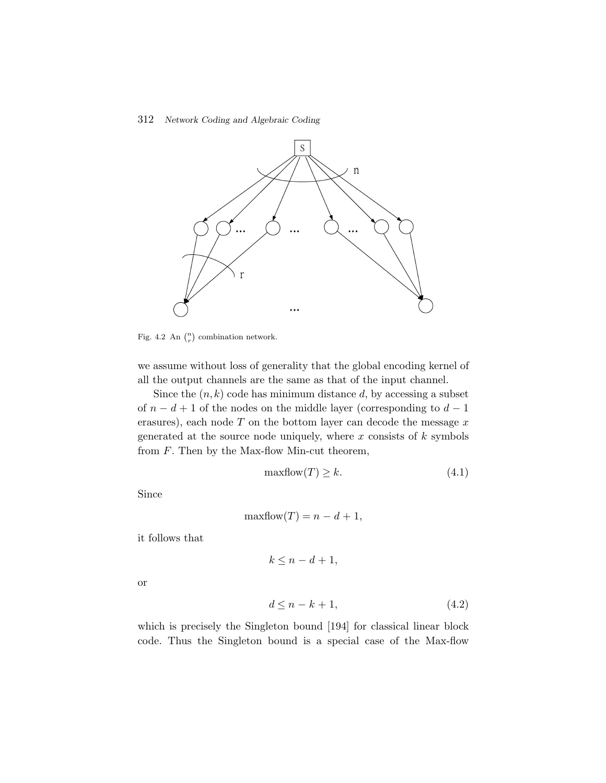### 312 *Network Coding and Algebraic Coding*



Fig. 4.2 An  $\binom{n}{r}$  combination network.

we assume without loss of generality that the global encoding kernel of all the output channels are the same as that of the input channel.

Since the  $(n, k)$  code has minimum distance d, by accessing a subset of  $n - d + 1$  of the nodes on the middle layer (corresponding to  $d - 1$ ) erasures), each node  $T$  on the bottom layer can decode the message  $x$ generated at the source node uniquely, where  $x$  consists of  $k$  symbols from  $F$ . Then by the Max-flow Min-cut theorem,

$$
\max \text{flow}(T) \ge k. \tag{4.1}
$$

Since

$$
\maxflow(T) = n - d + 1,
$$

it follows that

$$
k \le n - d + 1,
$$

or

$$
d \le n - k + 1,\tag{4.2}
$$

which is precisely the Singleton bound [194] for classical linear block code. Thus the Singleton bound is a special case of the Max-flow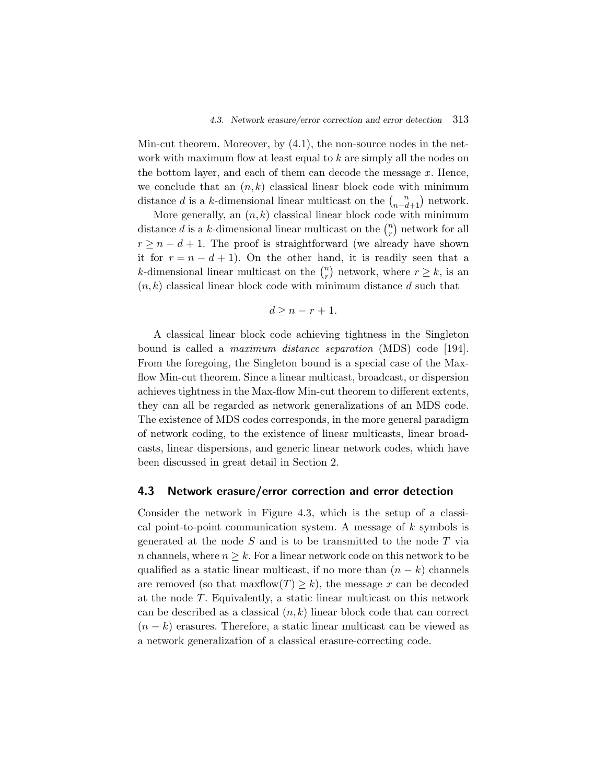Min-cut theorem. Moreover, by (4.1), the non-source nodes in the network with maximum flow at least equal to k are simply all the nodes on the bottom layer, and each of them can decode the message  $x$ . Hence, we conclude that an  $(n, k)$  classical linear block code with minimum distance d is a k-dimensional linear multicast on the  $\binom{n}{n-d+1}$  network.

More generally, an  $(n, k)$  classical linear block code with minimum distance d is a k-dimensional linear multicast on the  $\binom{n}{r}$  network for all  $r \geq n - d + 1$ . The proof is straightforward (we already have shown it for  $r = n - d + 1$ ). On the other hand, it is readily seen that a *k*-dimensional linear multicast on the  $\binom{n}{r}$  network, where  $r \geq k$ , is an  $(n, k)$  classical linear block code with minimum distance d such that

$$
d \ge n - r + 1.
$$

A classical linear block code achieving tightness in the Singleton bound is called a *maximum distance separation* (MDS) code [194]. From the foregoing, the Singleton bound is a special case of the Maxflow Min-cut theorem. Since a linear multicast, broadcast, or dispersion achieves tightness in the Max-flow Min-cut theorem to different extents, they can all be regarded as network generalizations of an MDS code. The existence of MDS codes corresponds, in the more general paradigm of network coding, to the existence of linear multicasts, linear broadcasts, linear dispersions, and generic linear network codes, which have been discussed in great detail in Section 2.

# **4.3 Network erasure/error correction and error detection**

Consider the network in Figure 4.3, which is the setup of a classical point-to-point communication system. A message of  $k$  symbols is generated at the node  $S$  and is to be transmitted to the node  $T$  via n channels, where  $n \geq k$ . For a linear network code on this network to be qualified as a static linear multicast, if no more than  $(n - k)$  channels are removed (so that  $\maxflow(T) \geq k$ ), the message x can be decoded at the node T. Equivalently, a static linear multicast on this network can be described as a classical  $(n, k)$  linear block code that can correct  $(n - k)$  erasures. Therefore, a static linear multicast can be viewed as a network generalization of a classical erasure-correcting code.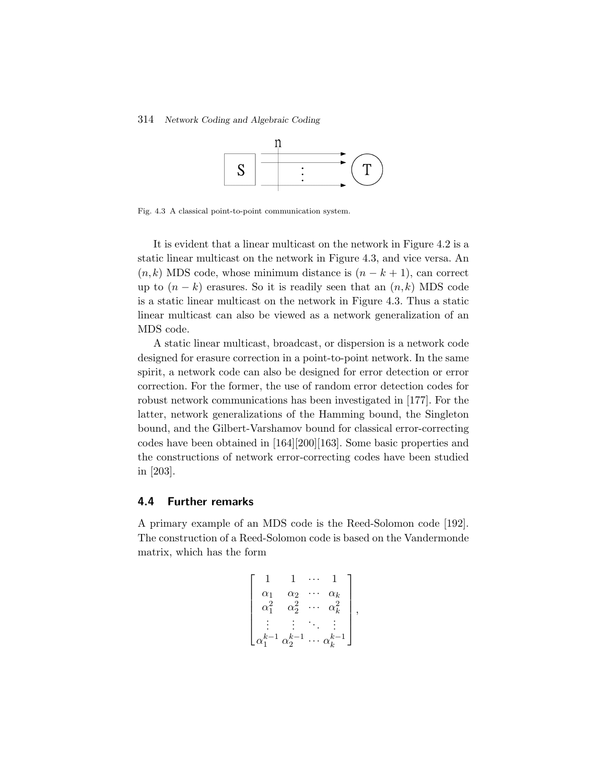### 314 *Network Coding and Algebraic Coding*



Fig. 4.3 A classical point-to-point communication system.

It is evident that a linear multicast on the network in Figure 4.2 is a static linear multicast on the network in Figure 4.3, and vice versa. An  $(n, k)$  MDS code, whose minimum distance is  $(n - k + 1)$ , can correct up to  $(n - k)$  erasures. So it is readily seen that an  $(n, k)$  MDS code is a static linear multicast on the network in Figure 4.3. Thus a static linear multicast can also be viewed as a network generalization of an MDS code.

A static linear multicast, broadcast, or dispersion is a network code designed for erasure correction in a point-to-point network. In the same spirit, a network code can also be designed for error detection or error correction. For the former, the use of random error detection codes for robust network communications has been investigated in [177]. For the latter, network generalizations of the Hamming bound, the Singleton bound, and the Gilbert-Varshamov bound for classical error-correcting codes have been obtained in [164][200][163]. Some basic properties and the constructions of network error-correcting codes have been studied in [203].

### **4.4 Further remarks**

A primary example of an MDS code is the Reed-Solomon code [192]. The construction of a Reed-Solomon code is based on the Vandermonde matrix, which has the form

$$
\begin{bmatrix} 1 & 1 & \cdots & 1 \\ \alpha_1 & \alpha_2 & \cdots & \alpha_k \\ \alpha_1^2 & \alpha_2^2 & \cdots & \alpha_k^2 \\ \vdots & \vdots & \ddots & \vdots \\ \alpha_1^{k-1} & \alpha_2^{k-1} & \cdots & \alpha_k^{k-1} \end{bmatrix},
$$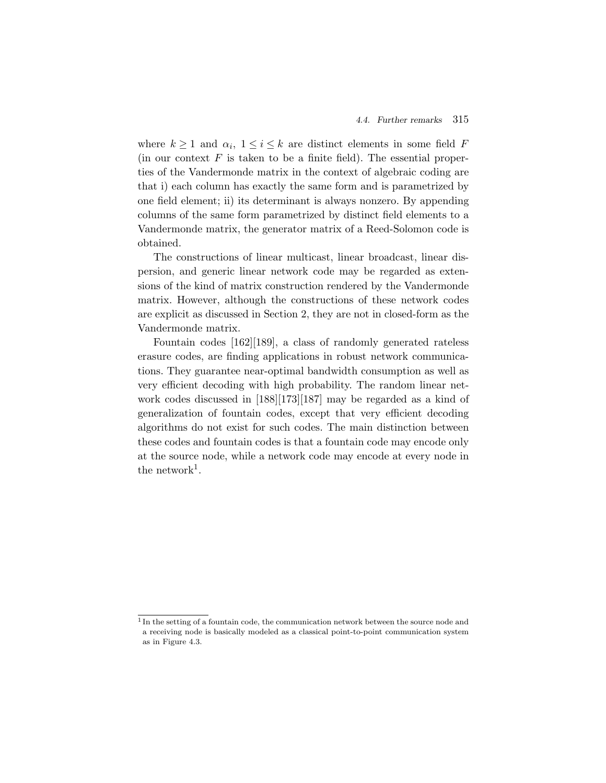where  $k \geq 1$  and  $\alpha_i$ ,  $1 \leq i \leq k$  are distinct elements in some field F (in our context  $F$  is taken to be a finite field). The essential properties of the Vandermonde matrix in the context of algebraic coding are that i) each column has exactly the same form and is parametrized by one field element; ii) its determinant is always nonzero. By appending columns of the same form parametrized by distinct field elements to a Vandermonde matrix, the generator matrix of a Reed-Solomon code is obtained.

The constructions of linear multicast, linear broadcast, linear dispersion, and generic linear network code may be regarded as extensions of the kind of matrix construction rendered by the Vandermonde matrix. However, although the constructions of these network codes are explicit as discussed in Section 2, they are not in closed-form as the Vandermonde matrix.

Fountain codes [162][189], a class of randomly generated rateless erasure codes, are finding applications in robust network communications. They guarantee near-optimal bandwidth consumption as well as very efficient decoding with high probability. The random linear network codes discussed in [188][173][187] may be regarded as a kind of generalization of fountain codes, except that very efficient decoding algorithms do not exist for such codes. The main distinction between these codes and fountain codes is that a fountain code may encode only at the source node, while a network code may encode at every node in the network<sup>1</sup>.

<sup>&</sup>lt;sup>1</sup> In the setting of a fountain code, the communication network between the source node and a receiving node is basically modeled as a classical point-to-point communication system as in Figure 4.3.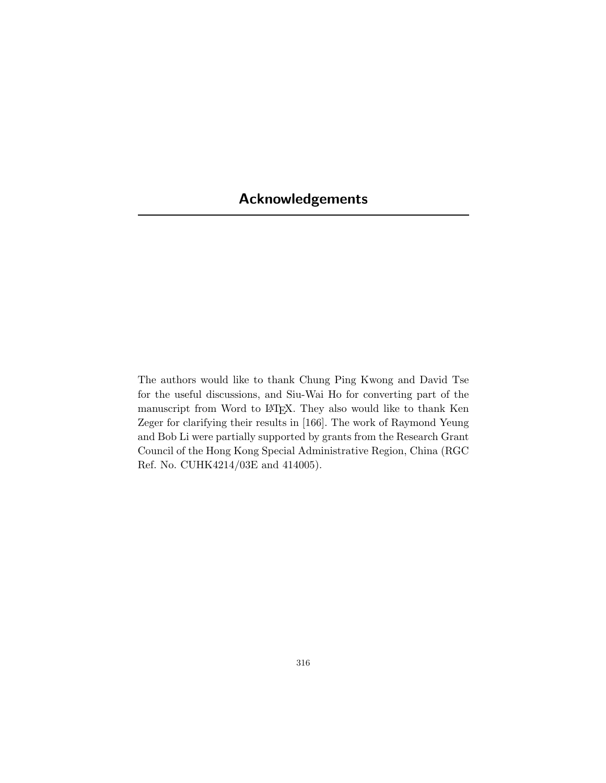# **Acknowledgements**

The authors would like to thank Chung Ping Kwong and David Tse for the useful discussions, and Siu-Wai Ho for converting part of the manuscript from Word to LATEX. They also would like to thank Ken Zeger for clarifying their results in [166]. The work of Raymond Yeung and Bob Li were partially supported by grants from the Research Grant Council of the Hong Kong Special Administrative Region, China (RGC Ref. No. CUHK4214/03E and 414005).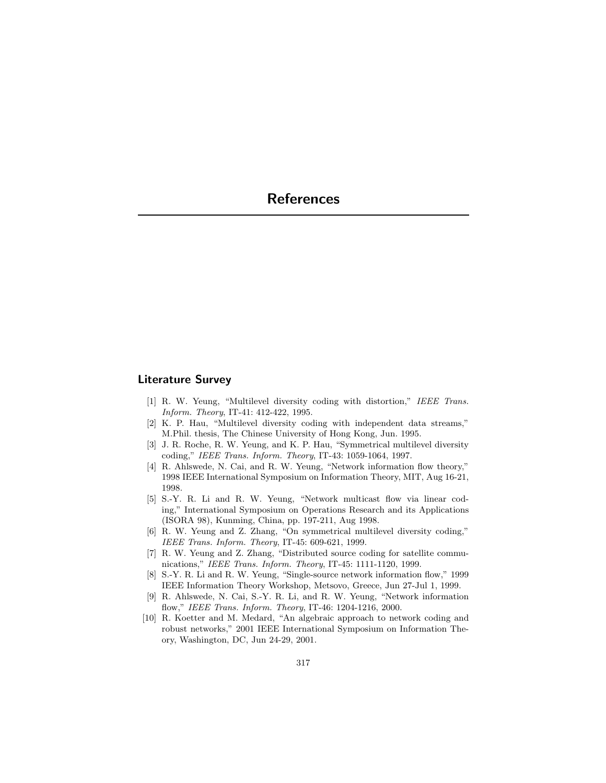# **Literature Survey**

- [1] R. W. Yeung, "Multilevel diversity coding with distortion," IEEE Trans. Inform. Theory, IT-41: 412-422, 1995.
- [2] K. P. Hau, "Multilevel diversity coding with independent data streams," M.Phil. thesis, The Chinese University of Hong Kong, Jun. 1995.
- [3] J. R. Roche, R. W. Yeung, and K. P. Hau, "Symmetrical multilevel diversity coding," IEEE Trans. Inform. Theory, IT-43: 1059-1064, 1997.
- [4] R. Ahlswede, N. Cai, and R. W. Yeung, "Network information flow theory," 1998 IEEE International Symposium on Information Theory, MIT, Aug 16-21, 1998.
- [5] S.-Y. R. Li and R. W. Yeung, "Network multicast flow via linear coding," International Symposium on Operations Research and its Applications (ISORA 98), Kunming, China, pp. 197-211, Aug 1998.
- [6] R. W. Yeung and Z. Zhang, "On symmetrical multilevel diversity coding," IEEE Trans. Inform. Theory, IT-45: 609-621, 1999.
- [7] R. W. Yeung and Z. Zhang, "Distributed source coding for satellite communications," IEEE Trans. Inform. Theory, IT-45: 1111-1120, 1999.
- [8] S.-Y. R. Li and R. W. Yeung, "Single-source network information flow," 1999 IEEE Information Theory Workshop, Metsovo, Greece, Jun 27-Jul 1, 1999.
- [9] R. Ahlswede, N. Cai, S.-Y. R. Li, and R. W. Yeung, "Network information flow," IEEE Trans. Inform. Theory, IT-46: 1204-1216, 2000.
- [10] R. Koetter and M. Medard, "An algebraic approach to network coding and robust networks," 2001 IEEE International Symposium on Information Theory, Washington, DC, Jun 24-29, 2001.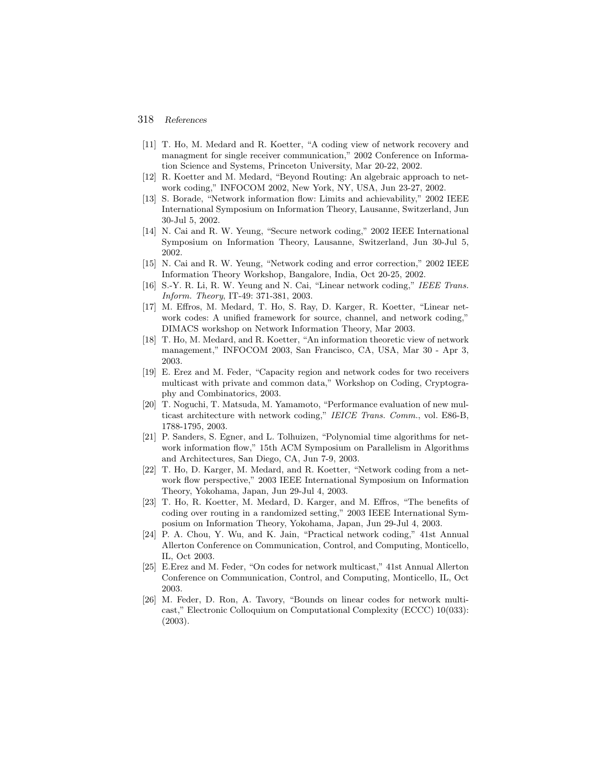- [11] T. Ho, M. Medard and R. Koetter, "A coding view of network recovery and managment for single receiver communication," 2002 Conference on Information Science and Systems, Princeton University, Mar 20-22, 2002.
- [12] R. Koetter and M. Medard, "Beyond Routing: An algebraic approach to network coding," INFOCOM 2002, New York, NY, USA, Jun 23-27, 2002.
- [13] S. Borade, "Network information flow: Limits and achievability," 2002 IEEE International Symposium on Information Theory, Lausanne, Switzerland, Jun 30-Jul 5, 2002.
- [14] N. Cai and R. W. Yeung, "Secure network coding," 2002 IEEE International Symposium on Information Theory, Lausanne, Switzerland, Jun 30-Jul 5, 2002.
- [15] N. Cai and R. W. Yeung, "Network coding and error correction," 2002 IEEE Information Theory Workshop, Bangalore, India, Oct 20-25, 2002.
- [16] S.-Y. R. Li, R. W. Yeung and N. Cai, "Linear network coding," IEEE Trans. Inform. Theory, IT-49: 371-381, 2003.
- [17] M. Effros, M. Medard, T. Ho, S. Ray, D. Karger, R. Koetter, "Linear network codes: A unified framework for source, channel, and network coding," DIMACS workshop on Network Information Theory, Mar 2003.
- [18] T. Ho, M. Medard, and R. Koetter, "An information theoretic view of network management," INFOCOM 2003, San Francisco, CA, USA, Mar 30 - Apr 3, 2003.
- [19] E. Erez and M. Feder, "Capacity region and network codes for two receivers multicast with private and common data," Workshop on Coding, Cryptography and Combinatorics, 2003.
- [20] T. Noguchi, T. Matsuda, M. Yamamoto, "Performance evaluation of new multicast architecture with network coding," IEICE Trans. Comm., vol. E86-B, 1788-1795, 2003.
- [21] P. Sanders, S. Egner, and L. Tolhuizen, "Polynomial time algorithms for network information flow," 15th ACM Symposium on Parallelism in Algorithms and Architectures, San Diego, CA, Jun 7-9, 2003.
- [22] T. Ho, D. Karger, M. Medard, and R. Koetter, "Network coding from a network flow perspective," 2003 IEEE International Symposium on Information Theory, Yokohama, Japan, Jun 29-Jul 4, 2003.
- [23] T. Ho, R. Koetter, M. Medard, D. Karger, and M. Effros, "The benefits of coding over routing in a randomized setting," 2003 IEEE International Symposium on Information Theory, Yokohama, Japan, Jun 29-Jul 4, 2003.
- [24] P. A. Chou, Y. Wu, and K. Jain, "Practical network coding," 41st Annual Allerton Conference on Communication, Control, and Computing, Monticello, IL, Oct 2003.
- [25] E.Erez and M. Feder, "On codes for network multicast," 41st Annual Allerton Conference on Communication, Control, and Computing, Monticello, IL, Oct 2003.
- [26] M. Feder, D. Ron, A. Tavory, "Bounds on linear codes for network multicast," Electronic Colloquium on Computational Complexity (ECCC) 10(033): (2003).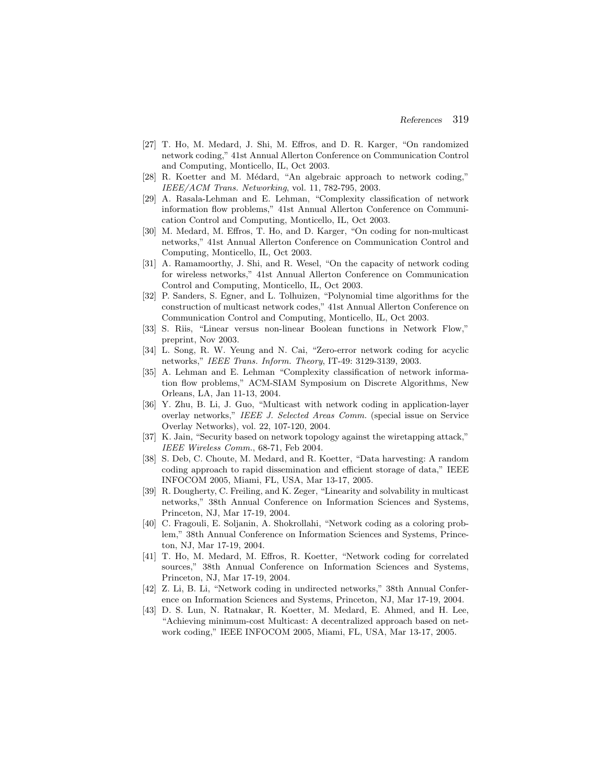- [27] T. Ho, M. Medard, J. Shi, M. Effros, and D. R. Karger, "On randomized network coding," 41st Annual Allerton Conference on Communication Control and Computing, Monticello, IL, Oct 2003.
- [28] R. Koetter and M. Médard, "An algebraic approach to network coding," IEEE/ACM Trans. Networking, vol. 11, 782-795, 2003.
- [29] A. Rasala-Lehman and E. Lehman, "Complexity classification of network information flow problems," 41st Annual Allerton Conference on Communication Control and Computing, Monticello, IL, Oct 2003.
- [30] M. Medard, M. Effros, T. Ho, and D. Karger, "On coding for non-multicast networks," 41st Annual Allerton Conference on Communication Control and Computing, Monticello, IL, Oct 2003.
- [31] A. Ramamoorthy, J. Shi, and R. Wesel, "On the capacity of network coding for wireless networks," 41st Annual Allerton Conference on Communication Control and Computing, Monticello, IL, Oct 2003.
- [32] P. Sanders, S. Egner, and L. Tolhuizen, "Polynomial time algorithms for the construction of multicast network codes," 41st Annual Allerton Conference on Communication Control and Computing, Monticello, IL, Oct 2003.
- [33] S. Riis, "Linear versus non-linear Boolean functions in Network Flow," preprint, Nov 2003.
- [34] L. Song, R. W. Yeung and N. Cai, "Zero-error network coding for acyclic networks," IEEE Trans. Inform. Theory, IT-49: 3129-3139, 2003.
- [35] A. Lehman and E. Lehman "Complexity classification of network information flow problems," ACM-SIAM Symposium on Discrete Algorithms, New Orleans, LA, Jan 11-13, 2004.
- [36] Y. Zhu, B. Li, J. Guo, "Multicast with network coding in application-layer overlay networks," IEEE J. Selected Areas Comm. (special issue on Service Overlay Networks), vol. 22, 107-120, 2004.
- [37] K. Jain, "Security based on network topology against the wiretapping attack," IEEE Wireless Comm., 68-71, Feb 2004.
- [38] S. Deb, C. Choute, M. Medard, and R. Koetter, "Data harvesting: A random coding approach to rapid dissemination and efficient storage of data," IEEE INFOCOM 2005, Miami, FL, USA, Mar 13-17, 2005.
- [39] R. Dougherty, C. Freiling, and K. Zeger, "Linearity and solvability in multicast networks," 38th Annual Conference on Information Sciences and Systems, Princeton, NJ, Mar 17-19, 2004.
- [40] C. Fragouli, E. Soljanin, A. Shokrollahi, "Network coding as a coloring problem," 38th Annual Conference on Information Sciences and Systems, Princeton, NJ, Mar 17-19, 2004.
- [41] T. Ho, M. Medard, M. Effros, R. Koetter, "Network coding for correlated sources," 38th Annual Conference on Information Sciences and Systems, Princeton, NJ, Mar 17-19, 2004.
- [42] Z. Li, B. Li, "Network coding in undirected networks," 38th Annual Conference on Information Sciences and Systems, Princeton, NJ, Mar 17-19, 2004.
- [43] D. S. Lun, N. Ratnakar, R. Koetter, M. Medard, E. Ahmed, and H. Lee, "Achieving minimum-cost Multicast: A decentralized approach based on network coding," IEEE INFOCOM 2005, Miami, FL, USA, Mar 13-17, 2005.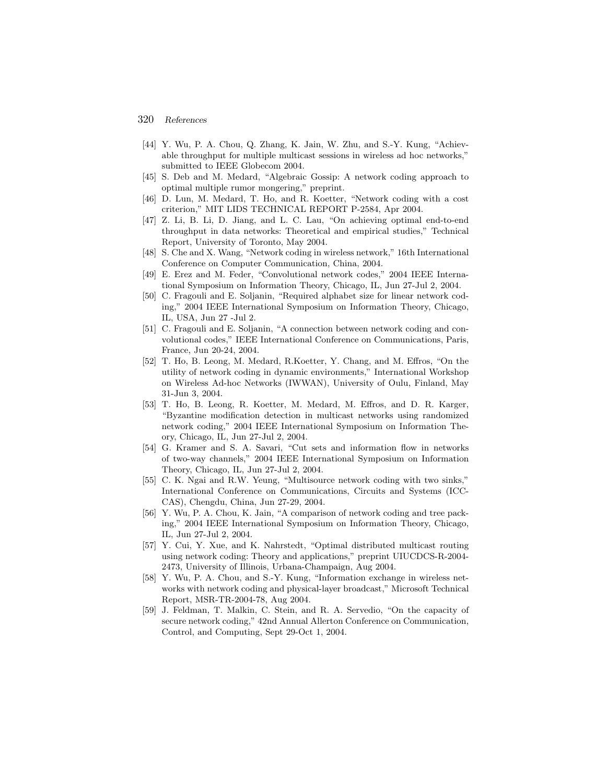- [44] Y. Wu, P. A. Chou, Q. Zhang, K. Jain, W. Zhu, and S.-Y. Kung, "Achievable throughput for multiple multicast sessions in wireless ad hoc networks," submitted to IEEE Globecom 2004.
- [45] S. Deb and M. Medard, "Algebraic Gossip: A network coding approach to optimal multiple rumor mongering," preprint.
- [46] D. Lun, M. Medard, T. Ho, and R. Koetter, "Network coding with a cost criterion," MIT LIDS TECHNICAL REPORT P-2584, Apr 2004.
- [47] Z. Li, B. Li, D. Jiang, and L. C. Lau, "On achieving optimal end-to-end throughput in data networks: Theoretical and empirical studies," Technical Report, University of Toronto, May 2004.
- [48] S. Che and X. Wang, "Network coding in wireless network," 16th International Conference on Computer Communication, China, 2004.
- [49] E. Erez and M. Feder, "Convolutional network codes," 2004 IEEE International Symposium on Information Theory, Chicago, IL, Jun 27-Jul 2, 2004.
- [50] C. Fragouli and E. Soljanin, "Required alphabet size for linear network coding," 2004 IEEE International Symposium on Information Theory, Chicago, IL, USA, Jun 27 -Jul 2.
- [51] C. Fragouli and E. Soljanin, "A connection between network coding and convolutional codes," IEEE International Conference on Communications, Paris, France, Jun 20-24, 2004.
- [52] T. Ho, B. Leong, M. Medard, R.Koetter, Y. Chang, and M. Effros, "On the utility of network coding in dynamic environments," International Workshop on Wireless Ad-hoc Networks (IWWAN), University of Oulu, Finland, May 31-Jun 3, 2004.
- [53] T. Ho, B. Leong, R. Koetter, M. Medard, M. Effros, and D. R. Karger, "Byzantine modification detection in multicast networks using randomized network coding," 2004 IEEE International Symposium on Information Theory, Chicago, IL, Jun 27-Jul 2, 2004.
- [54] G. Kramer and S. A. Savari, "Cut sets and information flow in networks of two-way channels," 2004 IEEE International Symposium on Information Theory, Chicago, IL, Jun 27-Jul 2, 2004.
- [55] C. K. Ngai and R.W. Yeung, "Multisource network coding with two sinks," International Conference on Communications, Circuits and Systems (ICC-CAS), Chengdu, China, Jun 27-29, 2004.
- [56] Y. Wu, P. A. Chou, K. Jain, "A comparison of network coding and tree packing," 2004 IEEE International Symposium on Information Theory, Chicago, IL, Jun 27-Jul 2, 2004.
- [57] Y. Cui, Y. Xue, and K. Nahrstedt, "Optimal distributed multicast routing using network coding: Theory and applications," preprint UIUCDCS-R-2004- 2473, University of Illinois, Urbana-Champaign, Aug 2004.
- [58] Y. Wu, P. A. Chou, and S.-Y. Kung, "Information exchange in wireless networks with network coding and physical-layer broadcast," Microsoft Technical Report, MSR-TR-2004-78, Aug 2004.
- [59] J. Feldman, T. Malkin, C. Stein, and R. A. Servedio, "On the capacity of secure network coding," 42nd Annual Allerton Conference on Communication, Control, and Computing, Sept 29-Oct 1, 2004.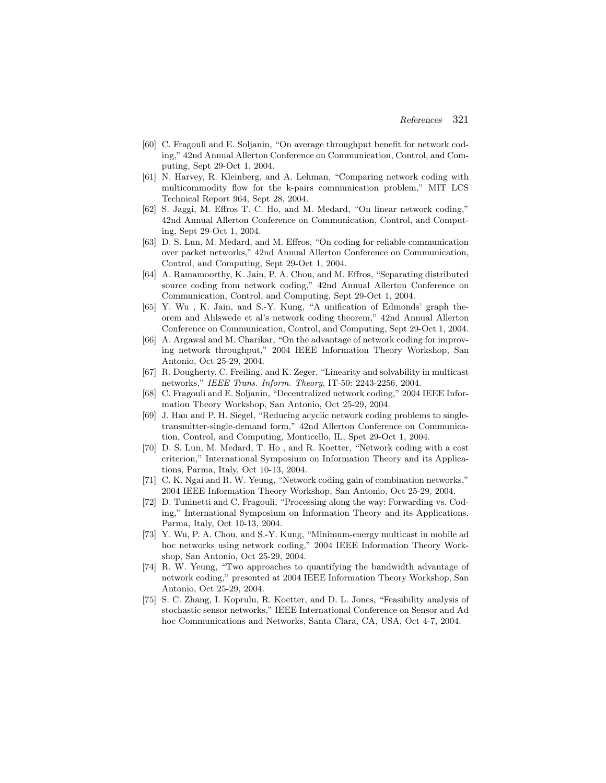- [60] C. Fragouli and E. Soljanin, "On average throughput benefit for network coding," 42nd Annual Allerton Conference on Communication, Control, and Computing, Sept 29-Oct 1, 2004.
- [61] N. Harvey, R. Kleinberg, and A. Lehman, "Comparing network coding with multicommodity flow for the k-pairs communication problem," MIT LCS Technical Report 964, Sept 28, 2004.
- [62] S. Jaggi, M. Effros T. C. Ho, and M. Medard, "On linear network coding," 42nd Annual Allerton Conference on Communication, Control, and Computing, Sept 29-Oct 1, 2004.
- [63] D. S. Lun, M. Medard, and M. Effros, "On coding for reliable communication over packet networks," 42nd Annual Allerton Conference on Communication, Control, and Computing, Sept 29-Oct 1, 2004.
- [64] A. Ramamoorthy, K. Jain, P. A. Chou, and M. Effros, "Separating distributed source coding from network coding," 42nd Annual Allerton Conference on Communication, Control, and Computing, Sept 29-Oct 1, 2004.
- [65] Y. Wu , K. Jain, and S.-Y. Kung, "A unification of Edmonds' graph theorem and Ahlswede et al's network coding theorem," 42nd Annual Allerton Conference on Communication, Control, and Computing, Sept 29-Oct 1, 2004.
- [66] A. Argawal and M. Charikar, "On the advantage of network coding for improving network throughput," 2004 IEEE Information Theory Workshop, San Antonio, Oct 25-29, 2004.
- [67] R. Dougherty, C. Freiling, and K. Zeger, "Linearity and solvability in multicast networks," IEEE Trans. Inform. Theory, IT-50: 2243-2256, 2004.
- [68] C. Fragouli and E. Soljanin, "Decentralized network coding," 2004 IEEE Information Theory Workshop, San Antonio, Oct 25-29, 2004.
- [69] J. Han and P. H. Siegel, "Reducing acyclic network coding problems to singletransmitter-single-demand form," 42nd Allerton Conference on Communication, Control, and Computing, Monticello, IL, Spet 29-Oct 1, 2004.
- [70] D. S. Lun, M. Medard, T. Ho , and R. Koetter, "Network coding with a cost criterion," International Symposium on Information Theory and its Applications, Parma, Italy, Oct 10-13, 2004.
- [71] C. K. Ngai and R. W. Yeung, "Network coding gain of combination networks," 2004 IEEE Information Theory Workshop, San Antonio, Oct 25-29, 2004.
- [72] D. Tuninetti and C. Fragouli, "Processing along the way: Forwarding vs. Coding," International Symposium on Information Theory and its Applications, Parma, Italy, Oct 10-13, 2004.
- [73] Y. Wu, P. A. Chou, and S.-Y. Kung, "Minimum-energy multicast in mobile ad hoc networks using network coding," 2004 IEEE Information Theory Workshop, San Antonio, Oct 25-29, 2004.
- [74] R. W. Yeung, "Two approaches to quantifying the bandwidth advantage of network coding," presented at 2004 IEEE Information Theory Workshop, San Antonio, Oct 25-29, 2004.
- [75] S. C. Zhang, I. Koprulu, R. Koetter, and D. L. Jones, "Feasibility analysis of stochastic sensor networks," IEEE International Conference on Sensor and Ad hoc Communications and Networks, Santa Clara, CA, USA, Oct 4-7, 2004.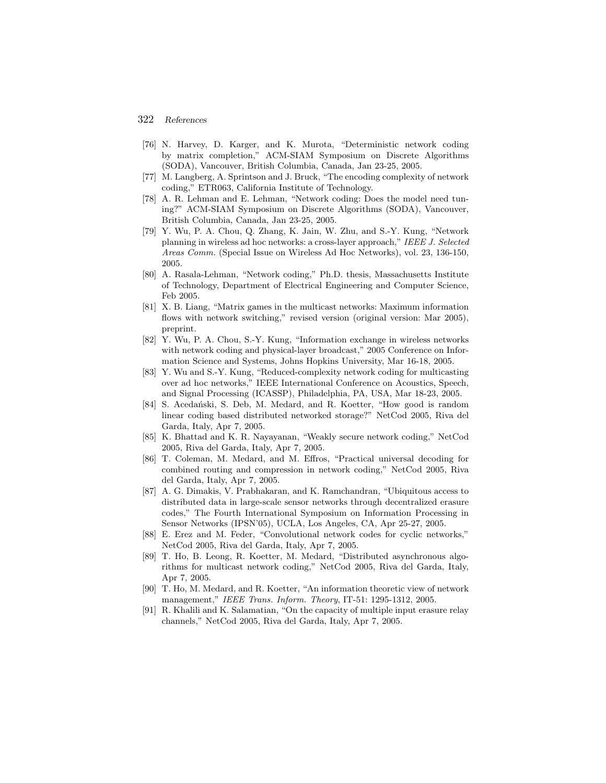- [76] N. Harvey, D. Karger, and K. Murota, "Deterministic network coding by matrix completion," ACM-SIAM Symposium on Discrete Algorithms (SODA), Vancouver, British Columbia, Canada, Jan 23-25, 2005.
- [77] M. Langberg, A. Sprintson and J. Bruck, "The encoding complexity of network coding," ETR063, California Institute of Technology.
- [78] A. R. Lehman and E. Lehman, "Network coding: Does the model need tuning?" ACM-SIAM Symposium on Discrete Algorithms (SODA), Vancouver, British Columbia, Canada, Jan 23-25, 2005.
- [79] Y. Wu, P. A. Chou, Q. Zhang, K. Jain, W. Zhu, and S.-Y. Kung, "Network planning in wireless ad hoc networks: a cross-layer approach," IEEE J. Selected Areas Comm. (Special Issue on Wireless Ad Hoc Networks), vol. 23, 136-150, 2005.
- [80] A. Rasala-Lehman, "Network coding," Ph.D. thesis, Massachusetts Institute of Technology, Department of Electrical Engineering and Computer Science, Feb 2005.
- [81] X. B. Liang, "Matrix games in the multicast networks: Maximum information flows with network switching," revised version (original version: Mar 2005), preprint.
- [82] Y. Wu, P. A. Chou, S.-Y. Kung, "Information exchange in wireless networks with network coding and physical-layer broadcast," 2005 Conference on Information Science and Systems, Johns Hopkins University, Mar 16-18, 2005.
- [83] Y. Wu and S.-Y. Kung, "Reduced-complexity network coding for multicasting over ad hoc networks," IEEE International Conference on Acoustics, Speech, and Signal Processing (ICASSP), Philadelphia, PA, USA, Mar 18-23, 2005.
- [84] S. Acedański, S. Deb, M. Medard, and R. Koetter, "How good is random linear coding based distributed networked storage?" NetCod 2005, Riva del Garda, Italy, Apr 7, 2005.
- [85] K. Bhattad and K. R. Nayayanan, "Weakly secure network coding," NetCod 2005, Riva del Garda, Italy, Apr 7, 2005.
- [86] T. Coleman, M. Medard, and M. Effros, "Practical universal decoding for combined routing and compression in network coding," NetCod 2005, Riva del Garda, Italy, Apr 7, 2005.
- [87] A. G. Dimakis, V. Prabhakaran, and K. Ramchandran, "Ubiquitous access to distributed data in large-scale sensor networks through decentralized erasure codes," The Fourth International Symposium on Information Processing in Sensor Networks (IPSN'05), UCLA, Los Angeles, CA, Apr 25-27, 2005.
- [88] E. Erez and M. Feder, "Convolutional network codes for cyclic networks," NetCod 2005, Riva del Garda, Italy, Apr 7, 2005.
- [89] T. Ho, B. Leong, R. Koetter, M. Medard, "Distributed asynchronous algorithms for multicast network coding," NetCod 2005, Riva del Garda, Italy, Apr 7, 2005.
- [90] T. Ho, M. Medard, and R. Koetter, "An information theoretic view of network management," IEEE Trans. Inform. Theory, IT-51: 1295-1312, 2005.
- [91] R. Khalili and K. Salamatian, "On the capacity of multiple input erasure relay channels," NetCod 2005, Riva del Garda, Italy, Apr 7, 2005.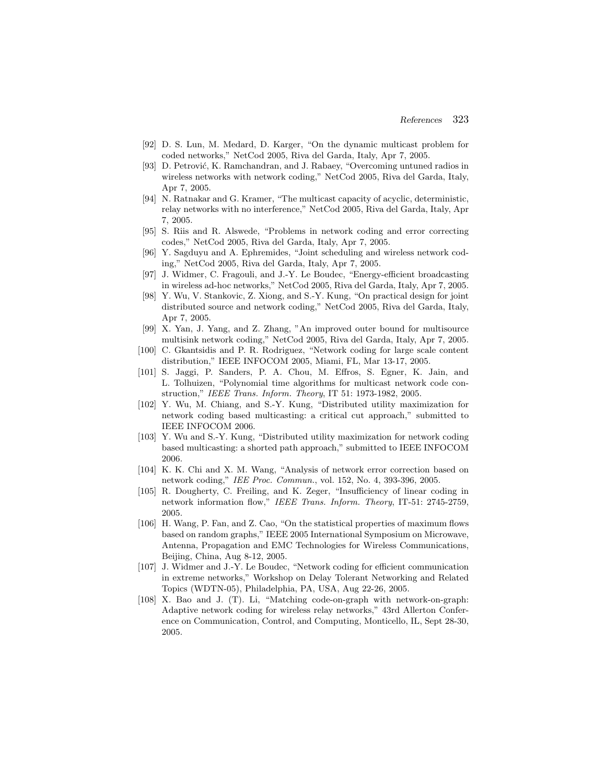- [92] D. S. Lun, M. Medard, D. Karger, "On the dynamic multicast problem for coded networks," NetCod 2005, Riva del Garda, Italy, Apr 7, 2005.
- [93] D. Petrović, K. Ramchandran, and J. Rabaey, "Overcoming untuned radios in wireless networks with network coding," NetCod 2005, Riva del Garda, Italy, Apr 7, 2005.
- [94] N. Ratnakar and G. Kramer, "The multicast capacity of acyclic, deterministic, relay networks with no interference," NetCod 2005, Riva del Garda, Italy, Apr 7, 2005.
- [95] S. Riis and R. Alswede, "Problems in network coding and error correcting codes," NetCod 2005, Riva del Garda, Italy, Apr 7, 2005.
- [96] Y. Sagduyu and A. Ephremides, "Joint scheduling and wireless network coding," NetCod 2005, Riva del Garda, Italy, Apr 7, 2005.
- [97] J. Widmer, C. Fragouli, and J.-Y. Le Boudec, "Energy-efficient broadcasting in wireless ad-hoc networks," NetCod 2005, Riva del Garda, Italy, Apr 7, 2005.
- [98] Y. Wu, V. Stankovic, Z. Xiong, and S.-Y. Kung, "On practical design for joint distributed source and network coding," NetCod 2005, Riva del Garda, Italy, Apr 7, 2005.
- [99] X. Yan, J. Yang, and Z. Zhang, "An improved outer bound for multisource multisink network coding," NetCod 2005, Riva del Garda, Italy, Apr 7, 2005.
- [100] C. Gkantsidis and P. R. Rodriguez, "Network coding for large scale content distribution," IEEE INFOCOM 2005, Miami, FL, Mar 13-17, 2005.
- [101] S. Jaggi, P. Sanders, P. A. Chou, M. Effros, S. Egner, K. Jain, and L. Tolhuizen, "Polynomial time algorithms for multicast network code construction," IEEE Trans. Inform. Theory, IT 51: 1973-1982, 2005.
- [102] Y. Wu, M. Chiang, and S.-Y. Kung, "Distributed utility maximization for network coding based multicasting: a critical cut approach," submitted to IEEE INFOCOM 2006.
- [103] Y. Wu and S.-Y. Kung, "Distributed utility maximization for network coding based multicasting: a shorted path approach," submitted to IEEE INFOCOM 2006.
- [104] K. K. Chi and X. M. Wang, "Analysis of network error correction based on network coding," IEE Proc. Commun., vol. 152, No. 4, 393-396, 2005.
- [105] R. Dougherty, C. Freiling, and K. Zeger, "Insufficiency of linear coding in network information flow," IEEE Trans. Inform. Theory, IT-51: 2745-2759, 2005.
- [106] H. Wang, P. Fan, and Z. Cao, "On the statistical properties of maximum flows based on random graphs," IEEE 2005 International Symposium on Microwave, Antenna, Propagation and EMC Technologies for Wireless Communications, Beijing, China, Aug 8-12, 2005.
- [107] J. Widmer and J.-Y. Le Boudec, "Network coding for efficient communication in extreme networks," Workshop on Delay Tolerant Networking and Related Topics (WDTN-05), Philadelphia, PA, USA, Aug 22-26, 2005.
- [108] X. Bao and J. (T). Li, "Matching code-on-graph with network-on-graph: Adaptive network coding for wireless relay networks," 43rd Allerton Conference on Communication, Control, and Computing, Monticello, IL, Sept 28-30, 2005.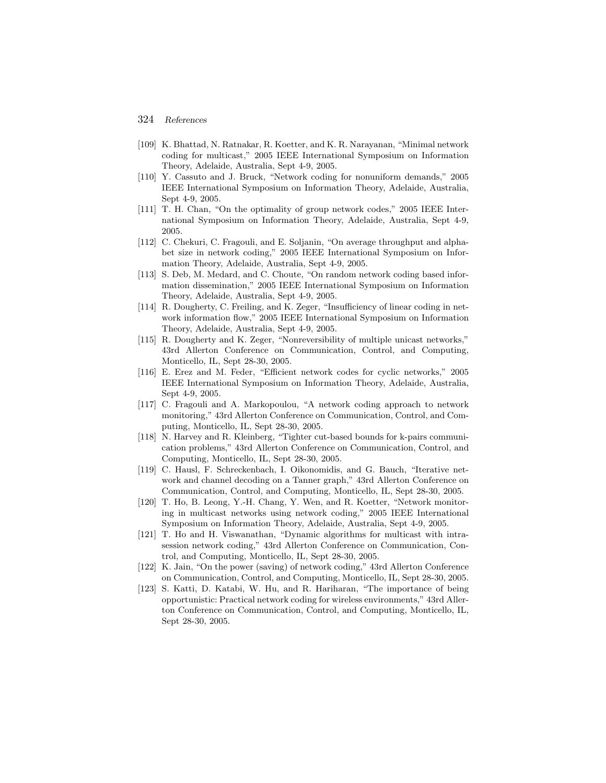- [109] K. Bhattad, N. Ratnakar, R. Koetter, and K. R. Narayanan, "Minimal network coding for multicast," 2005 IEEE International Symposium on Information Theory, Adelaide, Australia, Sept 4-9, 2005.
- [110] Y. Cassuto and J. Bruck, "Network coding for nonuniform demands," 2005 IEEE International Symposium on Information Theory, Adelaide, Australia, Sept 4-9, 2005.
- [111] T. H. Chan, "On the optimality of group network codes," 2005 IEEE International Symposium on Information Theory, Adelaide, Australia, Sept 4-9, 2005.
- [112] C. Chekuri, C. Fragouli, and E. Soljanin, "On average throughput and alphabet size in network coding," 2005 IEEE International Symposium on Information Theory, Adelaide, Australia, Sept 4-9, 2005.
- [113] S. Deb, M. Medard, and C. Choute, "On random network coding based information dissemination," 2005 IEEE International Symposium on Information Theory, Adelaide, Australia, Sept 4-9, 2005.
- [114] R. Dougherty, C. Freiling, and K. Zeger, "Insufficiency of linear coding in network information flow," 2005 IEEE International Symposium on Information Theory, Adelaide, Australia, Sept 4-9, 2005.
- [115] R. Dougherty and K. Zeger, "Nonreversibility of multiple unicast networks," 43rd Allerton Conference on Communication, Control, and Computing, Monticello, IL, Sept 28-30, 2005.
- [116] E. Erez and M. Feder, "Efficient network codes for cyclic networks," 2005 IEEE International Symposium on Information Theory, Adelaide, Australia, Sept 4-9, 2005.
- [117] C. Fragouli and A. Markopoulou, "A network coding approach to network monitoring," 43rd Allerton Conference on Communication, Control, and Computing, Monticello, IL, Sept 28-30, 2005.
- [118] N. Harvey and R. Kleinberg, "Tighter cut-based bounds for k-pairs communication problems," 43rd Allerton Conference on Communication, Control, and Computing, Monticello, IL, Sept 28-30, 2005.
- [119] C. Hausl, F. Schreckenbach, I. Oikonomidis, and G. Bauch, "Iterative network and channel decoding on a Tanner graph," 43rd Allerton Conference on Communication, Control, and Computing, Monticello, IL, Sept 28-30, 2005.
- [120] T. Ho, B. Leong, Y.-H. Chang, Y. Wen, and R. Koetter, "Network monitoring in multicast networks using network coding," 2005 IEEE International Symposium on Information Theory, Adelaide, Australia, Sept 4-9, 2005.
- [121] T. Ho and H. Viswanathan, "Dynamic algorithms for multicast with intrasession network coding," 43rd Allerton Conference on Communication, Control, and Computing, Monticello, IL, Sept 28-30, 2005.
- [122] K. Jain, "On the power (saving) of network coding," 43rd Allerton Conference on Communication, Control, and Computing, Monticello, IL, Sept 28-30, 2005.
- [123] S. Katti, D. Katabi, W. Hu, and R. Hariharan, "The importance of being opportunistic: Practical network coding for wireless environments," 43rd Allerton Conference on Communication, Control, and Computing, Monticello, IL, Sept 28-30, 2005.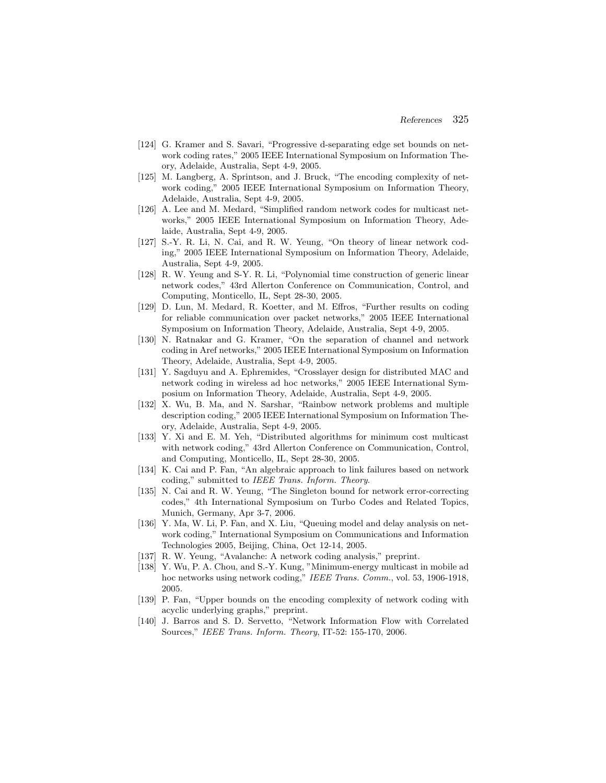- [124] G. Kramer and S. Savari, "Progressive d-separating edge set bounds on network coding rates," 2005 IEEE International Symposium on Information Theory, Adelaide, Australia, Sept 4-9, 2005.
- [125] M. Langberg, A. Sprintson, and J. Bruck, "The encoding complexity of network coding," 2005 IEEE International Symposium on Information Theory, Adelaide, Australia, Sept 4-9, 2005.
- [126] A. Lee and M. Medard, "Simplified random network codes for multicast networks," 2005 IEEE International Symposium on Information Theory, Adelaide, Australia, Sept 4-9, 2005.
- [127] S.-Y. R. Li, N. Cai, and R. W. Yeung, "On theory of linear network coding," 2005 IEEE International Symposium on Information Theory, Adelaide, Australia, Sept 4-9, 2005.
- [128] R. W. Yeung and S-Y. R. Li, "Polynomial time construction of generic linear network codes," 43rd Allerton Conference on Communication, Control, and Computing, Monticello, IL, Sept 28-30, 2005.
- [129] D. Lun, M. Medard, R. Koetter, and M. Effros, "Further results on coding for reliable communication over packet networks," 2005 IEEE International Symposium on Information Theory, Adelaide, Australia, Sept 4-9, 2005.
- [130] N. Ratnakar and G. Kramer, "On the separation of channel and network coding in Aref networks," 2005 IEEE International Symposium on Information Theory, Adelaide, Australia, Sept 4-9, 2005.
- [131] Y. Sagduyu and A. Ephremides, "Crosslayer design for distributed MAC and network coding in wireless ad hoc networks," 2005 IEEE International Symposium on Information Theory, Adelaide, Australia, Sept 4-9, 2005.
- [132] X. Wu, B. Ma, and N. Sarshar, "Rainbow network problems and multiple description coding," 2005 IEEE International Symposium on Information Theory, Adelaide, Australia, Sept 4-9, 2005.
- [133] Y. Xi and E. M. Yeh, "Distributed algorithms for minimum cost multicast with network coding," 43rd Allerton Conference on Communication, Control, and Computing, Monticello, IL, Sept 28-30, 2005.
- [134] K. Cai and P. Fan, "An algebraic approach to link failures based on network coding," submitted to IEEE Trans. Inform. Theory.
- [135] N. Cai and R. W. Yeung, "The Singleton bound for network error-correcting codes," 4th International Symposium on Turbo Codes and Related Topics, Munich, Germany, Apr 3-7, 2006.
- [136] Y. Ma, W. Li, P. Fan, and X. Liu, "Queuing model and delay analysis on network coding," International Symposium on Communications and Information Technologies 2005, Beijing, China, Oct 12-14, 2005.
- [137] R. W. Yeung, "Avalanche: A network coding analysis," preprint.
- [138] Y. Wu, P. A. Chou, and S.-Y. Kung, "Minimum-energy multicast in mobile ad hoc networks using network coding," IEEE Trans. Comm., vol. 53, 1906-1918, 2005.
- [139] P. Fan, "Upper bounds on the encoding complexity of network coding with acyclic underlying graphs," preprint.
- [140] J. Barros and S. D. Servetto, "Network Information Flow with Correlated Sources," IEEE Trans. Inform. Theory, IT-52: 155-170, 2006.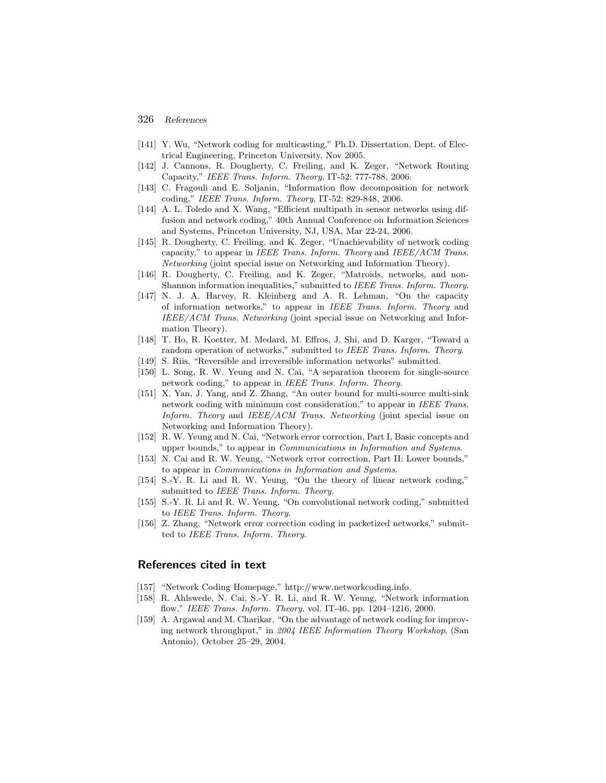- 326 *References*
- [141] Y. Wu, "Network coding for multicasting," Ph.D. Dissertation, Dept. of Electrical Engineering, Princeton University, Nov 2005.
- [142] J. Cannons, R. Dougherty, C. Freiling, and K. Zeger, "Network Routing Capacity," IEEE Trans. Inform. Theory, IT-52: 777-788, 2006.
- [143] C. Fragouli and E. Soljanin, "Information flow decomposition for network coding," IEEE Trans. Inform. Theory, IT-52: 829-848, 2006.
- [144] A. L. Toledo and X. Wang, "Efficient multipath in sensor networks using diffusion and network coding," 40th Annual Conference on Information Sciences and Systems, Princeton University, NJ, USA, Mar 22-24, 2006.
- [145] R. Dougherty, C. Freiling, and K. Zeger, "Unachievability of network coding capacity," to appear in IEEE Trans. Inform. Theory and IEEE/ACM Trans. Networking (joint special issue on Networking and Information Theory).
- [146] R. Dougherty, C. Freiling, and K. Zeger, "Matroids, networks, and non-Shannon information inequalities," submitted to IEEE Trans. Inform. Theory.
- [147] N. J. A. Harvey, R. Kleinberg and A. R. Lehman, "On the capacity of information networks," to appear in IEEE Trans. Inform. Theory and IEEE/ACM Trans. Networking (joint special issue on Networking and Information Theory).
- [148] T. Ho, R. Koetter, M. Medard, M. Effros, J. Shi, and D. Karger, "Toward a random operation of networks," submitted to IEEE Trans. Inform. Theory.
- [149] S. Riis, "Reversible and irreversible information networks" submitted.
- [150] L. Song, R. W. Yeung and N. Cai, "A separation theorem for single-source network coding," to appear in IEEE Trans. Inform. Theory.
- [151] X. Yan, J. Yang, and Z. Zhang, "An outer bound for multi-source multi-sink network coding with minimum cost consideration," to appear in IEEE Trans. Inform. Theory and IEEE/ACM Trans. Networking (joint special issue on Networking and Information Theory).
- [152] R. W. Yeung and N. Cai, "Network error correction, Part I, Basic concepts and upper bounds," to appear in Communications in Information and Systems.
- [153] N. Cai and R. W. Yeung, "Network error correction, Part II: Lower bounds," to appear in Communications in Information and Systems.
- [154] S.-Y. R. Li and R. W. Yeung, "On the theory of linear network coding," submitted to IEEE Trans. Inform. Theory.
- [155] S.-Y. R. Li and R. W. Yeung, "On convolutional network coding," submitted to IEEE Trans. Inform. Theory.
- [156] Z. Zhang, "Network error correction coding in packetized networks," submitted to IEEE Trans. Inform. Theory.

### **References cited in text**

- [157] "Network Coding Homepage," http://www.networkcoding.info.
- [158] R. Ahlswede, N. Cai, S.-Y. R. Li, and R. W. Yeung, "Network information flow," IEEE Trans. Inform. Theory, vol. IT-46, pp. 1204–1216, 2000.
- [159] A. Argawal and M. Charikar, "On the advantage of network coding for improving network throughput," in 2004 IEEE Information Theory Workshop, (San Antonio), October 25–29, 2004.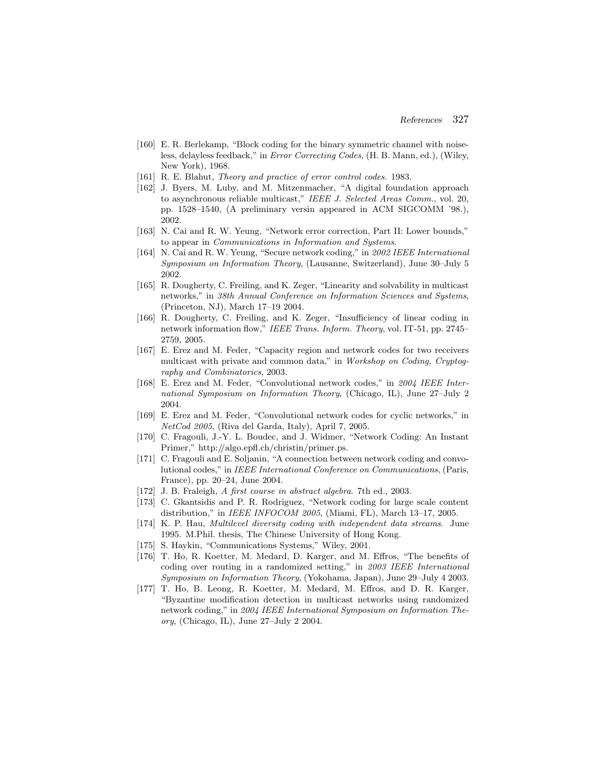- [160] E. R. Berlekamp, "Block coding for the binary symmetric channel with noiseless, delayless feedback," in Error Correcting Codes, (H. B. Mann, ed.), (Wiley, New York), 1968.
- [161] R. E. Blahut, *Theory and practice of error control codes.* 1983.
- [162] J. Byers, M. Luby, and M. Mitzenmacher, "A digital foundation approach to asynchronous reliable multicast," IEEE J. Selected Areas Comm., vol. 20, pp. 1528–1540, (A preliminary versin appeared in ACM SIGCOMM '98.), 2002.
- [163] N. Cai and R. W. Yeung, "Network error correction, Part II: Lower bounds," to appear in Communications in Information and Systems.
- [164] N. Cai and R. W. Yeung, "Secure network coding," in 2002 IEEE International Symposium on Information Theory, (Lausanne, Switzerland), June 30–July 5 2002.
- [165] R. Dougherty, C. Freiling, and K. Zeger, "Linearity and solvability in multicast networks," in 38th Annual Conference on Information Sciences and Systems, (Princeton, NJ), March 17–19 2004.
- [166] R. Dougherty, C. Freiling, and K. Zeger, "Insufficiency of linear coding in network information flow," IEEE Trans. Inform. Theory, vol. IT-51, pp. 2745– 2759, 2005.
- [167] E. Erez and M. Feder, "Capacity region and network codes for two receivers multicast with private and common data," in Workshop on Coding, Cryptography and Combinatorics, 2003.
- [168] E. Erez and M. Feder, "Convolutional network codes," in 2004 IEEE International Symposium on Information Theory, (Chicago, IL), June 27–July 2 2004.
- [169] E. Erez and M. Feder, "Convolutional network codes for cyclic networks," in NetCod 2005, (Riva del Garda, Italy), April 7, 2005.
- [170] C. Fragouli, J.-Y. L. Boudec, and J. Widmer, "Network Coding: An Instant Primer," http://algo.epfl.ch/christin/primer.ps.
- [171] C. Fragouli and E. Soljanin, "A connection between network coding and convolutional codes," in IEEE International Conference on Communications, (Paris, France), pp. 20–24, June 2004.
- [172] J. B. Fraleigh, A first course in abstract algebra. 7th ed., 2003.
- [173] C. Gkantsidis and P. R. Rodriguez, "Network coding for large scale content distribution," in *IEEE INFOCOM 2005*, (Miami, FL), March 13–17, 2005.
- [174] K. P. Hau, Multilevel diversity coding with independent data streams. June 1995. M.Phil. thesis, The Chinese University of Hong Kong.
- [175] S. Haykin, "Communications Systems," Wiley, 2001.
- [176] T. Ho, R. Koetter, M. Medard, D. Karger, and M. Effros, "The benefits of coding over routing in a randomized setting," in 2003 IEEE International Symposium on Information Theory, (Yokohama, Japan), June 29–July 4 2003.
- [177] T. Ho, B. Leong, R. Koetter, M. Medard, M. Effros, and D. R. Karger, "Byzantine modification detection in multicast networks using randomized network coding," in 2004 IEEE International Symposium on Information Theory, (Chicago, IL), June 27–July 2 2004.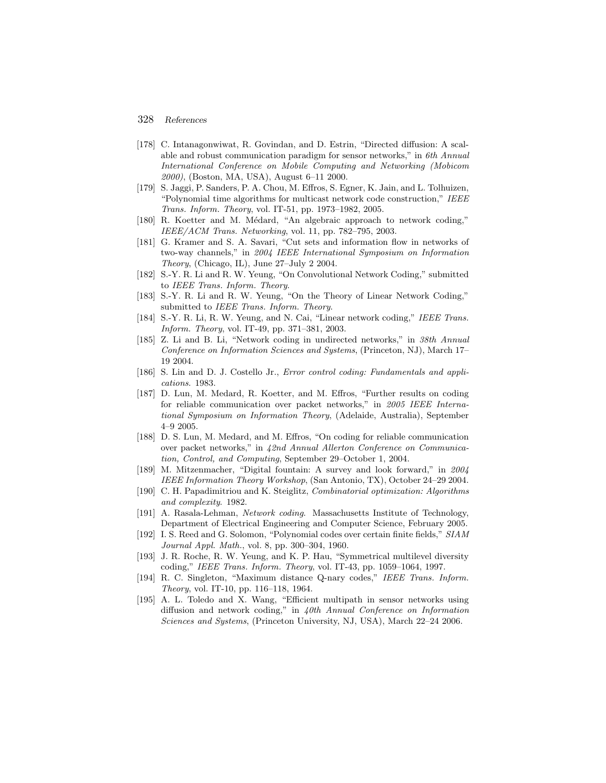- [178] C. Intanagonwiwat, R. Govindan, and D. Estrin, "Directed diffusion: A scalable and robust communication paradigm for sensor networks," in 6th Annual International Conference on Mobile Computing and Networking (Mobicom 2000), (Boston, MA, USA), August 6–11 2000.
- [179] S. Jaggi, P. Sanders, P. A. Chou, M. Effros, S. Egner, K. Jain, and L. Tolhuizen, "Polynomial time algorithms for multicast network code construction," IEEE Trans. Inform. Theory, vol. IT-51, pp. 1973–1982, 2005.
- [180] R. Koetter and M. Médard, "An algebraic approach to network coding," IEEE/ACM Trans. Networking, vol. 11, pp. 782–795, 2003.
- [181] G. Kramer and S. A. Savari, "Cut sets and information flow in networks of two-way channels," in 2004 IEEE International Symposium on Information Theory, (Chicago, IL), June 27–July 2 2004.
- [182] S.-Y. R. Li and R. W. Yeung, "On Convolutional Network Coding," submitted to IEEE Trans. Inform. Theory.
- [183] S.-Y. R. Li and R. W. Yeung, "On the Theory of Linear Network Coding," submitted to IEEE Trans. Inform. Theory.
- [184] S.-Y. R. Li, R. W. Yeung, and N. Cai, "Linear network coding," IEEE Trans. Inform. Theory, vol. IT-49, pp. 371–381, 2003.
- [185] Z. Li and B. Li, "Network coding in undirected networks," in 38th Annual Conference on Information Sciences and Systems, (Princeton, NJ), March 17– 19 2004.
- [186] S. Lin and D. J. Costello Jr., Error control coding: Fundamentals and applications. 1983.
- [187] D. Lun, M. Medard, R. Koetter, and M. Effros, "Further results on coding for reliable communication over packet networks," in 2005 IEEE International Symposium on Information Theory, (Adelaide, Australia), September 4–9 2005.
- [188] D. S. Lun, M. Medard, and M. Effros, "On coding for reliable communication over packet networks," in 42nd Annual Allerton Conference on Communication, Control, and Computing, September 29–October 1, 2004.
- [189] M. Mitzenmacher, "Digital fountain: A survey and look forward," in 2004 IEEE Information Theory Workshop, (San Antonio, TX), October 24–29 2004.
- [190] C. H. Papadimitriou and K. Steiglitz, Combinatorial optimization: Algorithms and complexity. 1982.
- [191] A. Rasala-Lehman, Network coding. Massachusetts Institute of Technology, Department of Electrical Engineering and Computer Science, February 2005.
- [192] I. S. Reed and G. Solomon, "Polynomial codes over certain finite fields," SIAM Journal Appl. Math., vol. 8, pp. 300–304, 1960.
- [193] J. R. Roche, R. W. Yeung, and K. P. Hau, "Symmetrical multilevel diversity coding," IEEE Trans. Inform. Theory, vol. IT-43, pp. 1059–1064, 1997.
- [194] R. C. Singleton, "Maximum distance Q-nary codes," IEEE Trans. Inform. Theory, vol. IT-10, pp. 116–118, 1964.
- [195] A. L. Toledo and X. Wang, "Efficient multipath in sensor networks using diffusion and network coding," in 40th Annual Conference on Information Sciences and Systems, (Princeton University, NJ, USA), March 22–24 2006.